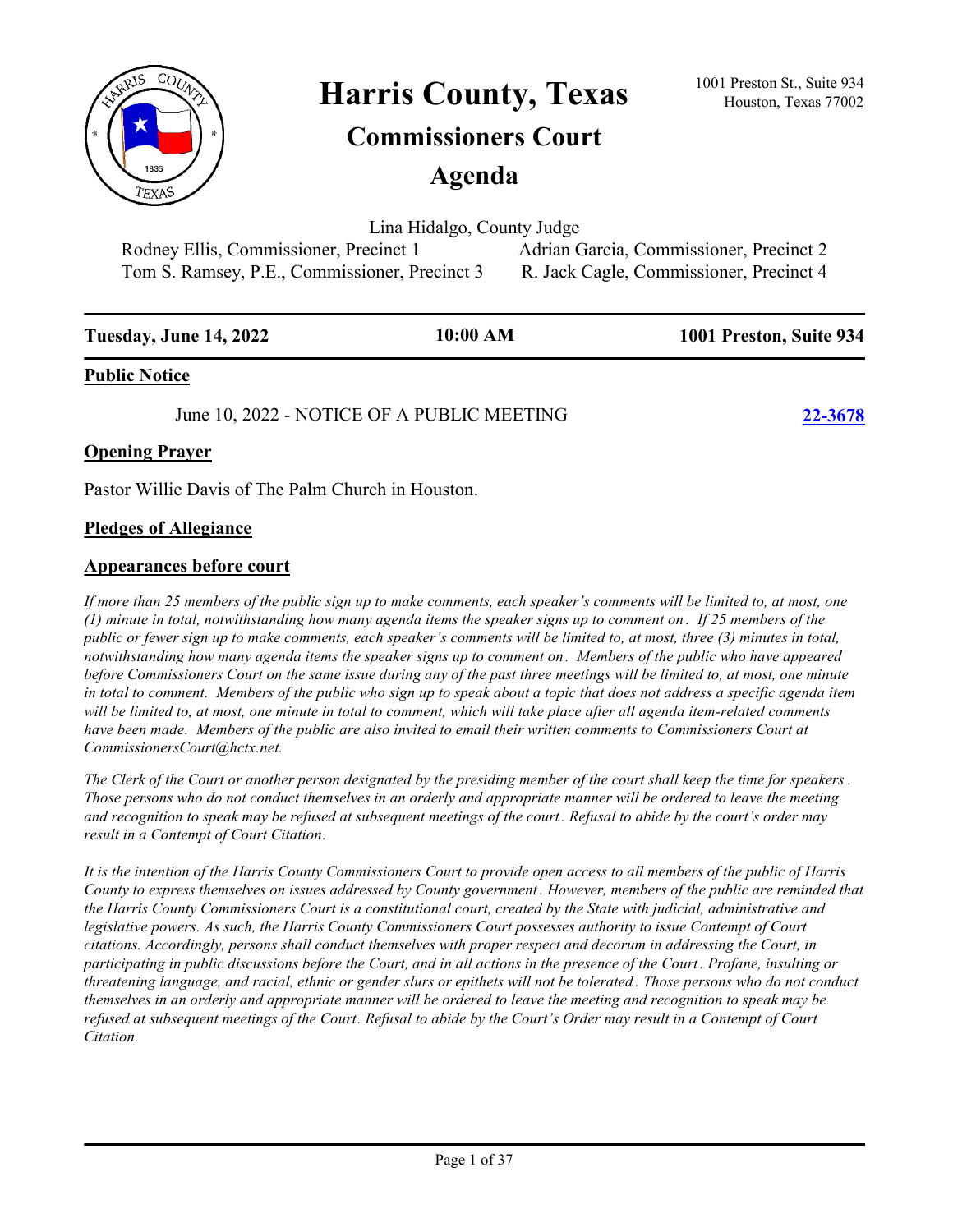

Harris County, Texas <sup>1001 Preston St., Suite 934</sup><br>Houston, Texas 77002

# **Commissioners Court**

**Agenda**

Lina Hidalgo, County Judge

Tom S. Ramsey, P.E., Commissioner, Precinct 3 R. Jack Cagle, Commissioner, Precinct 4

Rodney Ellis, Commissioner, Precinct 1 Adrian Garcia, Commissioner, Precinct 2

| <b>Tuesday, June 14, 2022</b> | 10:00 AM | 1001 Preston, Suite 934 |
|-------------------------------|----------|-------------------------|
| <b>Public Notice</b>          |          |                         |

June 10, 2022 - NOTICE OF A PUBLIC MEETING **[22-3678](http://harriscountytx.legistar.com/gateway.aspx?m=l&id=/matter.aspx?key=14218)**

# **Opening Prayer**

Pastor Willie Davis of The Palm Church in Houston.

### **Pledges of Allegiance**

### **Appearances before court**

*If more than 25 members of the public sign up to make comments, each speaker's comments will be limited to, at most, one (1) minute in total, notwithstanding how many agenda items the speaker signs up to comment on . If 25 members of the public or fewer sign up to make comments, each speaker's comments will be limited to, at most, three (3) minutes in total, notwithstanding how many agenda items the speaker signs up to comment on . Members of the public who have appeared before Commissioners Court on the same issue during any of the past three meetings will be limited to, at most, one minute in total to comment. Members of the public who sign up to speak about a topic that does not address a specific agenda item will be limited to, at most, one minute in total to comment, which will take place after all agenda item-related comments*  have been made. Members of the public are also invited to email their written comments to Commissioners Court at *CommissionersCourt@hctx.net.*

*The Clerk of the Court or another person designated by the presiding member of the court shall keep the time for speakers . Those persons who do not conduct themselves in an orderly and appropriate manner will be ordered to leave the meeting and recognition to speak may be refused at subsequent meetings of the court. Refusal to abide by the court's order may result in a Contempt of Court Citation.*

*It is the intention of the Harris County Commissioners Court to provide open access to all members of the public of Harris County to express themselves on issues addressed by County government . However, members of the public are reminded that the Harris County Commissioners Court is a constitutional court, created by the State with judicial, administrative and legislative powers. As such, the Harris County Commissioners Court possesses authority to issue Contempt of Court citations. Accordingly, persons shall conduct themselves with proper respect and decorum in addressing the Court, in participating in public discussions before the Court, and in all actions in the presence of the Court . Profane, insulting or threatening language, and racial, ethnic or gender slurs or epithets will not be tolerated . Those persons who do not conduct themselves in an orderly and appropriate manner will be ordered to leave the meeting and recognition to speak may be refused at subsequent meetings of the Court. Refusal to abide by the Court's Order may result in a Contempt of Court Citation.*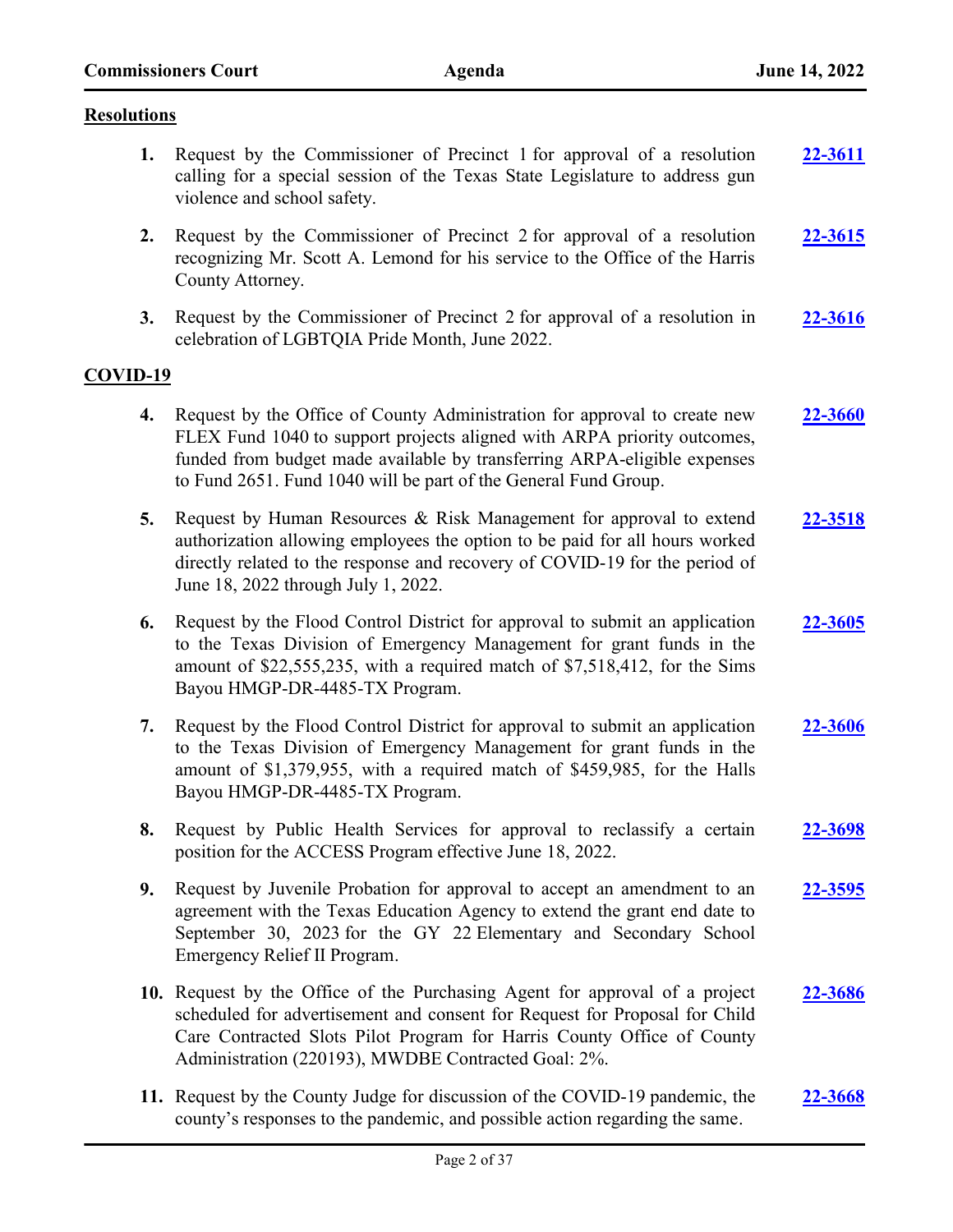### **Resolutions**

- **1.** Request by the Commissioner of Precinct 1 for approval of a resolution calling for a special session of the Texas State Legislature to address gun violence and school safety. **[22-3611](http://harriscountytx.legistar.com/gateway.aspx?m=l&id=/matter.aspx?key=14151)**
- **2.** Request by the Commissioner of Precinct 2 for approval of a resolution recognizing Mr. Scott A. Lemond for his service to the Office of the Harris County Attorney. **[22-3615](http://harriscountytx.legistar.com/gateway.aspx?m=l&id=/matter.aspx?key=14155)**
- **3.** Request by the Commissioner of Precinct 2 for approval of a resolution in celebration of LGBTQIA Pride Month, June 2022. **[22-3616](http://harriscountytx.legistar.com/gateway.aspx?m=l&id=/matter.aspx?key=14156)**

### **COVID-19**

- **4.** Request by the Office of County Administration for approval to create new FLEX Fund 1040 to support projects aligned with ARPA priority outcomes, funded from budget made available by transferring ARPA-eligible expenses to Fund 2651. Fund 1040 will be part of the General Fund Group. **[22-3660](http://harriscountytx.legistar.com/gateway.aspx?m=l&id=/matter.aspx?key=14200)**
- **5.** Request by Human Resources & Risk Management for approval to extend authorization allowing employees the option to be paid for all hours worked directly related to the response and recovery of COVID-19 for the period of June 18, 2022 through July 1, 2022. **[22-3518](http://harriscountytx.legistar.com/gateway.aspx?m=l&id=/matter.aspx?key=14058)**
- **6.** Request by the Flood Control District for approval to submit an application to the Texas Division of Emergency Management for grant funds in the amount of \$22,555,235, with a required match of \$7,518,412, for the Sims Bayou HMGP-DR-4485-TX Program. **[22-3605](http://harriscountytx.legistar.com/gateway.aspx?m=l&id=/matter.aspx?key=14145)**
- **7.** Request by the Flood Control District for approval to submit an application to the Texas Division of Emergency Management for grant funds in the amount of \$1,379,955, with a required match of \$459,985, for the Halls Bayou HMGP-DR-4485-TX Program. **[22-3606](http://harriscountytx.legistar.com/gateway.aspx?m=l&id=/matter.aspx?key=14146)**
- **8.** Request by Public Health Services for approval to reclassify a certain position for the ACCESS Program effective June 18, 2022. **[22-3698](http://harriscountytx.legistar.com/gateway.aspx?m=l&id=/matter.aspx?key=14238)**
- **9.** Request by Juvenile Probation for approval to accept an amendment to an agreement with the Texas Education Agency to extend the grant end date to September 30, 2023 for the GY 22 Elementary and Secondary School Emergency Relief II Program. **[22-3595](http://harriscountytx.legistar.com/gateway.aspx?m=l&id=/matter.aspx?key=14135)**
- **10.** Request by the Office of the Purchasing Agent for approval of a project scheduled for advertisement and consent for Request for Proposal for Child Care Contracted Slots Pilot Program for Harris County Office of County Administration (220193), MWDBE Contracted Goal: 2%. **[22-3686](http://harriscountytx.legistar.com/gateway.aspx?m=l&id=/matter.aspx?key=14226)**
- **11.** Request by the County Judge for discussion of the COVID-19 pandemic, the county's responses to the pandemic, and possible action regarding the same. **[22-3668](http://harriscountytx.legistar.com/gateway.aspx?m=l&id=/matter.aspx?key=14208)**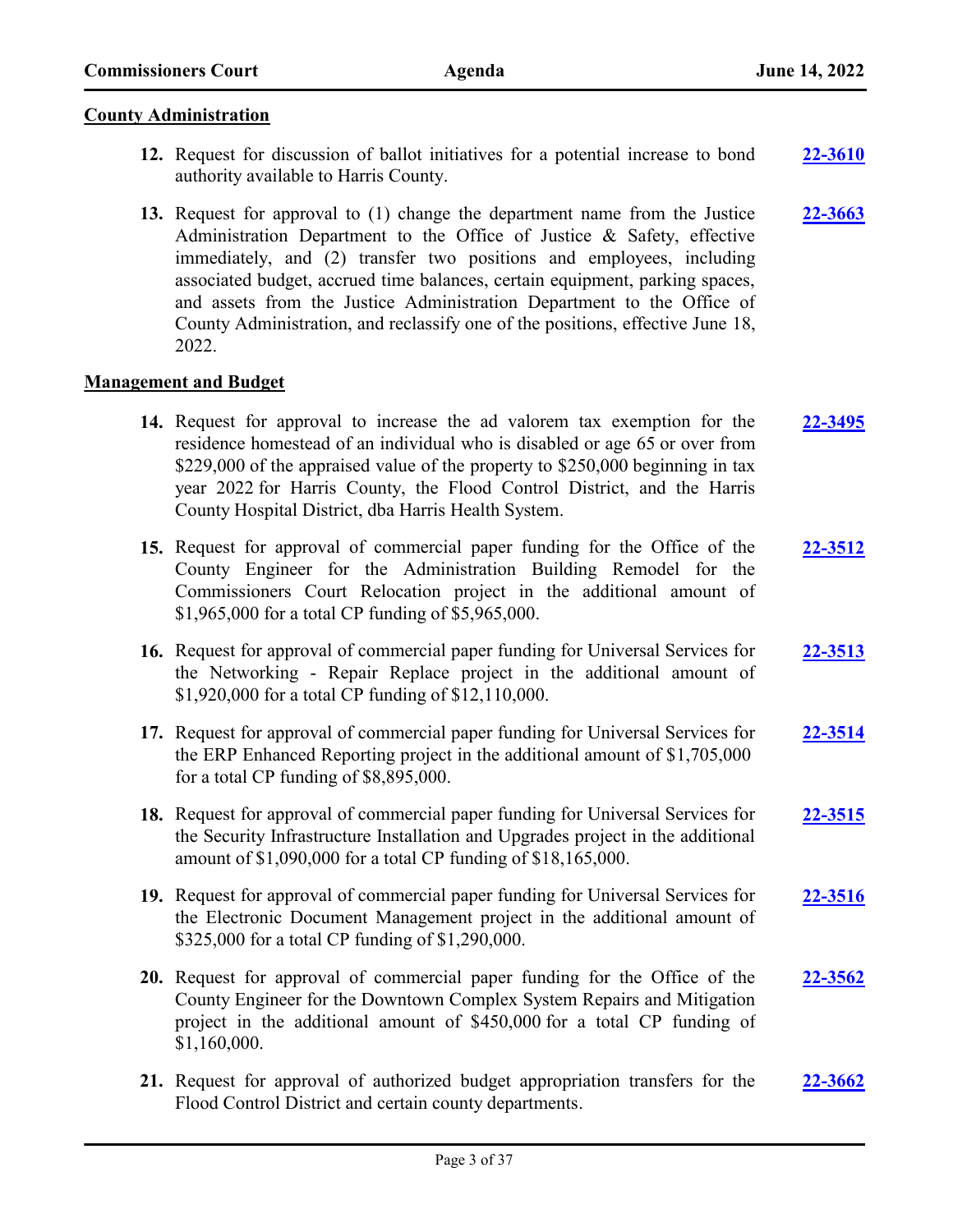### **County Administration**

- **12.** Request for discussion of ballot initiatives for a potential increase to bond authority available to Harris County. **[22-3610](http://harriscountytx.legistar.com/gateway.aspx?m=l&id=/matter.aspx?key=14150)**
- **13.** Request for approval to (1) change the department name from the Justice Administration Department to the Office of Justice & Safety, effective immediately, and (2) transfer two positions and employees, including associated budget, accrued time balances, certain equipment, parking spaces, and assets from the Justice Administration Department to the Office of County Administration, and reclassify one of the positions, effective June 18, 2022. **[22-3663](http://harriscountytx.legistar.com/gateway.aspx?m=l&id=/matter.aspx?key=14203)**

### **Management and Budget**

- **14.** Request for approval to increase the ad valorem tax exemption for the residence homestead of an individual who is disabled or age 65 or over from \$229,000 of the appraised value of the property to \$250,000 beginning in tax year 2022 for Harris County, the Flood Control District, and the Harris County Hospital District, dba Harris Health System. **[22-3495](http://harriscountytx.legistar.com/gateway.aspx?m=l&id=/matter.aspx?key=14035)**
- **15.** Request for approval of commercial paper funding for the Office of the County Engineer for the Administration Building Remodel for the Commissioners Court Relocation project in the additional amount of \$1,965,000 for a total CP funding of \$5,965,000. **[22-3512](http://harriscountytx.legistar.com/gateway.aspx?m=l&id=/matter.aspx?key=14052)**
- **16.** Request for approval of commercial paper funding for Universal Services for the Networking - Repair Replace project in the additional amount of \$1,920,000 for a total CP funding of \$12,110,000. **[22-3513](http://harriscountytx.legistar.com/gateway.aspx?m=l&id=/matter.aspx?key=14053)**
- **17.** Request for approval of commercial paper funding for Universal Services for the ERP Enhanced Reporting project in the additional amount of \$1,705,000 for a total CP funding of \$8,895,000. **[22-3514](http://harriscountytx.legistar.com/gateway.aspx?m=l&id=/matter.aspx?key=14054)**
- **18.** Request for approval of commercial paper funding for Universal Services for the Security Infrastructure Installation and Upgrades project in the additional amount of \$1,090,000 for a total CP funding of \$18,165,000. **[22-3515](http://harriscountytx.legistar.com/gateway.aspx?m=l&id=/matter.aspx?key=14055)**
- **19.** Request for approval of commercial paper funding for Universal Services for the Electronic Document Management project in the additional amount of \$325,000 for a total CP funding of \$1,290,000. **[22-3516](http://harriscountytx.legistar.com/gateway.aspx?m=l&id=/matter.aspx?key=14056)**
- **20.** Request for approval of commercial paper funding for the Office of the County Engineer for the Downtown Complex System Repairs and Mitigation project in the additional amount of \$450,000 for a total CP funding of \$1,160,000. **[22-3562](http://harriscountytx.legistar.com/gateway.aspx?m=l&id=/matter.aspx?key=14102)**
- **21.** Request for approval of authorized budget appropriation transfers for the Flood Control District and certain county departments. **[22-3662](http://harriscountytx.legistar.com/gateway.aspx?m=l&id=/matter.aspx?key=14202)**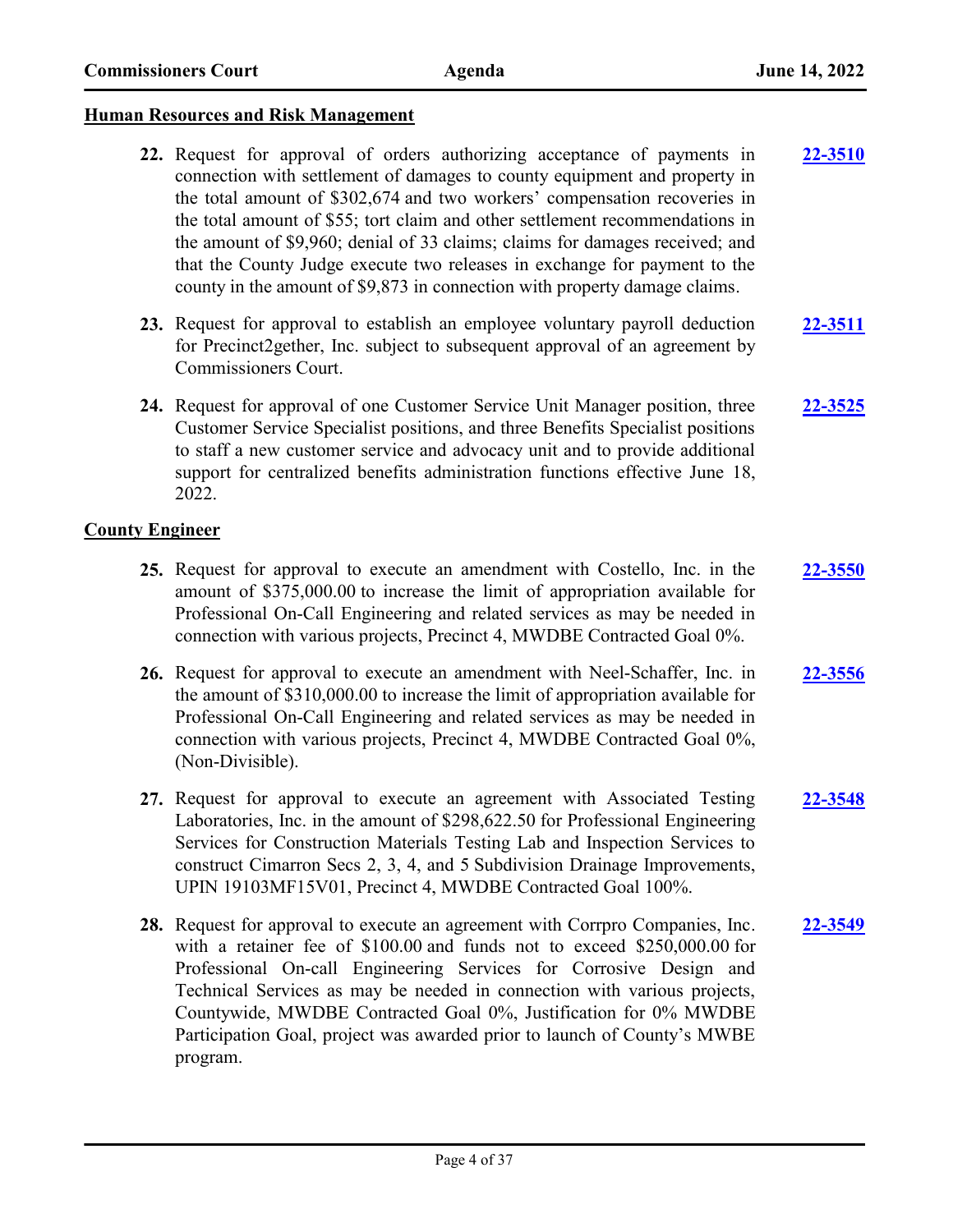### **Human Resources and Risk Management**

- **22.** Request for approval of orders authorizing acceptance of payments in connection with settlement of damages to county equipment and property in the total amount of \$302,674 and two workers' compensation recoveries in the total amount of \$55; tort claim and other settlement recommendations in the amount of \$9,960; denial of 33 claims; claims for damages received; and that the County Judge execute two releases in exchange for payment to the county in the amount of \$9,873 in connection with property damage claims. **[22-3510](http://harriscountytx.legistar.com/gateway.aspx?m=l&id=/matter.aspx?key=14050)**
- **23.** Request for approval to establish an employee voluntary payroll deduction for Precinct2gether, Inc. subject to subsequent approval of an agreement by Commissioners Court. **[22-3511](http://harriscountytx.legistar.com/gateway.aspx?m=l&id=/matter.aspx?key=14051)**
- **24.** Request for approval of one Customer Service Unit Manager position, three Customer Service Specialist positions, and three Benefits Specialist positions to staff a new customer service and advocacy unit and to provide additional support for centralized benefits administration functions effective June 18, 2022. **[22-3525](http://harriscountytx.legistar.com/gateway.aspx?m=l&id=/matter.aspx?key=14065)**

### **County Engineer**

- **25.** Request for approval to execute an amendment with Costello, Inc. in the amount of \$375,000.00 to increase the limit of appropriation available for Professional On-Call Engineering and related services as may be needed in connection with various projects, Precinct 4, MWDBE Contracted Goal 0%. **[22-3550](http://harriscountytx.legistar.com/gateway.aspx?m=l&id=/matter.aspx?key=14090)**
- **26.** Request for approval to execute an amendment with Neel-Schaffer, Inc. in the amount of \$310,000.00 to increase the limit of appropriation available for Professional On-Call Engineering and related services as may be needed in connection with various projects, Precinct 4, MWDBE Contracted Goal 0%, (Non-Divisible). **[22-3556](http://harriscountytx.legistar.com/gateway.aspx?m=l&id=/matter.aspx?key=14096)**
- **27.** Request for approval to execute an agreement with Associated Testing Laboratories, Inc. in the amount of \$298,622.50 for Professional Engineering Services for Construction Materials Testing Lab and Inspection Services to construct Cimarron Secs 2, 3, 4, and 5 Subdivision Drainage Improvements, UPIN 19103MF15V01, Precinct 4, MWDBE Contracted Goal 100%. **[22-3548](http://harriscountytx.legistar.com/gateway.aspx?m=l&id=/matter.aspx?key=14088)**
- **28.** Request for approval to execute an agreement with Corrpro Companies, Inc. with a retainer fee of \$100.00 and funds not to exceed \$250,000.00 for Professional On-call Engineering Services for Corrosive Design and Technical Services as may be needed in connection with various projects, Countywide, MWDBE Contracted Goal 0%, Justification for 0% MWDBE Participation Goal, project was awarded prior to launch of County's MWBE program. **[22-3549](http://harriscountytx.legistar.com/gateway.aspx?m=l&id=/matter.aspx?key=14089)**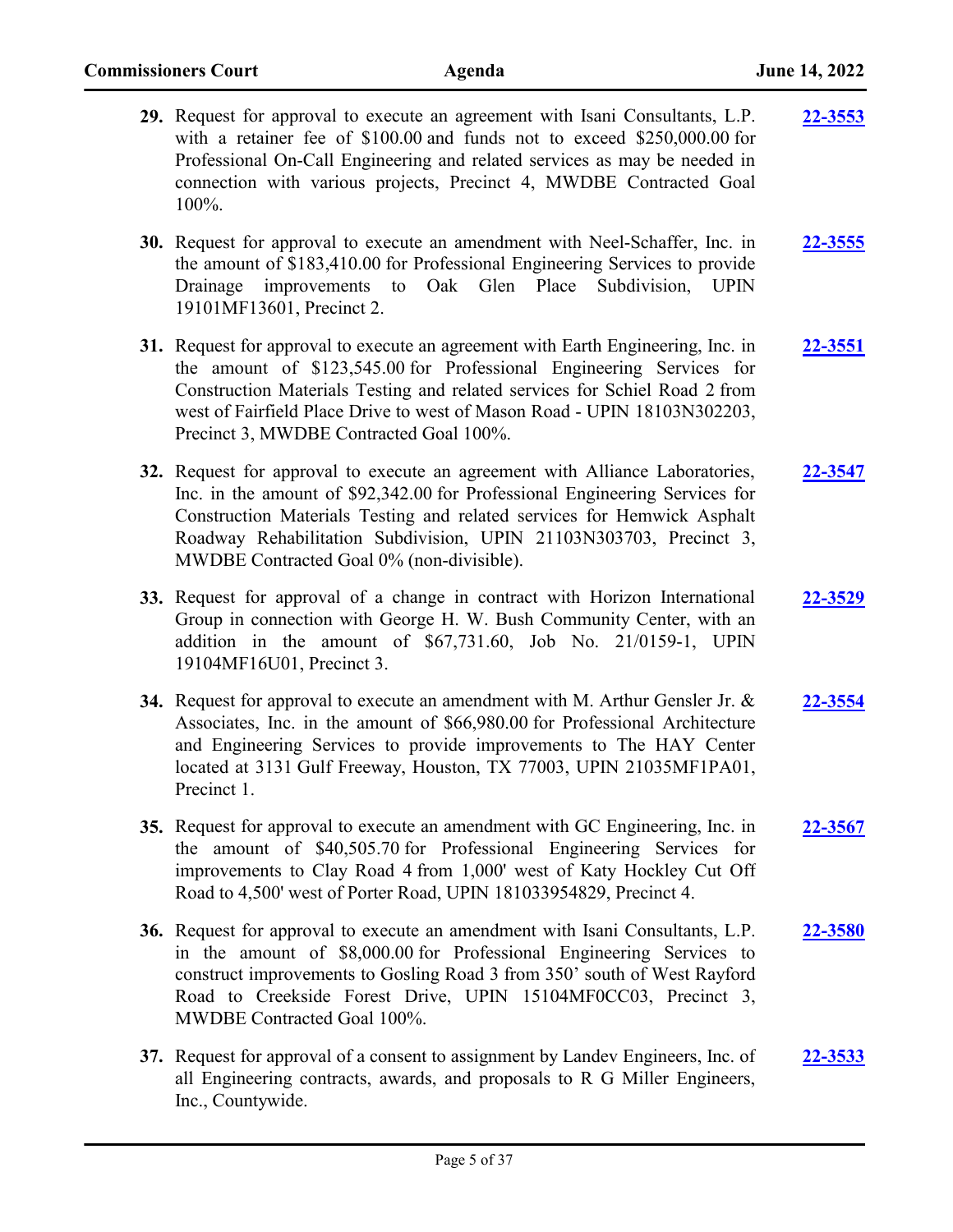| 29. Request for approval to execute an agreement with Isani Consultants, L.P.<br>with a retainer fee of \$100.00 and funds not to exceed \$250,000.00 for<br>Professional On-Call Engineering and related services as may be needed in<br>connection with various projects, Precinct 4, MWDBE Contracted Goal<br>$100\%$ .                                    | 22-3553        |
|---------------------------------------------------------------------------------------------------------------------------------------------------------------------------------------------------------------------------------------------------------------------------------------------------------------------------------------------------------------|----------------|
| <b>30.</b> Request for approval to execute an amendment with Neel-Schaffer, Inc. in<br>the amount of \$183,410.00 for Professional Engineering Services to provide<br>improvements to<br>Oak Glen Place<br>Subdivision,<br>Drainage<br><b>UPIN</b><br>19101MF13601, Precinct 2.                                                                               | 22-3555        |
| 31. Request for approval to execute an agreement with Earth Engineering, Inc. in<br>the amount of \$123,545.00 for Professional Engineering Services for<br>Construction Materials Testing and related services for Schiel Road 2 from<br>west of Fairfield Place Drive to west of Mason Road - UPIN 18103N302203,<br>Precinct 3, MWDBE Contracted Goal 100%. | <b>22-3551</b> |
| 32. Request for approval to execute an agreement with Alliance Laboratories,<br>Inc. in the amount of \$92,342.00 for Professional Engineering Services for<br>Construction Materials Testing and related services for Hemwick Asphalt<br>Roadway Rehabilitation Subdivision, UPIN 21103N303703, Precinct 3,<br>MWDBE Contracted Goal 0% (non-divisible).     | 22-3547        |
| 33. Request for approval of a change in contract with Horizon International<br>Group in connection with George H. W. Bush Community Center, with an<br>addition in the amount of \$67,731.60, Job No. 21/0159-1, UPIN<br>19104MF16U01, Precinct 3.                                                                                                            | 22-3529        |
| 34. Request for approval to execute an amendment with M. Arthur Gensler Jr. $\&$<br>Associates, Inc. in the amount of \$66,980.00 for Professional Architecture<br>and Engineering Services to provide improvements to The HAY Center<br>located at 3131 Gulf Freeway, Houston, TX 77003, UPIN 21035MF1PA01,<br>Precinct 1.                                   | 22-3554        |
| 35. Request for approval to execute an amendment with GC Engineering, Inc. in<br>the amount of \$40,505.70 for Professional Engineering Services for<br>improvements to Clay Road 4 from 1,000' west of Katy Hockley Cut Off<br>Road to 4,500' west of Porter Road, UPIN 181033954829, Precinct 4.                                                            | 22-3567        |
| 36. Request for approval to execute an amendment with Isani Consultants, L.P.<br>in the amount of \$8,000.00 for Professional Engineering Services to<br>construct improvements to Gosling Road 3 from 350' south of West Rayford<br>Road to Creekside Forest Drive, UPIN 15104MF0CC03, Precinct 3,<br>MWDBE Contracted Goal 100%.                            | 22-3580        |
| 37. Request for approval of a consent to assignment by Landev Engineers, Inc. of<br>all Engineering contracts, awards, and proposals to R G Miller Engineers,<br>Inc., Countywide.                                                                                                                                                                            | 22-3533        |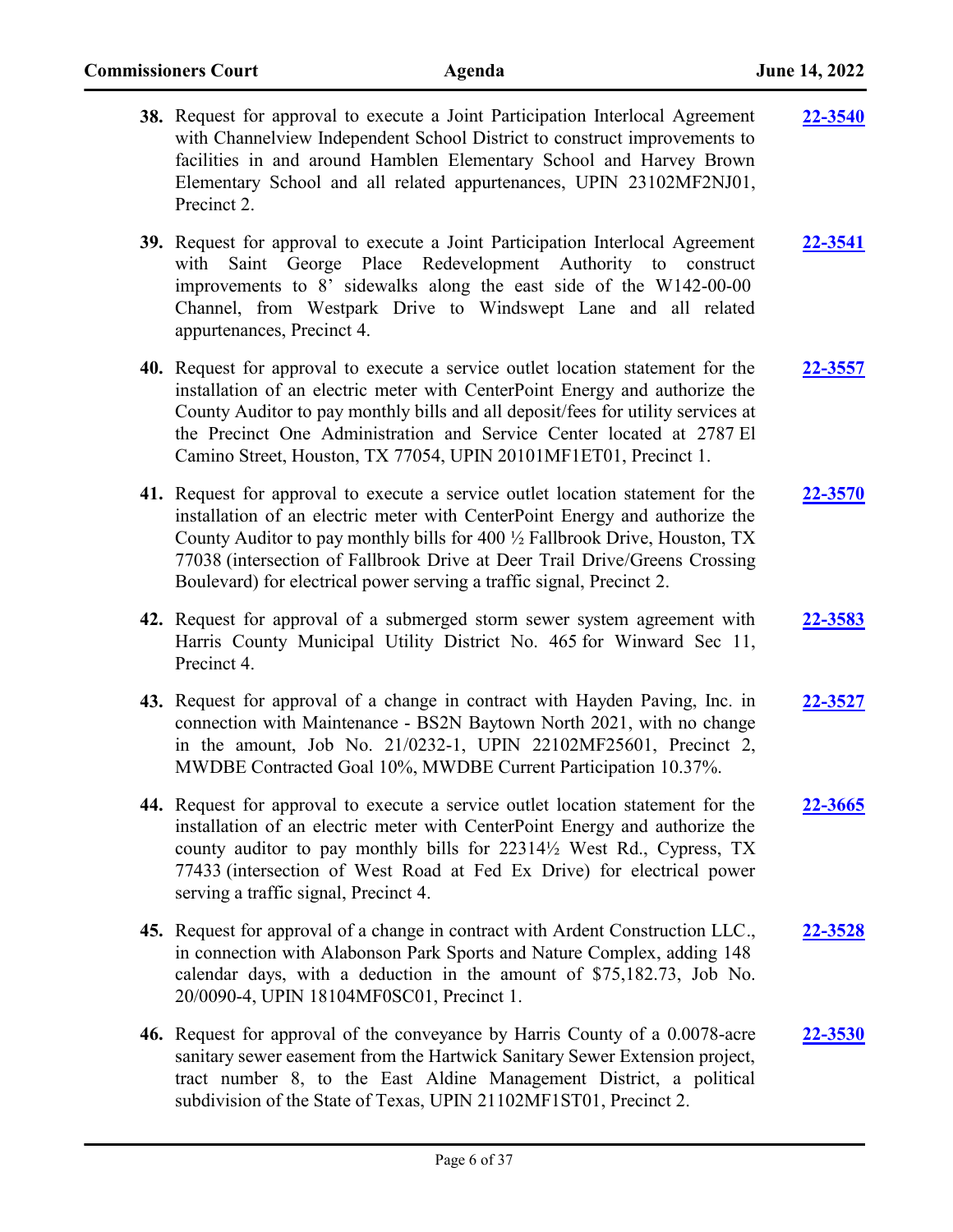| 38. Request for approval to execute a Joint Participation Interlocal Agreement<br>with Channelview Independent School District to construct improvements to<br>facilities in and around Hamblen Elementary School and Harvey Brown<br>Elementary School and all related appurtenances, UPIN 23102MF2NJ01,<br>Precinct 2.                                                                              | 22-3540        |
|-------------------------------------------------------------------------------------------------------------------------------------------------------------------------------------------------------------------------------------------------------------------------------------------------------------------------------------------------------------------------------------------------------|----------------|
| 39. Request for approval to execute a Joint Participation Interlocal Agreement<br>Saint George Place Redevelopment Authority to construct<br>with<br>improvements to 8' sidewalks along the east side of the W142-00-00<br>Channel, from Westpark Drive to Windswept Lane and all related<br>appurtenances, Precinct 4.                                                                               | <b>22-3541</b> |
| 40. Request for approval to execute a service outlet location statement for the<br>installation of an electric meter with CenterPoint Energy and authorize the<br>County Auditor to pay monthly bills and all deposit/fees for utility services at<br>the Precinct One Administration and Service Center located at 2787 El<br>Camino Street, Houston, TX 77054, UPIN 20101MF1ET01, Precinct 1.       | 22-3557        |
| 41. Request for approval to execute a service outlet location statement for the<br>installation of an electric meter with CenterPoint Energy and authorize the<br>County Auditor to pay monthly bills for 400 1/2 Fallbrook Drive, Houston, TX<br>77038 (intersection of Fallbrook Drive at Deer Trail Drive/Greens Crossing<br>Boulevard) for electrical power serving a traffic signal, Precinct 2. | <b>22-3570</b> |
| 42. Request for approval of a submerged storm sewer system agreement with<br>Harris County Municipal Utility District No. 465 for Winward Sec 11,<br>Precinct 4.                                                                                                                                                                                                                                      | 22-3583        |
| 43. Request for approval of a change in contract with Hayden Paving, Inc. in<br>connection with Maintenance - BS2N Baytown North 2021, with no change<br>in the amount, Job No. 21/0232-1, UPIN 22102MF25601, Precinct 2,<br>MWDBE Contracted Goal 10%, MWDBE Current Participation 10.37%.                                                                                                           | 22-3527        |
| 44. Request for approval to execute a service outlet location statement for the<br>installation of an electric meter with CenterPoint Energy and authorize the<br>county auditor to pay monthly bills for 223141/2 West Rd., Cypress, TX<br>77433 (intersection of West Road at Fed Ex Drive) for electrical power<br>serving a traffic signal, Precinct 4.                                           | 22-3665        |
| 45. Request for approval of a change in contract with Ardent Construction LLC.,<br>in connection with Alabonson Park Sports and Nature Complex, adding 148<br>calendar days, with a deduction in the amount of \$75,182.73, Job No.<br>20/0090-4, UPIN 18104MF0SC01, Precinct 1.                                                                                                                      | 22-3528        |
| 46. Request for approval of the conveyance by Harris County of a 0.0078-acre<br>sanitary sewer easement from the Hartwick Sanitary Sewer Extension project,<br>tract number 8, to the East Aldine Management District, a political<br>subdivision of the State of Texas, UPIN 21102MF1ST01, Precinct 2.                                                                                               | <b>22-3530</b> |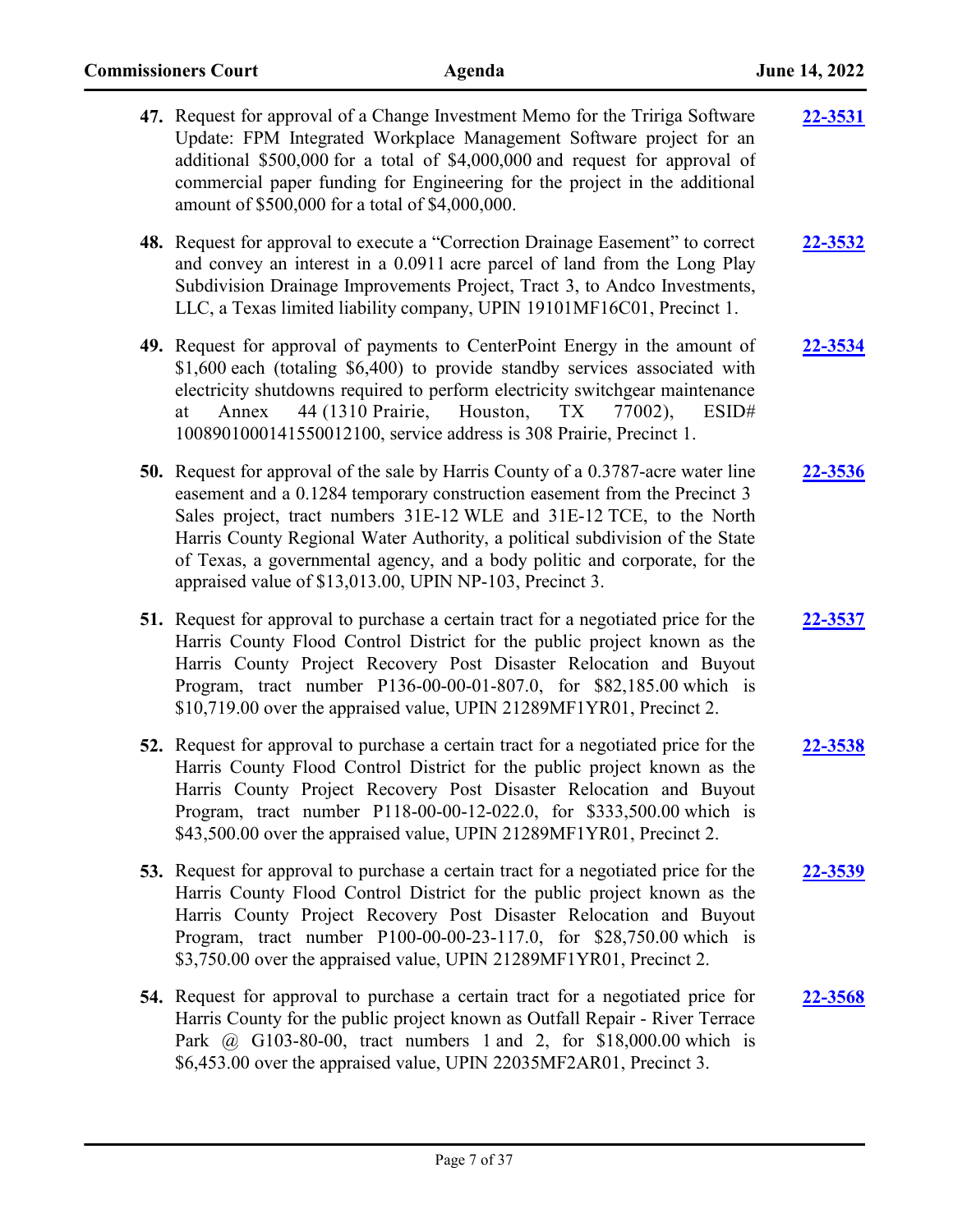| 47. Request for approval of a Change Investment Memo for the Tririga Software<br>Update: FPM Integrated Workplace Management Software project for an<br>additional \$500,000 for a total of \$4,000,000 and request for approval of<br>commercial paper funding for Engineering for the project in the additional<br>amount of \$500,000 for a total of \$4,000,000.                                                                                                    | 22-3531 |
|-------------------------------------------------------------------------------------------------------------------------------------------------------------------------------------------------------------------------------------------------------------------------------------------------------------------------------------------------------------------------------------------------------------------------------------------------------------------------|---------|
| 48. Request for approval to execute a "Correction Drainage Easement" to correct<br>and convey an interest in a 0.0911 acre parcel of land from the Long Play<br>Subdivision Drainage Improvements Project, Tract 3, to Andco Investments,<br>LLC, a Texas limited liability company, UPIN 19101MF16C01, Precinct 1.                                                                                                                                                     | 22-3532 |
| 49. Request for approval of payments to CenterPoint Energy in the amount of<br>\$1,600 each (totaling \$6,400) to provide standby services associated with<br>electricity shutdowns required to perform electricity switchgear maintenance<br>44 (1310 Prairie,<br>Houston,<br>TX<br>77002),<br>ESID#<br>Annex<br>at<br>1008901000141550012100, service address is 308 Prairie, Precinct 1.                                                                             | 22-3534 |
| <b>50.</b> Request for approval of the sale by Harris County of a 0.3787-acre water line<br>easement and a 0.1284 temporary construction easement from the Precinct 3<br>Sales project, tract numbers 31E-12 WLE and 31E-12 TCE, to the North<br>Harris County Regional Water Authority, a political subdivision of the State<br>of Texas, a governmental agency, and a body politic and corporate, for the<br>appraised value of \$13,013.00, UPIN NP-103, Precinct 3. | 22-3536 |
| 51. Request for approval to purchase a certain tract for a negotiated price for the<br>Harris County Flood Control District for the public project known as the<br>Harris County Project Recovery Post Disaster Relocation and Buyout<br>Program, tract number P136-00-00-01-807.0, for \$82,185.00 which is<br>\$10,719.00 over the appraised value, UPIN 21289MF1YR01, Precinct 2.                                                                                    | 22-3537 |
| 52. Request for approval to purchase a certain tract for a negotiated price for the<br>Harris County Flood Control District for the public project known as the<br>Harris County Project Recovery Post Disaster Relocation and Buyout<br>Program, tract number P118-00-00-12-022.0, for \$333,500.00 which is<br>\$43,500.00 over the appraised value, UPIN 21289MF1YR01, Precinct 2.                                                                                   | 22-3538 |
| 53. Request for approval to purchase a certain tract for a negotiated price for the<br>Harris County Flood Control District for the public project known as the<br>Harris County Project Recovery Post Disaster Relocation and Buyout<br>Program, tract number P100-00-00-23-117.0, for \$28,750.00 which is<br>\$3,750.00 over the appraised value, UPIN 21289MF1YR01, Precinct 2.                                                                                     | 22-3539 |
| 54. Request for approval to purchase a certain tract for a negotiated price for<br>Harris County for the public project known as Outfall Repair - River Terrace<br>Park @ G103-80-00, tract numbers 1 and 2, for \$18,000.00 which is<br>\$6,453.00 over the appraised value, UPIN 22035MF2AR01, Precinct 3.                                                                                                                                                            | 22-3568 |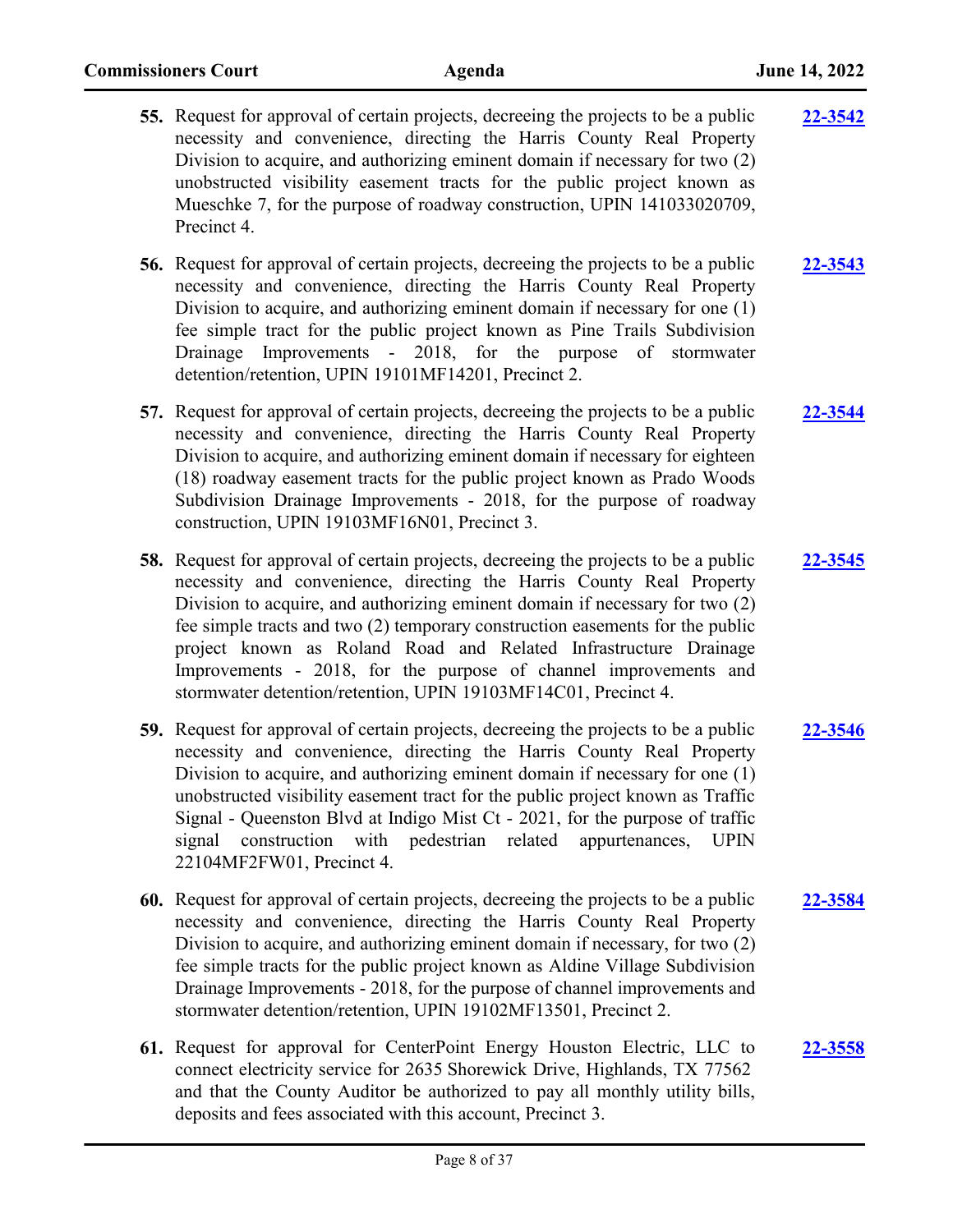| <b>55.</b> Request for approval of certain projects, decreeing the projects to be a public | 22-3542 |
|--------------------------------------------------------------------------------------------|---------|
| necessity and convenience, directing the Harris County Real Property                       |         |
| Division to acquire, and authorizing eminent domain if necessary for two (2)               |         |
| unobstructed visibility easement tracts for the public project known as                    |         |
| Mueschke 7, for the purpose of roadway construction, UPIN 141033020709,                    |         |
| Precinct 4.                                                                                |         |
|                                                                                            |         |

**56.** Request for approval of certain projects, decreeing the projects to be a public necessity and convenience, directing the Harris County Real Property Division to acquire, and authorizing eminent domain if necessary for one (1) fee simple tract for the public project known as Pine Trails Subdivision Drainage Improvements - 2018, for the purpose of stormwater detention/retention, UPIN 19101MF14201, Precinct 2. **[22-3543](http://harriscountytx.legistar.com/gateway.aspx?m=l&id=/matter.aspx?key=14083)**

**57.** Request for approval of certain projects, decreeing the projects to be a public necessity and convenience, directing the Harris County Real Property Division to acquire, and authorizing eminent domain if necessary for eighteen (18) roadway easement tracts for the public project known as Prado Woods Subdivision Drainage Improvements - 2018, for the purpose of roadway construction, UPIN 19103MF16N01, Precinct 3. **[22-3544](http://harriscountytx.legistar.com/gateway.aspx?m=l&id=/matter.aspx?key=14084)**

**58.** Request for approval of certain projects, decreeing the projects to be a public necessity and convenience, directing the Harris County Real Property Division to acquire, and authorizing eminent domain if necessary for two (2) fee simple tracts and two (2) temporary construction easements for the public project known as Roland Road and Related Infrastructure Drainage Improvements - 2018, for the purpose of channel improvements and stormwater detention/retention, UPIN 19103MF14C01, Precinct 4. **[22-3545](http://harriscountytx.legistar.com/gateway.aspx?m=l&id=/matter.aspx?key=14085)**

- **59.** Request for approval of certain projects, decreeing the projects to be a public necessity and convenience, directing the Harris County Real Property Division to acquire, and authorizing eminent domain if necessary for one (1) unobstructed visibility easement tract for the public project known as Traffic Signal - Queenston Blvd at Indigo Mist Ct - 2021, for the purpose of traffic signal construction with pedestrian related appurtenances, UPIN 22104MF2FW01, Precinct 4. **[22-3546](http://harriscountytx.legistar.com/gateway.aspx?m=l&id=/matter.aspx?key=14086)**
- **60.** Request for approval of certain projects, decreeing the projects to be a public necessity and convenience, directing the Harris County Real Property Division to acquire, and authorizing eminent domain if necessary, for two (2) fee simple tracts for the public project known as Aldine Village Subdivision Drainage Improvements - 2018, for the purpose of channel improvements and stormwater detention/retention, UPIN 19102MF13501, Precinct 2. **[22-3584](http://harriscountytx.legistar.com/gateway.aspx?m=l&id=/matter.aspx?key=14124)**
- **61.** Request for approval for CenterPoint Energy Houston Electric, LLC to connect electricity service for 2635 Shorewick Drive, Highlands, TX 77562 and that the County Auditor be authorized to pay all monthly utility bills, deposits and fees associated with this account, Precinct 3. **[22-3558](http://harriscountytx.legistar.com/gateway.aspx?m=l&id=/matter.aspx?key=14098)**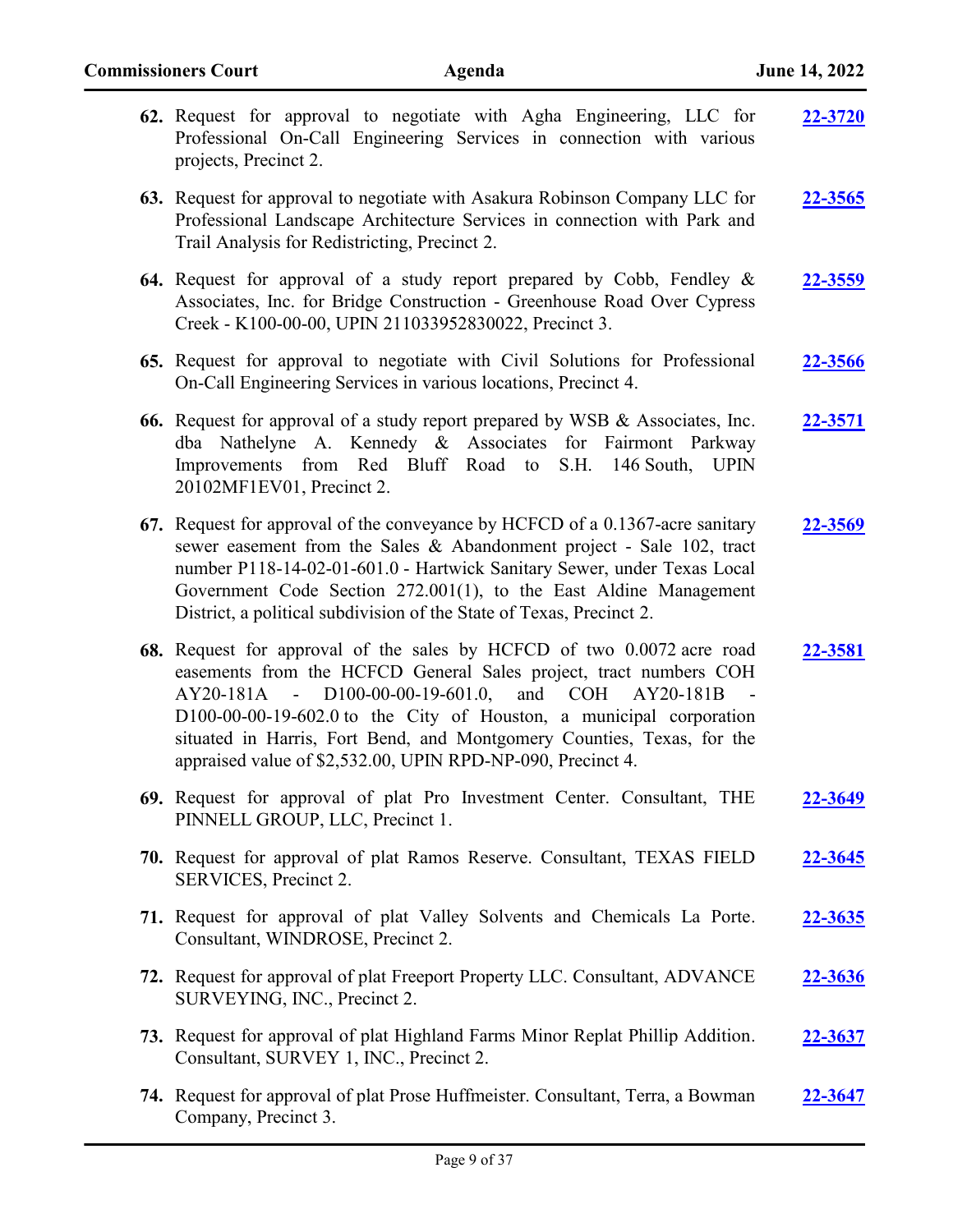| 62. Request for approval to negotiate with Agha Engineering, LLC for<br>Professional On-Call Engineering Services in connection with various<br>projects, Precinct 2.                                                                                                                                                                                                                                                             | <b>22-3720</b> |
|-----------------------------------------------------------------------------------------------------------------------------------------------------------------------------------------------------------------------------------------------------------------------------------------------------------------------------------------------------------------------------------------------------------------------------------|----------------|
| 63. Request for approval to negotiate with Asakura Robinson Company LLC for<br>Professional Landscape Architecture Services in connection with Park and<br>Trail Analysis for Redistricting, Precinct 2.                                                                                                                                                                                                                          | 22-3565        |
| 64. Request for approval of a study report prepared by Cobb, Fendley &<br>Associates, Inc. for Bridge Construction - Greenhouse Road Over Cypress<br>Creek - K100-00-00, UPIN 211033952830022, Precinct 3.                                                                                                                                                                                                                        | <u>22-3559</u> |
| 65. Request for approval to negotiate with Civil Solutions for Professional<br>On-Call Engineering Services in various locations, Precinct 4.                                                                                                                                                                                                                                                                                     | <u>22-3566</u> |
| 66. Request for approval of a study report prepared by WSB & Associates, Inc.<br>dba Nathelyne A. Kennedy & Associates for Fairmont Parkway<br>Improvements from Red Bluff Road to S.H. 146 South, UPIN<br>20102MF1EV01, Precinct 2.                                                                                                                                                                                              | <u>22-3571</u> |
| 67. Request for approval of the conveyance by HCFCD of a 0.1367-acre sanitary<br>sewer easement from the Sales & Abandonment project - Sale 102, tract<br>number P118-14-02-01-601.0 - Hartwick Sanitary Sewer, under Texas Local<br>Government Code Section 272.001(1), to the East Aldine Management<br>District, a political subdivision of the State of Texas, Precinct 2.                                                    | 22-3569        |
| 68. Request for approval of the sales by HCFCD of two 0.0072 acre road<br>easements from the HCFCD General Sales project, tract numbers COH<br>AY20-181A - D100-00-00-19-601.0, and COH AY20-181B<br>$\sim$ $-$<br>$D100-00-00-19-602.0$ to the City of Houston, a municipal corporation<br>situated in Harris, Fort Bend, and Montgomery Counties, Texas, for the<br>appraised value of \$2,532.00, UPIN RPD-NP-090, Precinct 4. | 22-3581        |
| 69. Request for approval of plat Pro Investment Center. Consultant, THE<br>PINNELL GROUP, LLC, Precinct 1.                                                                                                                                                                                                                                                                                                                        | <u>22-3649</u> |
| 70. Request for approval of plat Ramos Reserve. Consultant, TEXAS FIELD<br>SERVICES, Precinct 2.                                                                                                                                                                                                                                                                                                                                  | <u>22-3645</u> |
| 71. Request for approval of plat Valley Solvents and Chemicals La Porte.<br>Consultant, WINDROSE, Precinct 2.                                                                                                                                                                                                                                                                                                                     | <u>22-3635</u> |
| 72. Request for approval of plat Freeport Property LLC. Consultant, ADVANCE<br>SURVEYING, INC., Precinct 2.                                                                                                                                                                                                                                                                                                                       | 22-3636        |
| 73. Request for approval of plat Highland Farms Minor Replat Phillip Addition.<br>Consultant, SURVEY 1, INC., Precinct 2.                                                                                                                                                                                                                                                                                                         | <u>22-3637</u> |
| 74. Request for approval of plat Prose Huffmeister. Consultant, Terra, a Bowman<br>Company, Precinct 3.                                                                                                                                                                                                                                                                                                                           | 22-3647        |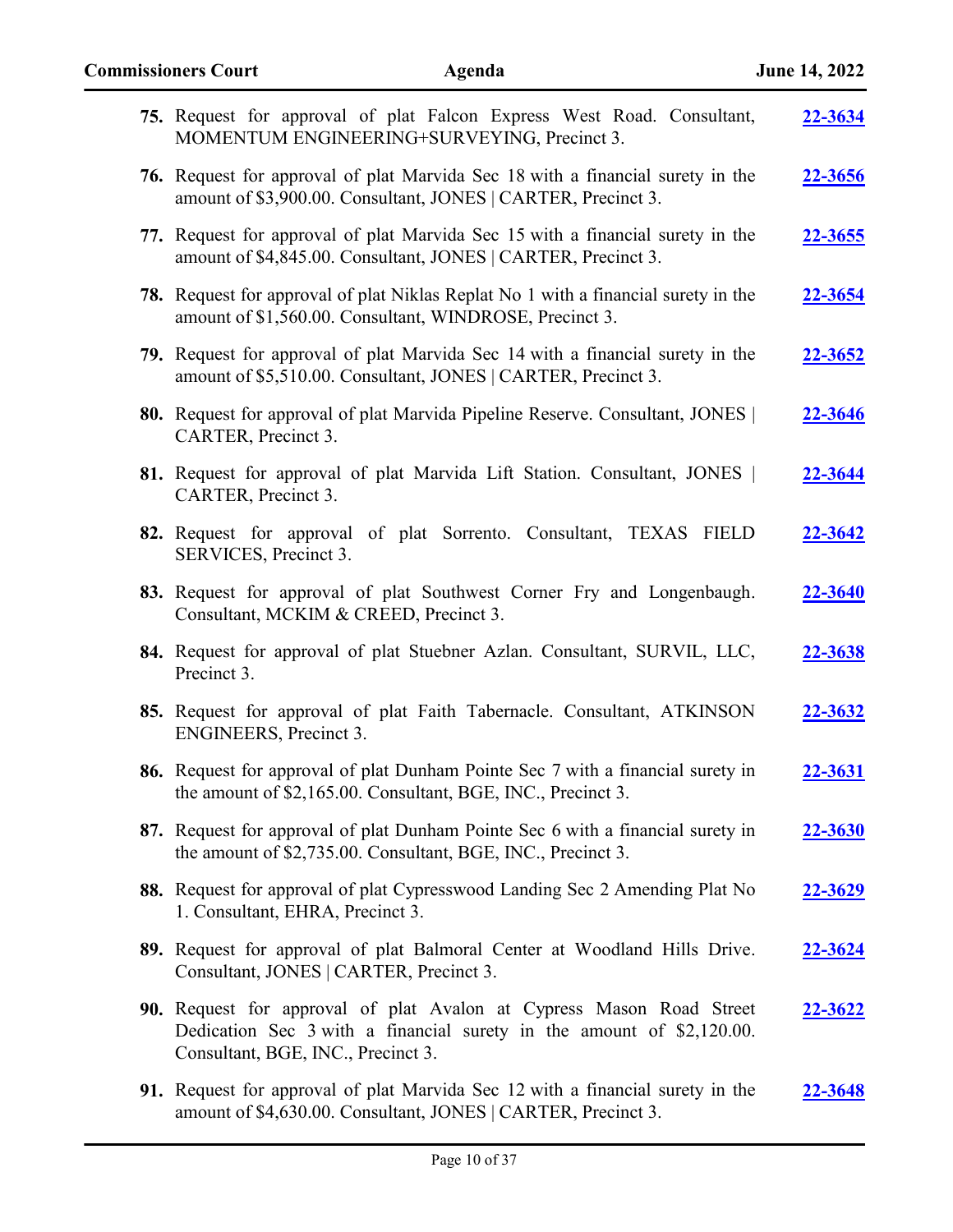| 75. Request for approval of plat Falcon Express West Road. Consultant,<br>MOMENTUM ENGINEERING+SURVEYING, Precinct 3.                                                               | 22-3634        |
|-------------------------------------------------------------------------------------------------------------------------------------------------------------------------------------|----------------|
| 76. Request for approval of plat Marvida Sec 18 with a financial surety in the<br>amount of \$3,900.00. Consultant, JONES   CARTER, Precinct 3.                                     | <u>22-3656</u> |
| 77. Request for approval of plat Marvida Sec 15 with a financial surety in the<br>amount of \$4,845.00. Consultant, JONES   CARTER, Precinct 3.                                     | <u>22-3655</u> |
| <b>78.</b> Request for approval of plat Niklas Replat No 1 with a financial surety in the<br>amount of \$1,560.00. Consultant, WINDROSE, Precinct 3.                                | <u>22-3654</u> |
| 79. Request for approval of plat Marvida Sec 14 with a financial surety in the<br>amount of \$5,510.00. Consultant, JONES   CARTER, Precinct 3.                                     | <u>22-3652</u> |
| 80. Request for approval of plat Marvida Pipeline Reserve. Consultant, JONES  <br>CARTER, Precinct 3.                                                                               | 22-3646        |
| 81. Request for approval of plat Marvida Lift Station. Consultant, JONES  <br>CARTER, Precinct 3.                                                                                   | <u>22-3644</u> |
| 82. Request for approval of plat Sorrento. Consultant, TEXAS FIELD<br>SERVICES, Precinct 3.                                                                                         | <u>22-3642</u> |
| 83. Request for approval of plat Southwest Corner Fry and Longenbaugh.<br>Consultant, MCKIM & CREED, Precinct 3.                                                                    | 22-3640        |
| 84. Request for approval of plat Stuebner Azlan. Consultant, SURVIL, LLC,<br>Precinct 3.                                                                                            | 22-3638        |
| 85. Request for approval of plat Faith Tabernacle. Consultant, ATKINSON<br><b>ENGINEERS</b> , Precinct 3.                                                                           | 22-3632        |
| 86. Request for approval of plat Dunham Pointe Sec 7 with a financial surety in<br>the amount of \$2,165.00. Consultant, BGE, INC., Precinct 3.                                     | <u>22-3631</u> |
| 87. Request for approval of plat Dunham Pointe Sec 6 with a financial surety in<br>the amount of \$2,735.00. Consultant, BGE, INC., Precinct 3.                                     | <u>22-3630</u> |
| 88. Request for approval of plat Cypresswood Landing Sec 2 Amending Plat No<br>1. Consultant, EHRA, Precinct 3.                                                                     | <u>22-3629</u> |
| 89. Request for approval of plat Balmoral Center at Woodland Hills Drive.<br>Consultant, JONES   CARTER, Precinct 3.                                                                | <u>22-3624</u> |
| 90. Request for approval of plat Avalon at Cypress Mason Road Street<br>Dedication Sec 3 with a financial surety in the amount of \$2,120.00.<br>Consultant, BGE, INC., Precinct 3. | <u>22-3622</u> |
| 91. Request for approval of plat Marvida Sec 12 with a financial surety in the<br>amount of \$4,630.00. Consultant, JONES   CARTER, Precinct 3.                                     | <u>22-3648</u> |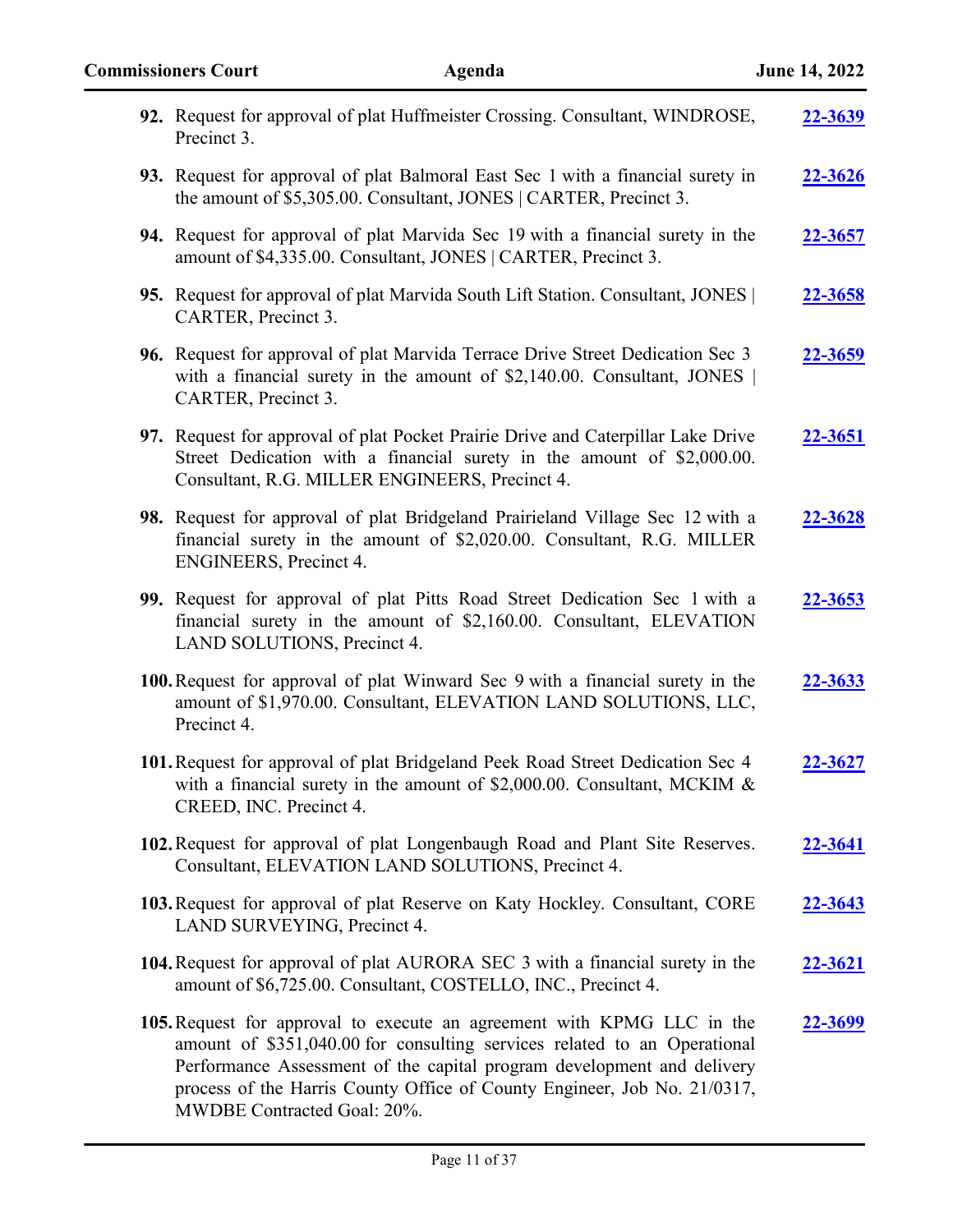| 92. Request for approval of plat Huffmeister Crossing. Consultant, WINDROSE,<br>Precinct 3.                                                                                                                                                                                                                                             | 22-3639        |
|-----------------------------------------------------------------------------------------------------------------------------------------------------------------------------------------------------------------------------------------------------------------------------------------------------------------------------------------|----------------|
| 93. Request for approval of plat Balmoral East Sec 1 with a financial surety in<br>the amount of \$5,305.00. Consultant, JONES   CARTER, Precinct 3.                                                                                                                                                                                    | 22-3626        |
| 94. Request for approval of plat Marvida Sec 19 with a financial surety in the<br>amount of \$4,335.00. Consultant, JONES   CARTER, Precinct 3.                                                                                                                                                                                         | <u>22-3657</u> |
| 95. Request for approval of plat Marvida South Lift Station. Consultant, JONES  <br>CARTER, Precinct 3.                                                                                                                                                                                                                                 | 22-3658        |
| 96. Request for approval of plat Marvida Terrace Drive Street Dedication Sec 3<br>with a financial surety in the amount of \$2,140.00. Consultant, JONES<br>CARTER, Precinct 3.                                                                                                                                                         | 22-3659        |
| 97. Request for approval of plat Pocket Prairie Drive and Caterpillar Lake Drive<br>Street Dedication with a financial surety in the amount of \$2,000.00.<br>Consultant, R.G. MILLER ENGINEERS, Precinct 4.                                                                                                                            | 22-3651        |
| 98. Request for approval of plat Bridgeland Prairieland Village Sec 12 with a<br>financial surety in the amount of \$2,020.00. Consultant, R.G. MILLER<br><b>ENGINEERS</b> , Precinct 4.                                                                                                                                                | 22-3628        |
| 99. Request for approval of plat Pitts Road Street Dedication Sec 1 with a<br>financial surety in the amount of \$2,160.00. Consultant, ELEVATION<br>LAND SOLUTIONS, Precinct 4.                                                                                                                                                        | 22-3653        |
| 100. Request for approval of plat Winward Sec 9 with a financial surety in the<br>amount of \$1,970.00. Consultant, ELEVATION LAND SOLUTIONS, LLC,<br>Precinct 4.                                                                                                                                                                       | 22-3633        |
| 101. Request for approval of plat Bridgeland Peek Road Street Dedication Sec 4<br>with a financial surety in the amount of \$2,000.00. Consultant, MCKIM $\&$<br>CREED, INC. Precinct 4.                                                                                                                                                | 22-3627        |
| 102. Request for approval of plat Longenbaugh Road and Plant Site Reserves.<br>Consultant, ELEVATION LAND SOLUTIONS, Precinct 4.                                                                                                                                                                                                        | 22-3641        |
| 103. Request for approval of plat Reserve on Katy Hockley. Consultant, CORE<br>LAND SURVEYING, Precinct 4.                                                                                                                                                                                                                              | 22-3643        |
| 104. Request for approval of plat AURORA SEC 3 with a financial surety in the<br>amount of \$6,725.00. Consultant, COSTELLO, INC., Precinct 4.                                                                                                                                                                                          | <u>22-3621</u> |
| 105. Request for approval to execute an agreement with KPMG LLC in the<br>amount of \$351,040.00 for consulting services related to an Operational<br>Performance Assessment of the capital program development and delivery<br>process of the Harris County Office of County Engineer, Job No. 21/0317,<br>MWDBE Contracted Goal: 20%. | 22-3699        |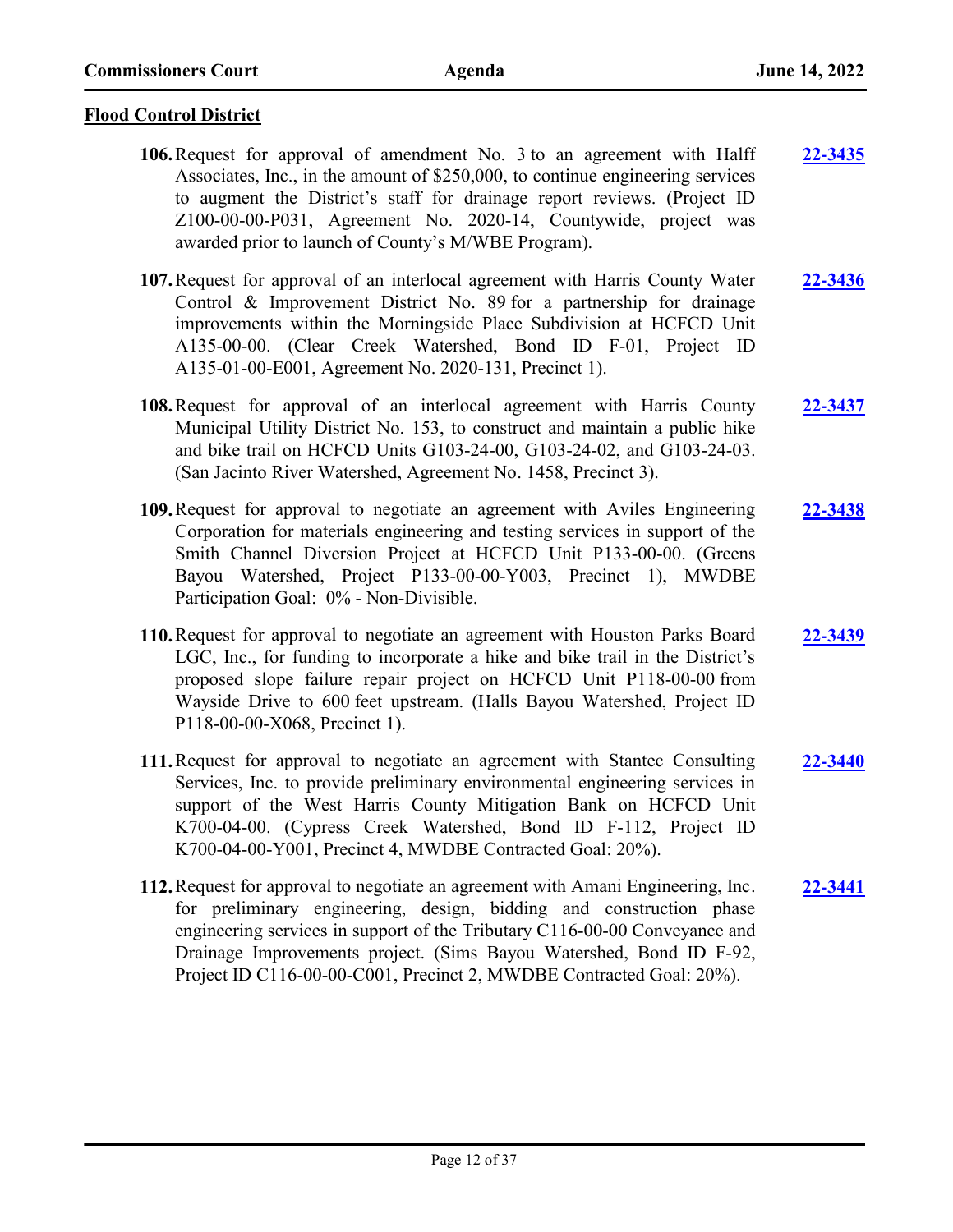### **Flood Control District**

- **106.**Request for approval of amendment No. 3 to an agreement with Halff Associates, Inc., in the amount of \$250,000, to continue engineering services to augment the District's staff for drainage report reviews. (Project ID Z100-00-00-P031, Agreement No. 2020-14, Countywide, project was awarded prior to launch of County's M/WBE Program). **[22-3435](http://harriscountytx.legistar.com/gateway.aspx?m=l&id=/matter.aspx?key=13975)**
- **107.**Request for approval of an interlocal agreement with Harris County Water Control & Improvement District No. 89 for a partnership for drainage improvements within the Morningside Place Subdivision at HCFCD Unit A135-00-00. (Clear Creek Watershed, Bond ID F-01, Project ID A135-01-00-E001, Agreement No. 2020-131, Precinct 1). **[22-3436](http://harriscountytx.legistar.com/gateway.aspx?m=l&id=/matter.aspx?key=13976)**
- **108.**Request for approval of an interlocal agreement with Harris County Municipal Utility District No. 153, to construct and maintain a public hike and bike trail on HCFCD Units G103-24-00, G103-24-02, and G103-24-03. (San Jacinto River Watershed, Agreement No. 1458, Precinct 3). **[22-3437](http://harriscountytx.legistar.com/gateway.aspx?m=l&id=/matter.aspx?key=13977)**
- **109.**Request for approval to negotiate an agreement with Aviles Engineering Corporation for materials engineering and testing services in support of the Smith Channel Diversion Project at HCFCD Unit P133-00-00. (Greens Bayou Watershed, Project P133-00-00-Y003, Precinct 1), MWDBE Participation Goal: 0% - Non-Divisible. **[22-3438](http://harriscountytx.legistar.com/gateway.aspx?m=l&id=/matter.aspx?key=13978)**
- **110.**Request for approval to negotiate an agreement with Houston Parks Board LGC, Inc., for funding to incorporate a hike and bike trail in the District's proposed slope failure repair project on HCFCD Unit P118-00-00 from Wayside Drive to 600 feet upstream. (Halls Bayou Watershed, Project ID P118-00-00-X068, Precinct 1). **[22-3439](http://harriscountytx.legistar.com/gateway.aspx?m=l&id=/matter.aspx?key=13979)**
- **111.**Request for approval to negotiate an agreement with Stantec Consulting Services, Inc. to provide preliminary environmental engineering services in support of the West Harris County Mitigation Bank on HCFCD Unit K700-04-00. (Cypress Creek Watershed, Bond ID F-112, Project ID K700-04-00-Y001, Precinct 4, MWDBE Contracted Goal: 20%). **[22-3440](http://harriscountytx.legistar.com/gateway.aspx?m=l&id=/matter.aspx?key=13980)**
- **112.**Request for approval to negotiate an agreement with Amani Engineering, Inc. for preliminary engineering, design, bidding and construction phase engineering services in support of the Tributary C116-00-00 Conveyance and Drainage Improvements project. (Sims Bayou Watershed, Bond ID F-92, Project ID C116-00-00-C001, Precinct 2, MWDBE Contracted Goal: 20%). **[22-3441](http://harriscountytx.legistar.com/gateway.aspx?m=l&id=/matter.aspx?key=13981)**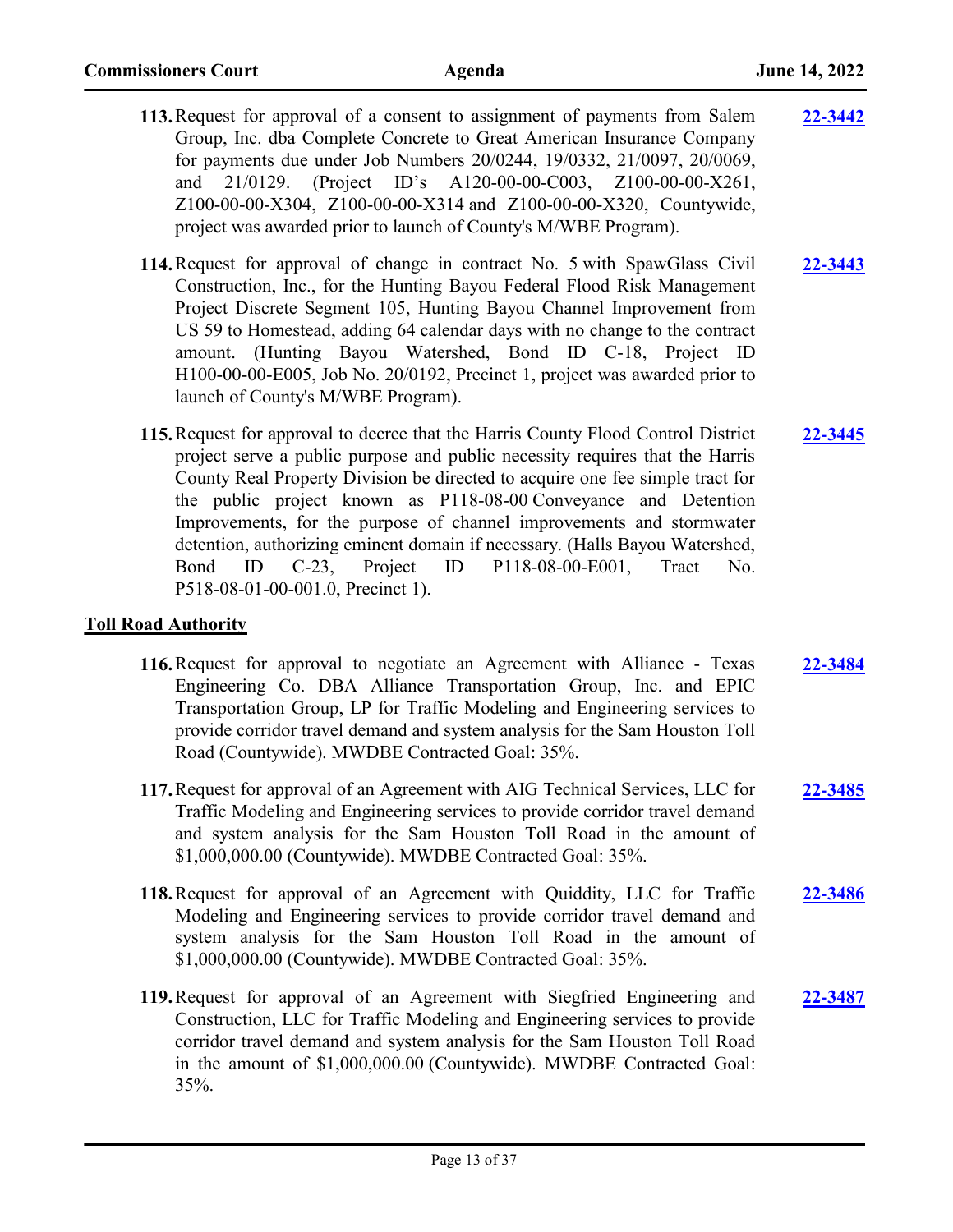- **113.**Request for approval of a consent to assignment of payments from Salem Group, Inc. dba Complete Concrete to Great American Insurance Company for payments due under Job Numbers 20/0244, 19/0332, 21/0097, 20/0069, and 21/0129. (Project ID's A120-00-00-C003, Z100-00-00-X261, Z100-00-00-X304, Z100-00-00-X314 and Z100-00-00-X320, Countywide, project was awarded prior to launch of County's M/WBE Program). **[22-3442](http://harriscountytx.legistar.com/gateway.aspx?m=l&id=/matter.aspx?key=13982) 114.**Request for approval of change in contract No. 5 with SpawGlass Civil Construction, Inc., for the Hunting Bayou Federal Flood Risk Management Project Discrete Segment 105, Hunting Bayou Channel Improvement from US 59 to Homestead, adding 64 calendar days with no change to the contract amount. (Hunting Bayou Watershed, Bond ID C-18, Project ID H100-00-00-E005, Job No. 20/0192, Precinct 1, project was awarded prior to **[22-3443](http://harriscountytx.legistar.com/gateway.aspx?m=l&id=/matter.aspx?key=13983)**
- **115.**Request for approval to decree that the Harris County Flood Control District project serve a public purpose and public necessity requires that the Harris County Real Property Division be directed to acquire one fee simple tract for the public project known as P118-08-00 Conveyance and Detention Improvements, for the purpose of channel improvements and stormwater detention, authorizing eminent domain if necessary. (Halls Bayou Watershed, Bond ID C-23, Project ID P118-08-00-E001, Tract No. P518-08-01-00-001.0, Precinct 1). **[22-3445](http://harriscountytx.legistar.com/gateway.aspx?m=l&id=/matter.aspx?key=13985)**

### **Toll Road Authority**

launch of County's M/WBE Program).

- **116.**Request for approval to negotiate an Agreement with Alliance Texas Engineering Co. DBA Alliance Transportation Group, Inc. and EPIC Transportation Group, LP for Traffic Modeling and Engineering services to provide corridor travel demand and system analysis for the Sam Houston Toll Road (Countywide). MWDBE Contracted Goal: 35%. **[22-3484](http://harriscountytx.legistar.com/gateway.aspx?m=l&id=/matter.aspx?key=14024)**
- **117.**Request for approval of an Agreement with AIG Technical Services, LLC for Traffic Modeling and Engineering services to provide corridor travel demand and system analysis for the Sam Houston Toll Road in the amount of \$1,000,000.00 (Countywide). MWDBE Contracted Goal: 35%. **[22-3485](http://harriscountytx.legistar.com/gateway.aspx?m=l&id=/matter.aspx?key=14025)**
- **118.**Request for approval of an Agreement with Quiddity, LLC for Traffic Modeling and Engineering services to provide corridor travel demand and system analysis for the Sam Houston Toll Road in the amount of \$1,000,000.00 (Countywide). MWDBE Contracted Goal: 35%. **[22-3486](http://harriscountytx.legistar.com/gateway.aspx?m=l&id=/matter.aspx?key=14026)**
- **119.**Request for approval of an Agreement with Siegfried Engineering and Construction, LLC for Traffic Modeling and Engineering services to provide corridor travel demand and system analysis for the Sam Houston Toll Road in the amount of \$1,000,000.00 (Countywide). MWDBE Contracted Goal: 35%. **[22-3487](http://harriscountytx.legistar.com/gateway.aspx?m=l&id=/matter.aspx?key=14027)**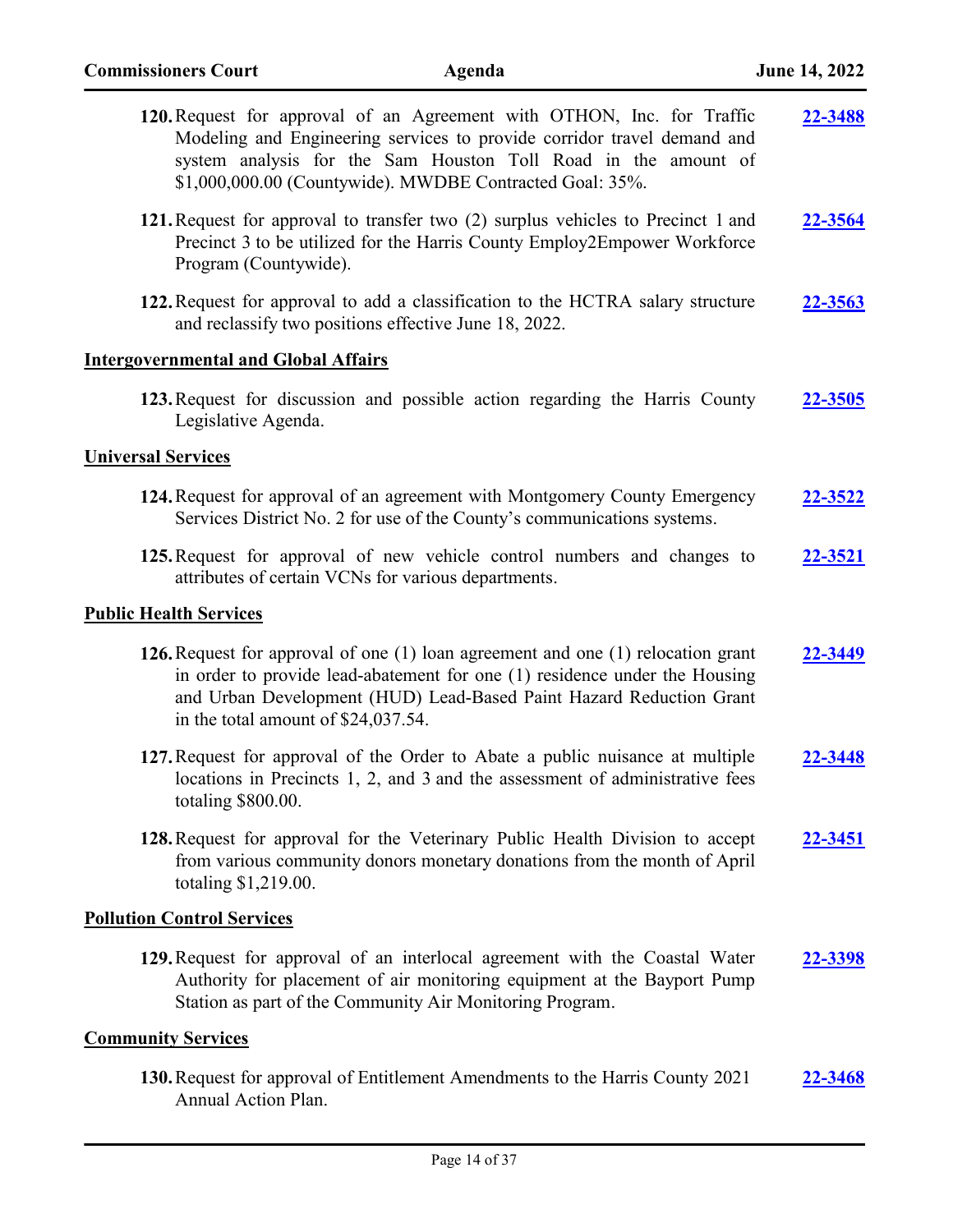| 120. Request for approval of an Agreement with OTHON, Inc. for Traffic<br>Modeling and Engineering services to provide corridor travel demand and<br>system analysis for the Sam Houston Toll Road in the amount of<br>\$1,000,000.00 (Countywide). MWDBE Contracted Goal: 35%.  | 22-3488 |
|----------------------------------------------------------------------------------------------------------------------------------------------------------------------------------------------------------------------------------------------------------------------------------|---------|
| 121. Request for approval to transfer two (2) surplus vehicles to Precinct 1 and<br>Precinct 3 to be utilized for the Harris County Employ2Empower Workforce<br>Program (Countywide).                                                                                            | 22-3564 |
| 122. Request for approval to add a classification to the HCTRA salary structure<br>and reclassify two positions effective June 18, 2022.                                                                                                                                         | 22-3563 |
| <b>Intergovernmental and Global Affairs</b>                                                                                                                                                                                                                                      |         |
| 123. Request for discussion and possible action regarding the Harris County<br>Legislative Agenda.                                                                                                                                                                               | 22-3505 |
| <b>Universal Services</b>                                                                                                                                                                                                                                                        |         |
| 124. Request for approval of an agreement with Montgomery County Emergency<br>Services District No. 2 for use of the County's communications systems.                                                                                                                            | 22-3522 |
| 125. Request for approval of new vehicle control numbers and changes to<br>attributes of certain VCNs for various departments.                                                                                                                                                   | 22-3521 |
| <b>Public Health Services</b>                                                                                                                                                                                                                                                    |         |
| 126. Request for approval of one $(1)$ loan agreement and one $(1)$ relocation grant<br>in order to provide lead-abatement for one (1) residence under the Housing<br>and Urban Development (HUD) Lead-Based Paint Hazard Reduction Grant<br>in the total amount of \$24,037.54. | 22-3449 |
| 127. Request for approval of the Order to Abate a public nuisance at multiple<br>locations in Precincts 1, 2, and 3 and the assessment of administrative fees<br>totaling \$800.00.                                                                                              | 22-3448 |
| 128. Request for approval for the Veterinary Public Health Division to accept<br>from various community donors monetary donations from the month of April<br>totaling \$1,219.00.                                                                                                | 22-3451 |
| <b>Pollution Control Services</b>                                                                                                                                                                                                                                                |         |
| 129. Request for approval of an interlocal agreement with the Coastal Water<br>Authority for placement of air monitoring equipment at the Bayport Pump<br>Station as part of the Community Air Monitoring Program.                                                               | 22-3398 |
| <b>Community Services</b>                                                                                                                                                                                                                                                        |         |
| 130. Request for approval of Entitlement Amendments to the Harris County 2021<br>Annual Action Plan.                                                                                                                                                                             | 22-3468 |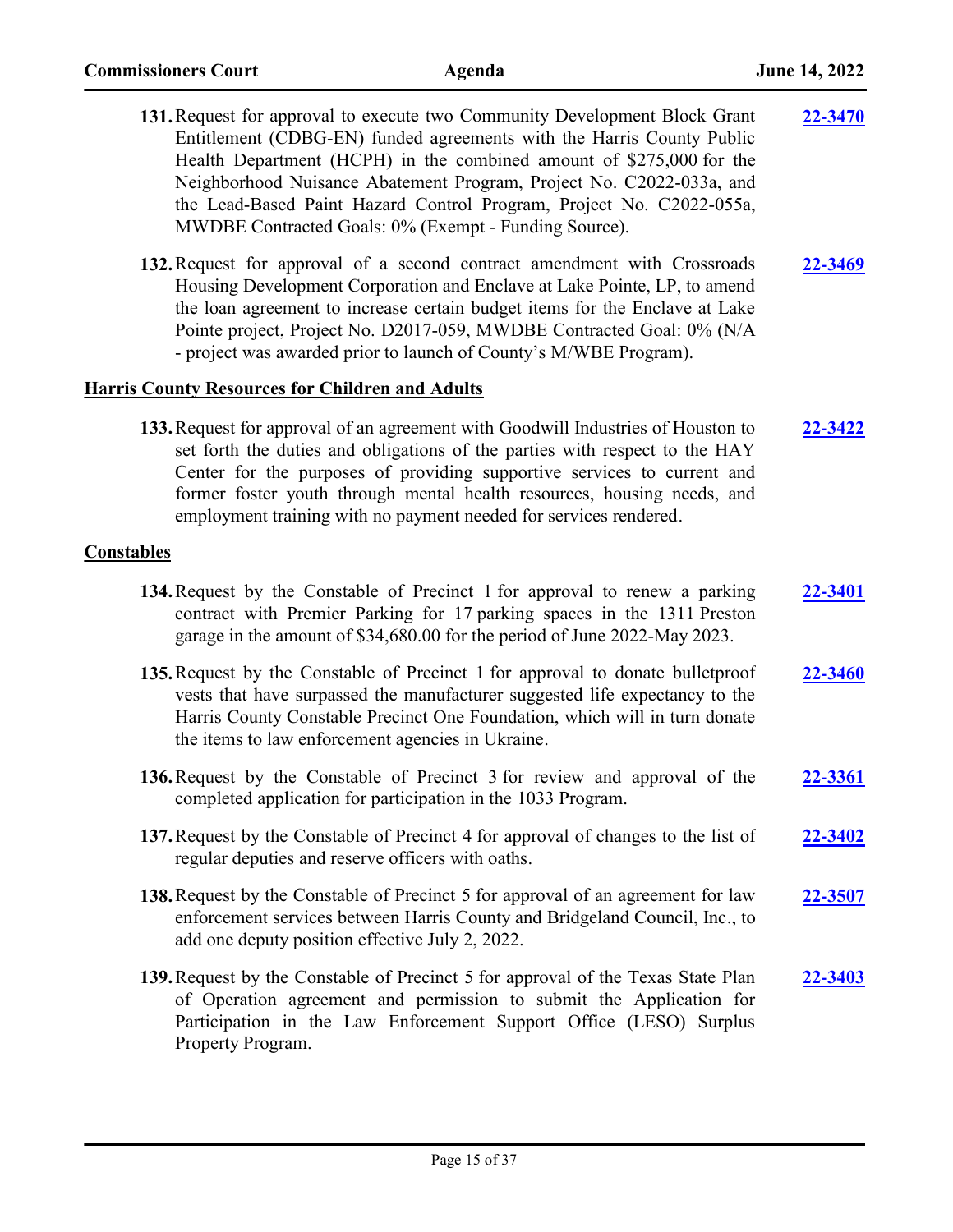| 131. Request for approval to execute two Community Development Block Grant<br>Entitlement (CDBG-EN) funded agreements with the Harris County Public<br>Health Department (HCPH) in the combined amount of \$275,000 for the<br>Neighborhood Nuisance Abatement Program, Project No. C2022-033a, and<br>the Lead-Based Paint Hazard Control Program, Project No. C2022-055a,<br>MWDBE Contracted Goals: 0% (Exempt - Funding Source). | 22-3470        |
|--------------------------------------------------------------------------------------------------------------------------------------------------------------------------------------------------------------------------------------------------------------------------------------------------------------------------------------------------------------------------------------------------------------------------------------|----------------|
| 132. Request for approval of a second contract amendment with Crossroads<br>Housing Development Corporation and Enclave at Lake Pointe, LP, to amend<br>the loan agreement to increase certain budget items for the Enclave at Lake<br>Pointe project, Project No. D2017-059, MWDBE Contracted Goal: 0% (N/A)<br>- project was awarded prior to launch of County's M/WBE Program).                                                   | 22-3469        |
| <b>Harris County Resources for Children and Adults</b>                                                                                                                                                                                                                                                                                                                                                                               |                |
| 133. Request for approval of an agreement with Goodwill Industries of Houston to<br>set forth the duties and obligations of the parties with respect to the HAY<br>Center for the purposes of providing supportive services to current and<br>former foster youth through mental health resources, housing needs, and<br>employment training with no payment needed for services rendered.                                           | 22-3422        |
| <b>Constables</b>                                                                                                                                                                                                                                                                                                                                                                                                                    |                |
| 134. Request by the Constable of Precinct 1 for approval to renew a parking<br>contract with Premier Parking for 17 parking spaces in the 1311 Preston<br>garage in the amount of \$34,680.00 for the period of June 2022-May 2023.                                                                                                                                                                                                  | 22-3401        |
| 135. Request by the Constable of Precinct 1 for approval to donate bulletproof<br>vests that have surpassed the manufacturer suggested life expectancy to the<br>Harris County Constable Precinct One Foundation, which will in turn donate<br>the items to law enforcement agencies in Ukraine.                                                                                                                                     | 22-3460        |
| 136. Request by the Constable of Precinct 3 for review and approval of the<br>completed application for participation in the 1033 Program.                                                                                                                                                                                                                                                                                           | <b>22-3361</b> |
| 137. Request by the Constable of Precinct 4 for approval of changes to the list of<br>regular deputies and reserve officers with oaths.                                                                                                                                                                                                                                                                                              | 22-3402        |
| 138. Request by the Constable of Precinct 5 for approval of an agreement for law<br>enforcement services between Harris County and Bridgeland Council, Inc., to<br>add one deputy position effective July 2, 2022.                                                                                                                                                                                                                   | 22-3507        |
| 139. Request by the Constable of Precinct 5 for approval of the Texas State Plan<br>of Operation agreement and permission to submit the Application for<br>Participation in the Law Enforcement Support Office (LESO) Surplus<br>Property Program.                                                                                                                                                                                   | <u>22-3403</u> |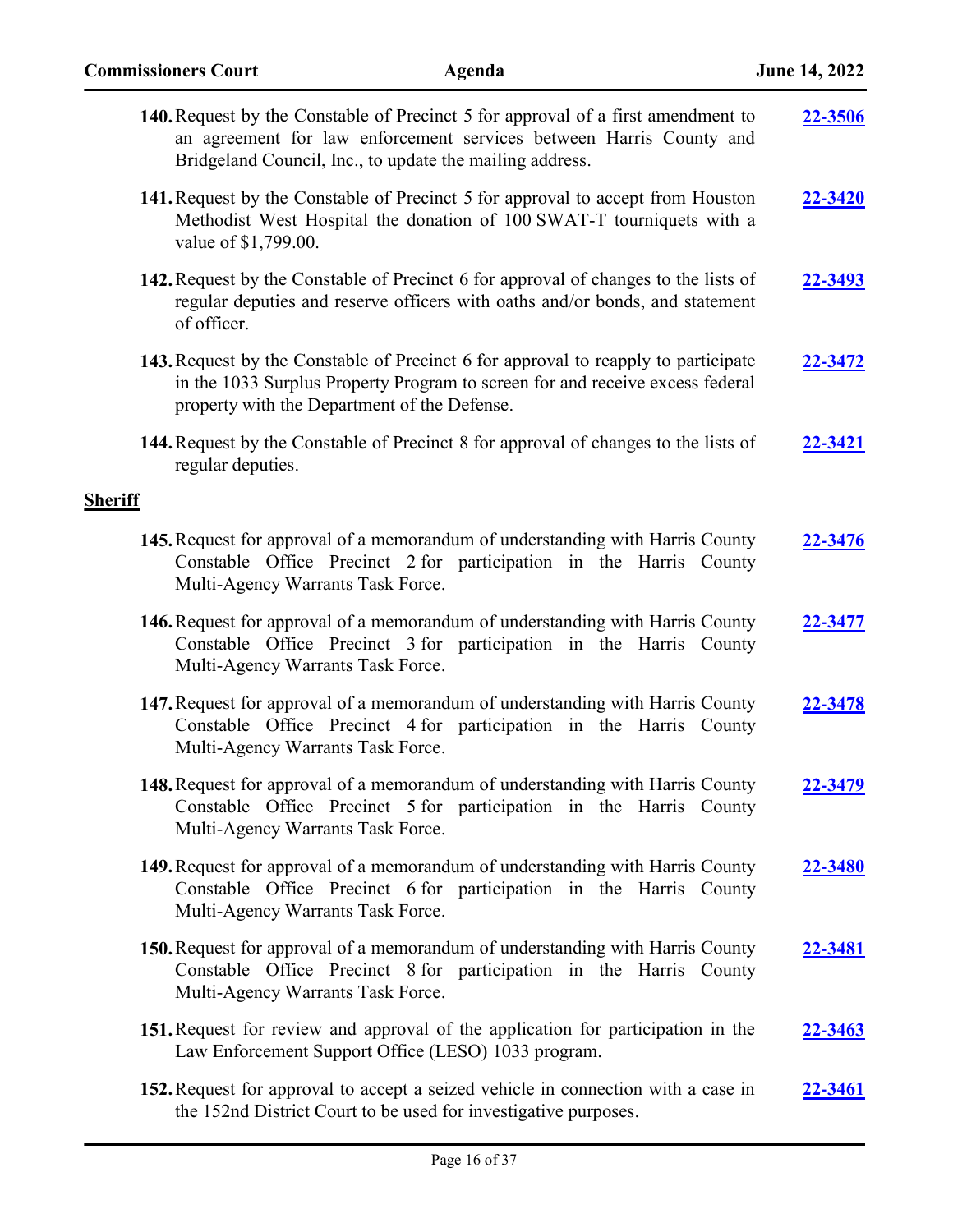| 140. Request by the Constable of Precinct 5 for approval of a first amendment to<br>an agreement for law enforcement services between Harris County and<br>Bridgeland Council, Inc., to update the mailing address. | 22-3506        |
|---------------------------------------------------------------------------------------------------------------------------------------------------------------------------------------------------------------------|----------------|
| 141. Request by the Constable of Precinct 5 for approval to accept from Houston<br>Methodist West Hospital the donation of 100 SWAT-T tourniquets with a<br>value of \$1,799.00.                                    | 22-3420        |
| 142. Request by the Constable of Precinct 6 for approval of changes to the lists of<br>regular deputies and reserve officers with oaths and/or bonds, and statement<br>of officer.                                  | 22-3493        |
| 143. Request by the Constable of Precinct 6 for approval to reapply to participate<br>in the 1033 Surplus Property Program to screen for and receive excess federal<br>property with the Department of the Defense. | <u>22-3472</u> |
| 144. Request by the Constable of Precinct 8 for approval of changes to the lists of<br>regular deputies.                                                                                                            | 22-3421        |
| <b>Sheriff</b>                                                                                                                                                                                                      |                |
| 145. Request for approval of a memorandum of understanding with Harris County<br>Constable Office Precinct 2 for participation in the Harris County<br>Multi-Agency Warrants Task Force.                            | 22-3476        |
| 146. Request for approval of a memorandum of understanding with Harris County<br>Constable Office Precinct 3 for participation in the Harris County<br>Multi-Agency Warrants Task Force.                            | 22-3477        |
| 147. Request for approval of a memorandum of understanding with Harris County<br>Constable Office Precinct 4 for participation in the Harris County<br>Multi-Agency Warrants Task Force.                            | 22-3478        |
| 148. Request for approval of a memorandum of understanding with Harris County<br>Constable Office Precinct 5 for participation in the Harris County<br>Multi-Agency Warrants Task Force.                            | 22-3479        |
| 149. Request for approval of a memorandum of understanding with Harris County<br>Constable Office Precinct 6 for participation in the Harris County<br>Multi-Agency Warrants Task Force.                            | 22-3480        |
| 150. Request for approval of a memorandum of understanding with Harris County<br>Constable Office Precinct 8 for participation in the Harris County<br>Multi-Agency Warrants Task Force.                            | 22-3481        |
| 151. Request for review and approval of the application for participation in the<br>Law Enforcement Support Office (LESO) 1033 program.                                                                             | <u>22-3463</u> |
| <b>152.</b> Request for approval to accept a seized vehicle in connection with a case in<br>the 152nd District Court to be used for investigative purposes.                                                         | <u>22-3461</u> |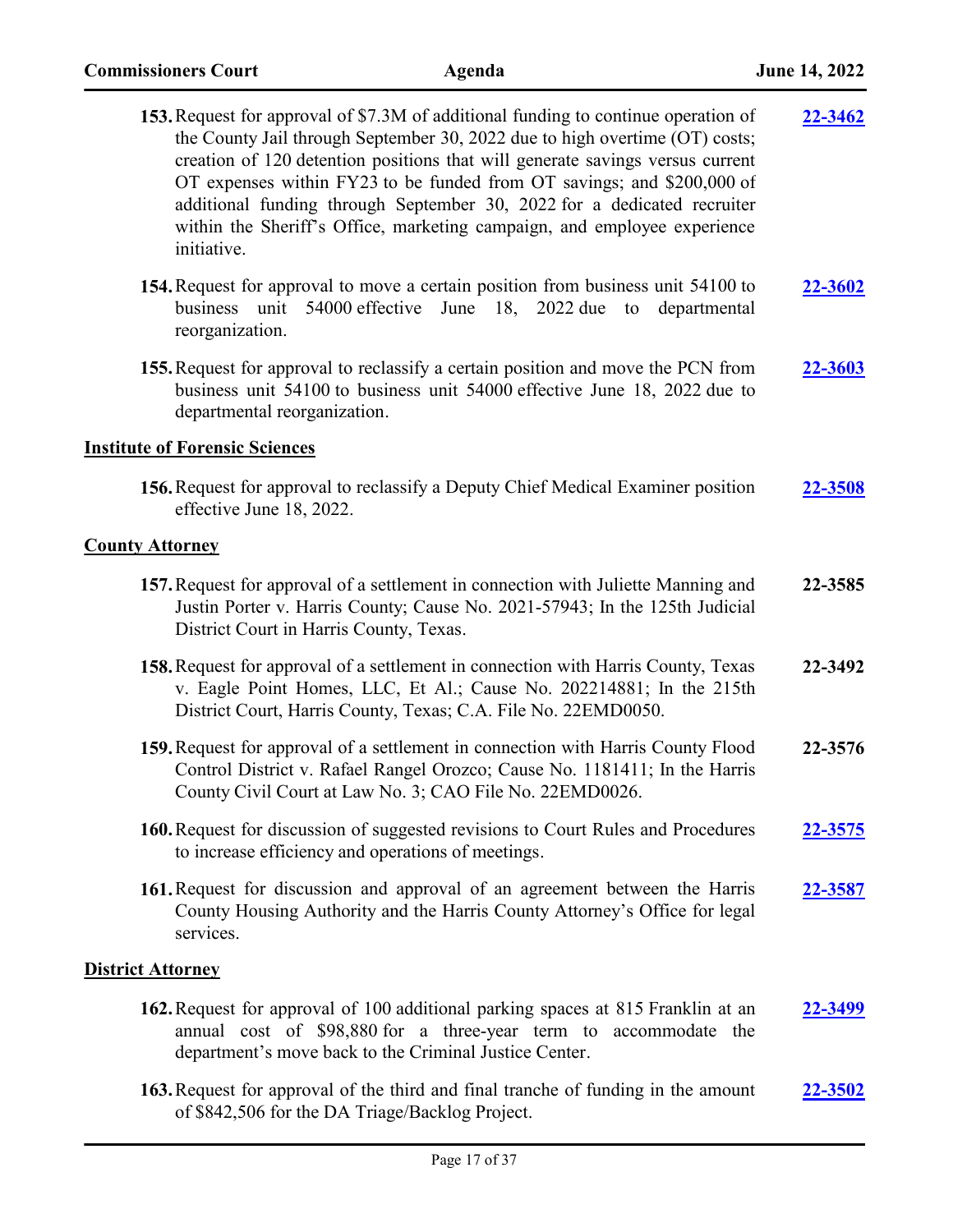| <b>153.</b> Request for approval of \$7.3M of additional funding to continue operation of<br>the County Jail through September 30, 2022 due to high overtime (OT) costs;<br>creation of 120 detention positions that will generate savings versus current<br>OT expenses within FY23 to be funded from OT savings; and \$200,000 of<br>additional funding through September 30, 2022 for a dedicated recruiter<br>within the Sheriff's Office, marketing campaign, and employee experience<br>initiative. | 22-3462        |
|-----------------------------------------------------------------------------------------------------------------------------------------------------------------------------------------------------------------------------------------------------------------------------------------------------------------------------------------------------------------------------------------------------------------------------------------------------------------------------------------------------------|----------------|
| 154. Request for approval to move a certain position from business unit 54100 to<br>unit<br>54000 effective<br>June<br>2022 due<br>business<br>18,<br>departmental<br>to<br>reorganization.                                                                                                                                                                                                                                                                                                               | 22-3602        |
| 155. Request for approval to reclassify a certain position and move the PCN from<br>business unit 54100 to business unit 54000 effective June 18, 2022 due to<br>departmental reorganization.                                                                                                                                                                                                                                                                                                             | 22-3603        |
| <b>Institute of Forensic Sciences</b>                                                                                                                                                                                                                                                                                                                                                                                                                                                                     |                |
| <b>156.</b> Request for approval to reclassify a Deputy Chief Medical Examiner position<br>effective June 18, 2022.                                                                                                                                                                                                                                                                                                                                                                                       | 22-3508        |
| <b>County Attorney</b>                                                                                                                                                                                                                                                                                                                                                                                                                                                                                    |                |
| 157. Request for approval of a settlement in connection with Juliette Manning and<br>Justin Porter v. Harris County; Cause No. 2021-57943; In the 125th Judicial<br>District Court in Harris County, Texas.                                                                                                                                                                                                                                                                                               | 22-3585        |
| 158. Request for approval of a settlement in connection with Harris County, Texas<br>v. Eagle Point Homes, LLC, Et Al.; Cause No. 202214881; In the 215th<br>District Court, Harris County, Texas; C.A. File No. 22EMD0050.                                                                                                                                                                                                                                                                               | 22-3492        |
| 159. Request for approval of a settlement in connection with Harris County Flood<br>Control District v. Rafael Rangel Orozco; Cause No. 1181411; In the Harris<br>County Civil Court at Law No. 3; CAO File No. 22EMD0026.                                                                                                                                                                                                                                                                                | 22-3576        |
| 160. Request for discussion of suggested revisions to Court Rules and Procedures<br>to increase efficiency and operations of meetings.                                                                                                                                                                                                                                                                                                                                                                    | <b>22-3575</b> |
| 161. Request for discussion and approval of an agreement between the Harris<br>County Housing Authority and the Harris County Attorney's Office for legal<br>services.                                                                                                                                                                                                                                                                                                                                    | <u>22-3587</u> |
| <b>District Attorney</b>                                                                                                                                                                                                                                                                                                                                                                                                                                                                                  |                |
| 162. Request for approval of 100 additional parking spaces at 815 Franklin at an<br>annual cost of \$98,880 for a three-year term to accommodate the<br>department's move back to the Criminal Justice Center.                                                                                                                                                                                                                                                                                            | 22-3499        |
| 163. Request for approval of the third and final tranche of funding in the amount<br>of \$842,506 for the DA Triage/Backlog Project.                                                                                                                                                                                                                                                                                                                                                                      | <b>22-3502</b> |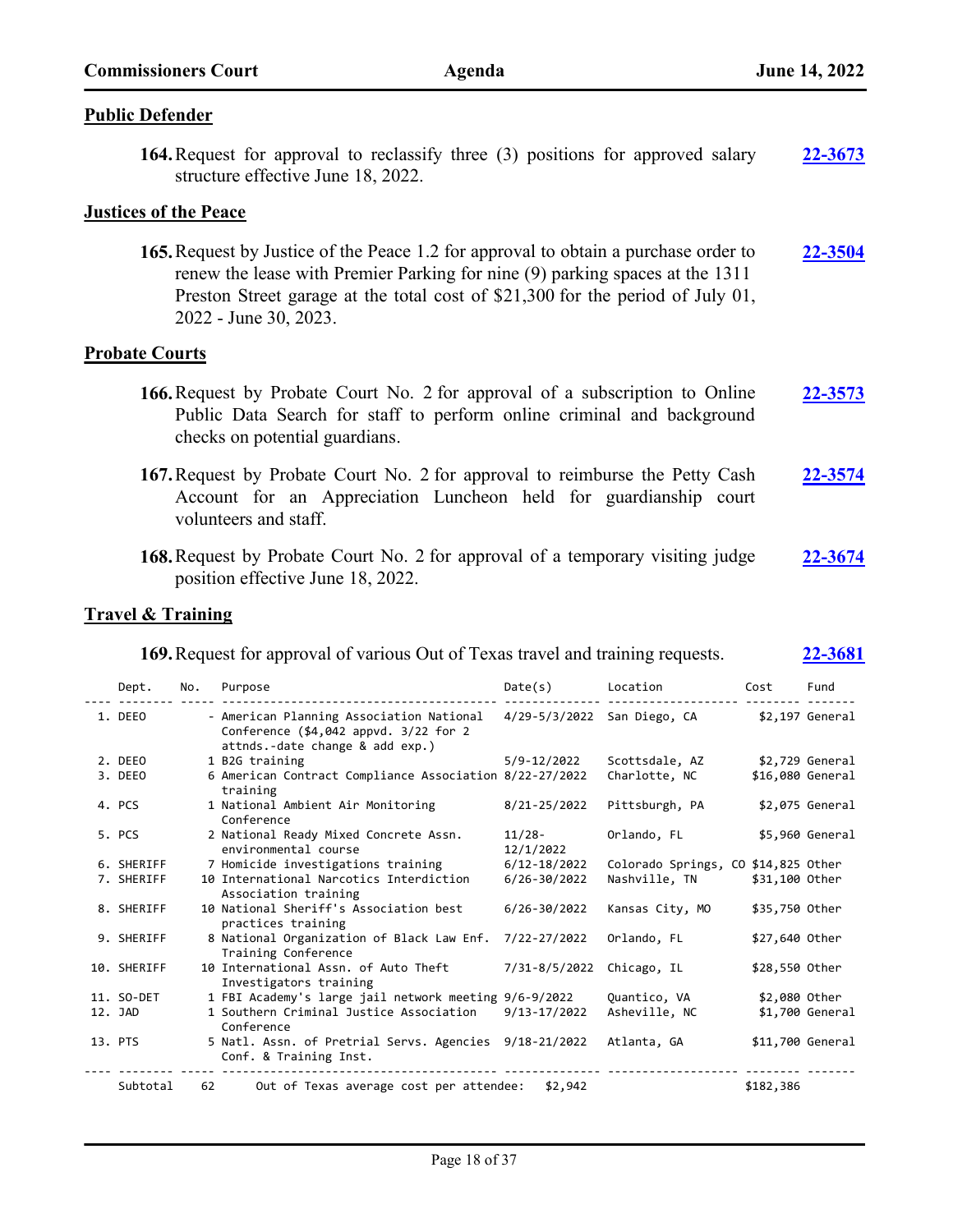### **Public Defender**

**164.**Request for approval to reclassify three (3) positions for approved salary structure effective June 18, 2022. **[22-3673](http://harriscountytx.legistar.com/gateway.aspx?m=l&id=/matter.aspx?key=14213)**

### **Justices of the Peace**

**165.**Request by Justice of the Peace 1.2 for approval to obtain a purchase order to renew the lease with Premier Parking for nine (9) parking spaces at the 1311 Preston Street garage at the total cost of \$21,300 for the period of July 01, 2022 - June 30, 2023. **[22-3504](http://harriscountytx.legistar.com/gateway.aspx?m=l&id=/matter.aspx?key=14044)**

### **Probate Courts**

- **166.**Request by Probate Court No. 2 for approval of a subscription to Online Public Data Search for staff to perform online criminal and background checks on potential guardians. **[22-3573](http://harriscountytx.legistar.com/gateway.aspx?m=l&id=/matter.aspx?key=14113)**
- **167.**Request by Probate Court No. 2 for approval to reimburse the Petty Cash Account for an Appreciation Luncheon held for guardianship court volunteers and staff. **[22-3574](http://harriscountytx.legistar.com/gateway.aspx?m=l&id=/matter.aspx?key=14114)**
- **168.**Request by Probate Court No. 2 for approval of a temporary visiting judge position effective June 18, 2022. **[22-3674](http://harriscountytx.legistar.com/gateway.aspx?m=l&id=/matter.aspx?key=14214)**

### **Travel & Training**

| <b>169.</b> Request for approval of various Out of Texas travel and training requests. |     |                                                                                                                      |                             | 22-3681                             |                |                  |
|----------------------------------------------------------------------------------------|-----|----------------------------------------------------------------------------------------------------------------------|-----------------------------|-------------------------------------|----------------|------------------|
| Dept.                                                                                  | No. | Purpose                                                                                                              | Date(s)                     | Location                            | Cost           | Fund             |
| 1. DEEO                                                                                |     | - American Planning Association National<br>Conference (\$4,042 appvd. 3/22 for 2<br>attnds.-date change & add exp.) | 4/29-5/3/2022 San Diego, CA |                                     |                | \$2,197 General  |
| 2. DEEO                                                                                |     | 1 B2G training                                                                                                       | 5/9-12/2022                 | Scottsdale, AZ                      |                | \$2,729 General  |
| 3. DEEO                                                                                |     | 6 American Contract Compliance Association 8/22-27/2022<br>training                                                  |                             | Charlotte, NC                       |                | \$16,080 General |
| 4. PCS                                                                                 |     | 1 National Ambient Air Monitoring<br>Conference                                                                      | 8/21-25/2022                | Pittsburgh, PA                      |                | $$2,075$ General |
| 5. PCS                                                                                 |     | 2 National Ready Mixed Concrete Assn.<br>environmental course                                                        | 11/28-<br>12/1/2022         | Orlando, FL                         |                | \$5,960 General  |
| 6. SHERIFF                                                                             |     | 7 Homicide investigations training                                                                                   | $6/12 - 18/2022$            | Colorado Springs, CO \$14,825 Other |                |                  |
| 7. SHERIFF                                                                             |     | 10 International Narcotics Interdiction<br>Association training                                                      | $6/26 - 30/2022$            | Nashville, TN                       | \$31,100 Other |                  |
| 8. SHERIFF                                                                             |     | 10 National Sheriff's Association best<br>practices training                                                         | $6/26 - 30/2022$            | Kansas City, MO                     | \$35,750 Other |                  |
| 9. SHERIFF                                                                             |     | 8 National Organization of Black Law Enf.<br>Training Conference                                                     | 7/22-27/2022                | Orlando, FL                         | \$27,640 Other |                  |
| 10. SHERIFF                                                                            |     | 10 International Assn. of Auto Theft<br>Investigators training                                                       | 7/31-8/5/2022               | Chicago, IL                         | \$28,550 Other |                  |
| 11. SO-DET                                                                             |     | 1 FBI Academy's large jail network meeting 9/6-9/2022                                                                |                             | Quantico, VA                        | \$2,080 Other  |                  |
| 12. JAD                                                                                |     | 1 Southern Criminal Justice Association<br>Conference                                                                | $9/13 - 17/2022$            | Asheville, NC                       |                | $$1,700$ General |
| 13. PTS                                                                                |     | 5 Natl. Assn. of Pretrial Servs. Agencies 9/18-21/2022<br>Conf. & Training Inst.                                     |                             | Atlanta, GA                         |                | \$11,700 General |
| Subtotal                                                                               | 62  | Out of Texas average cost per attendee:                                                                              | \$2,942                     |                                     | \$182,386      |                  |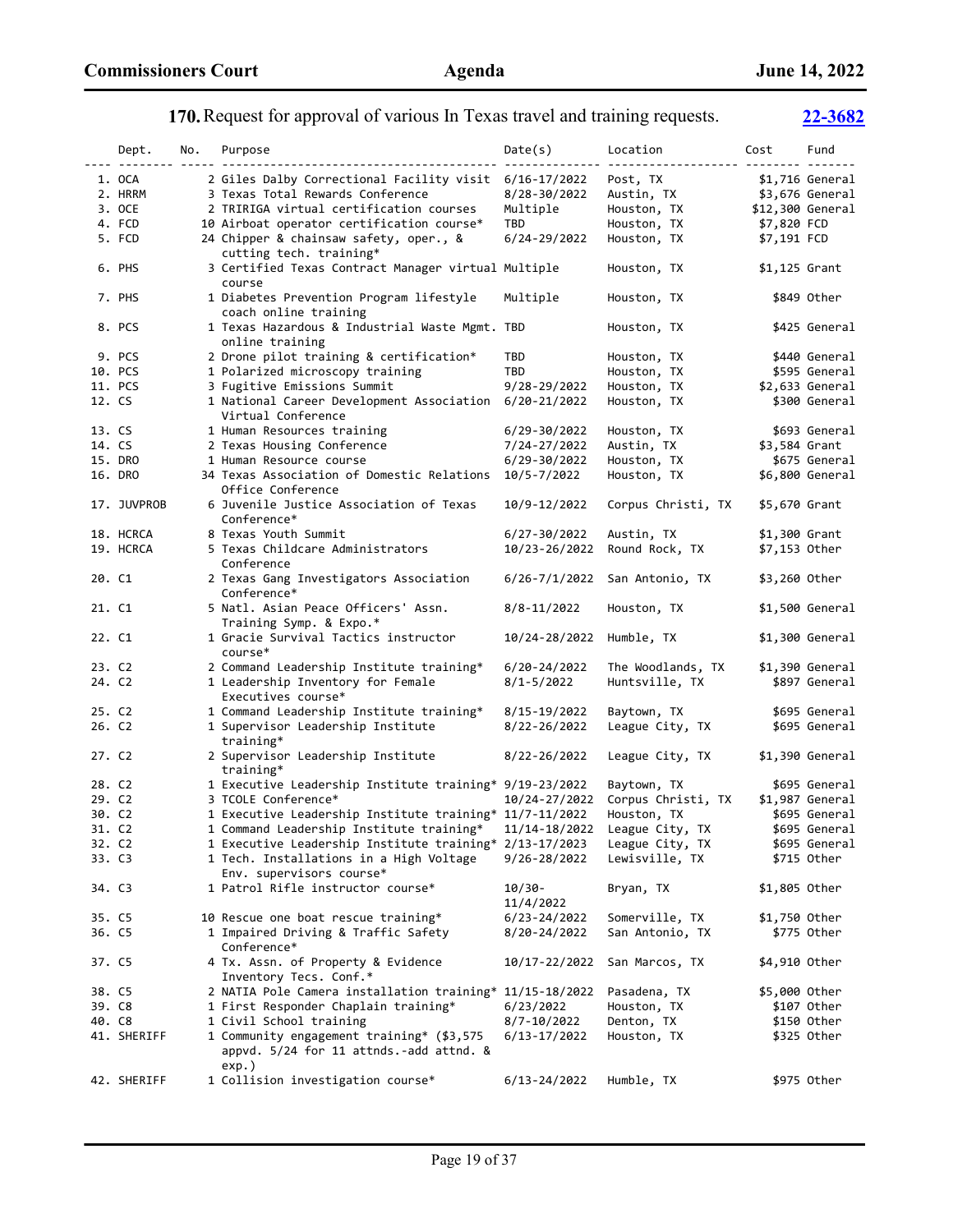### Dept. No. Purpose Date(s) Location Cost Fund ---- -------- ----- ---------------------------------------- -------------- ------------------- -------- ------- 1. OCA 2 Giles Dalby Correctional Facility visit 6/16-17/2022 Post, TX \$1,716 General<br>2. HRRM 3 Texas Total Rewards Conference 8/28-30/2022 Austin, TX \$3.676 General 3 Texas Total Rewards Conference 8/28-30/2022 Austin, TX \$3,676 General 3. OCE 2 TRIRIGA virtual certification courses Multiple Houston, TX \$12,300 General<br>4. FCD 10 Airboat operator certification course\* TBD Houston, TX \$7,820 FCD 10 Airboat operator certification course\* TBD Houston, TX<br>24 Chipper & chainsaw safety, oper., & 6/24-29/2022 Houston, TX 5. FCD 24 Chipper & chainsaw safety, oper., & 6/24-29/2022 Houston, TX \$7,191 FCD cutting tech. training\* 6. PHS 3 Certified Texas Contract Manager virtual Multiple Houston, TX \$1,125 Grant course 7. PHS 1Diabetes Prevention Program lifestyle Multiple Houston, TX \$849 Other coach online training 8. PCS 1 Texas Hazardous & Industrial Waste Mgmt. TBD Houston, TX \$425 General online training 9. PCS 2 Drone pilot training & certification\* TBD Houston, TX \$440 General 10. PCS 1 Polarized microscopy training TBD Houston, TX \$595 General 11. PCS 3 Fugitive Emissions Summit 9/28-29/2022 Houston, TX \$2,633 General 12. CS 1 National Career Development Association 6/20-21/2022 Houston, TX \$300 General Virtual Conference 13. CS 1 Human Resources training 6/29-30/2022 Houston, TX \$693 General 14. CS 2 Texas Housing Conference 7/24-27/2022 Austin, TX \$3,584 Grant 14. CS 2 Texas Housing Conference 2 2 24-27/2022 Austin, TX \$3,584 Grant<br>15. DRO 1 Human Resource course 2 6/29-30/2022 Houston, TX \$675 Genera 1 Human Resource course 6/29-30/2022 Houston, TX \$675 General 16. DRO 34 Texas Association of Domestic Relations 10/5-7/2022 Houston, TX \$6,800 General Office Conference 17. JUVPROB 6 Juvenile Justice Association of Texas 10/9-12/2022 Corpus Christi, TX \$5,670 Grant Conference\* 18. HCRCA 8 Texas Youth Summit 6/27-30/2022 Austin, TX \$1,300 Grant 19. HCRCA 5 Texas Childcare Administrators 10/23-26/2022 Round Rock, TX \$7,153 Other Conference 20. C1 2 Texas Gang Investigators Association 6/26-7/1/2022 San Antonio, TX \$3,260 Other Conference\* 21. C1 5 Natl. Asian Peace Officers' Assn. 8/8-11/2022 Houston, TX \$1,500 General Training Symp. & Expo.\* 22. C1 1 Gracie Survival Tactics instructor 10/24-28/2022 Humble, TX \$1,300 General course\* 23. C2 2 Command Leadership Institute training\* 6/20-24/2022 The Woodlands, TX \$1,390 General 24. C2 1 Leadership Inventory for Female 8/1-5/2022 Huntsville, TX \$897 General Executives course\* 25. C2 1 Command Leadership Institute training\* 8/15-19/2022 Baytown, TX \$695 General 26. C2 1 Supervisor Leadership Institute 8/22-26/2022 League City, TX \$695 General training\* 27. C2 2 Supervisor Leadership Institute 8/22-26/2022 League City, TX \$1,390 General training\*<br>28. C2 1 Executive 1 Executive Leadership Institute training\* 9/19-23/2022 Baytown, TX \$695 General 29. C2 3 TCOLE Conference\* 10/24-27/2022 Corpus Christi, TX \$1,987 General 30. C2 1 Executive Leadership Institute training\* 11/7-11/2022 Houston, TX \$695 General 31. C2  $1$  Command Leadership Institute training\*  $11/14-18/2022$  32. C2 1 Executive Leadership Institute training\* 2/13-17/2023 League City, TX \$695 General 33. C3 1 Tech. Installations in a High Voltage 9/26-28/2022 Lewisville, TX \$715 Other Env. supervisors course\* 34. C3 1 Patrol Rifle instructor course\* 10/30- Bryan, TX \$1,805 Other 11/4/2022 35. C5 10 Rescue one boat rescue training\* 6/23-24/2022 Somerville, TX \$1,750 Other 36. C5 1 Impaired Driving & Traffic Safety 8/20-24/2022 San Antonio, TX \$775 Other Conference\* 37. C5 4 Tx. Assn. of Property & Evidence 10/17-22/2022 San Marcos, TX \$4,910 Other Inventory Tecs. Conf.\* 38. C5 2 NATIA Pole Camera installation training\* 11/15-18/2022 Pasadena, TX \$5,000 Other 39. C8 1 First Responder Chaplain training\* 6/23/2022 Houston, TX \$107 Other 40. C8 1 Civil School training 8/7-10/2022 Denton, TX \$150 Other 41. SHERIFF 1 Community engagement training\* (\$3,575 6/13-17/2022 Houston, TX \$325 Other appvd. 5/24 for 11 attnds.-add attnd. & exp.)

**170.**Request for approval of various In Texas travel and training requests. **[22-3682](http://harriscountytx.legistar.com/gateway.aspx?m=l&id=/matter.aspx?key=14222)**

42. SHERIFF 1 Collision investigation course\* 6/13-24/2022 Humble, TX \$975 Other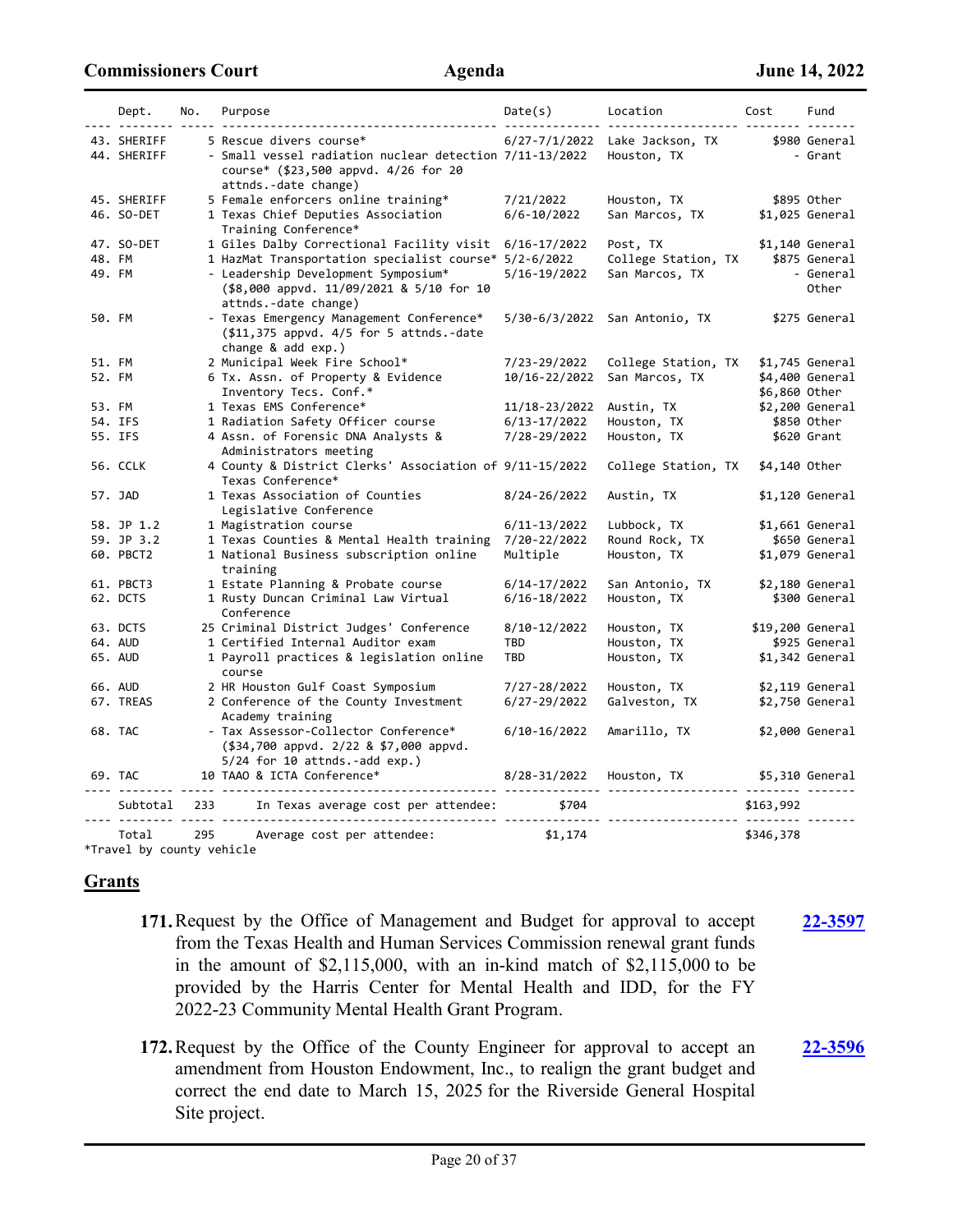**[22-3597](http://harriscountytx.legistar.com/gateway.aspx?m=l&id=/matter.aspx?key=14137)**

|        | Dept.                      | No. | Purpose                                                                                                                                            | Date(s)          | Location<br><u>------------ --------</u> | Cost            | Fund                     |
|--------|----------------------------|-----|----------------------------------------------------------------------------------------------------------------------------------------------------|------------------|------------------------------------------|-----------------|--------------------------|
|        | 43. SHERIFF<br>44. SHERIFF |     | 5 Rescue divers course*<br>- Small vessel radiation nuclear detection 7/11-13/2022<br>course* (\$23,500 appvd. 4/26 for 20<br>attnds.-date change) | 6/27-7/1/2022    | Lake Jackson, TX<br>Houston, TX          |                 | \$980 General<br>- Grant |
|        | 45. SHERIFF                |     | 5 Female enforcers online training*                                                                                                                | 7/21/2022        | Houston, TX                              |                 | \$895 Other              |
|        | 46. SO-DET                 |     | 1 Texas Chief Deputies Association<br>Training Conference*                                                                                         | $6/6 - 10/2022$  | San Marcos, TX                           |                 | $$1,025$ General         |
|        | 47. SO-DET                 |     | 1 Giles Dalby Correctional Facility visit                                                                                                          | 6/16-17/2022     | Post, TX                                 |                 | \$1,140 General          |
| 48. FM |                            |     | 1 HazMat Transportation specialist course* 5/2-6/2022                                                                                              |                  | College Station, TX                      |                 | \$875 General            |
| 49. FM |                            |     | - Leadership Development Symposium*<br>(\$8,000 appvd. 11/09/2021 & 5/10 for 10<br>attnds.-date change)                                            | 5/16-19/2022     | San Marcos, TX                           |                 | - General<br>Other       |
| 50. FM |                            |     | - Texas Emergency Management Conference*<br>$($11,375$ appvd. $4/5$ for 5 attnds.-date<br>change $&$ add $exp.$ )                                  |                  | 5/30-6/3/2022 San Antonio, TX            |                 | \$275 General            |
| 51. FM |                            |     | 2 Municipal Week Fire School*                                                                                                                      | 7/23-29/2022     | College Station, TX                      |                 | \$1,745 General          |
| 52. FM |                            |     | 6 Tx. Assn. of Property & Evidence                                                                                                                 | 10/16-22/2022    | San Marcos, TX                           |                 | \$4,400 General          |
|        |                            |     | Inventory Tecs. Conf.*                                                                                                                             |                  |                                          | \$6,860 Other   |                          |
| 53. FM |                            |     | 1 Texas EMS Conference*                                                                                                                            | 11/18-23/2022    | Austin, TX                               |                 | $$2,200$ General         |
|        | 54. IFS                    |     | 1 Radiation Safety Officer course                                                                                                                  | 6/13-17/2022     | Houston, TX                              |                 | \$850 Other              |
|        | 55. IFS                    |     | 4 Assn. of Forensic DNA Analysts &<br>Administrators meeting                                                                                       | 7/28-29/2022     | Houston, TX                              |                 | \$620 Grant              |
|        | 56. CCLK                   |     | 4 County & District Clerks' Association of 9/11-15/2022<br>Texas Conference*                                                                       |                  | College Station, TX                      | \$4,140 Other   |                          |
|        | 57. JAD                    |     | 1 Texas Association of Counties<br>Legislative Conference                                                                                          | 8/24-26/2022     | Austin, TX                               |                 | \$1,120 General          |
|        | 58. JP 1.2                 |     | 1 Magistration course                                                                                                                              | $6/11 - 13/2022$ | Lubbock, TX                              |                 | $$1,661$ General         |
|        | 59. JP 3.2                 |     | 1 Texas Counties & Mental Health training                                                                                                          | 7/20-22/2022     | Round Rock, TX                           |                 | \$650 General            |
|        | 60. PBCT2                  |     | 1 National Business subscription online<br>training                                                                                                | Multiple         | Houston, TX                              |                 | \$1,079 General          |
|        | 61. PBCT3                  |     | 1 Estate Planning & Probate course                                                                                                                 | 6/14-17/2022     | San Antonio, TX                          |                 | \$2,180 General          |
|        | 62. DCTS                   |     | 1 Rusty Duncan Criminal Law Virtual<br>Conference                                                                                                  | 6/16-18/2022     | Houston, TX                              |                 | \$300 General            |
|        | 63. DCTS                   |     | 25 Criminal District Judges' Conference                                                                                                            | 8/10-12/2022     | Houston, TX                              |                 | \$19,200 General         |
|        | 64. AUD                    |     | 1 Certified Internal Auditor exam                                                                                                                  | TBD              | Houston, TX                              |                 | \$925 General            |
|        | 65. AUD                    |     | 1 Payroll practices & legislation online<br>course                                                                                                 | TBD              | Houston, TX                              |                 | \$1,342 General          |
|        | 66. AUD                    |     | 2 HR Houston Gulf Coast Symposium                                                                                                                  | 7/27-28/2022     | Houston, TX                              |                 | $$2,119$ General         |
|        | 67. TREAS                  |     | 2 Conference of the County Investment<br>Academy training                                                                                          | 6/27-29/2022     | Galveston, TX                            |                 | \$2,750 General          |
|        | 68. TAC                    |     | - Tax Assessor-Collector Conference*<br>(\$34,700 appvd. 2/22 & \$7,000 appvd.<br>$5/24$ for 10 attnds.-add exp.)                                  | 6/10-16/2022     | Amarillo, TX                             |                 | \$2,000 General          |
|        | 69. TAC                    |     | 10 TAAO & ICTA Conference*<br>-------------------                                                                                                  | 8/28-31/2022     | Houston, TX                              | \$5,310 General |                          |
|        | Subtotal                   | 233 | In Texas average cost per attendee:                                                                                                                | \$704            |                                          | \$163,992       |                          |
|        | Total                      | 295 | Average cost per attendee:                                                                                                                         | \$1,174          |                                          | \$346,378       |                          |

\*Travel by county vehicle

### **Grants**

- **171.**Request by the Office of Management and Budget for approval to accept from the Texas Health and Human Services Commission renewal grant funds in the amount of \$2,115,000, with an in-kind match of \$2,115,000 to be provided by the Harris Center for Mental Health and IDD, for the FY 2022-23 Community Mental Health Grant Program.
- **172.**Request by the Office of the County Engineer for approval to accept an amendment from Houston Endowment, Inc., to realign the grant budget and correct the end date to March 15, 2025 for the Riverside General Hospital Site project. **[22-3596](http://harriscountytx.legistar.com/gateway.aspx?m=l&id=/matter.aspx?key=14136)**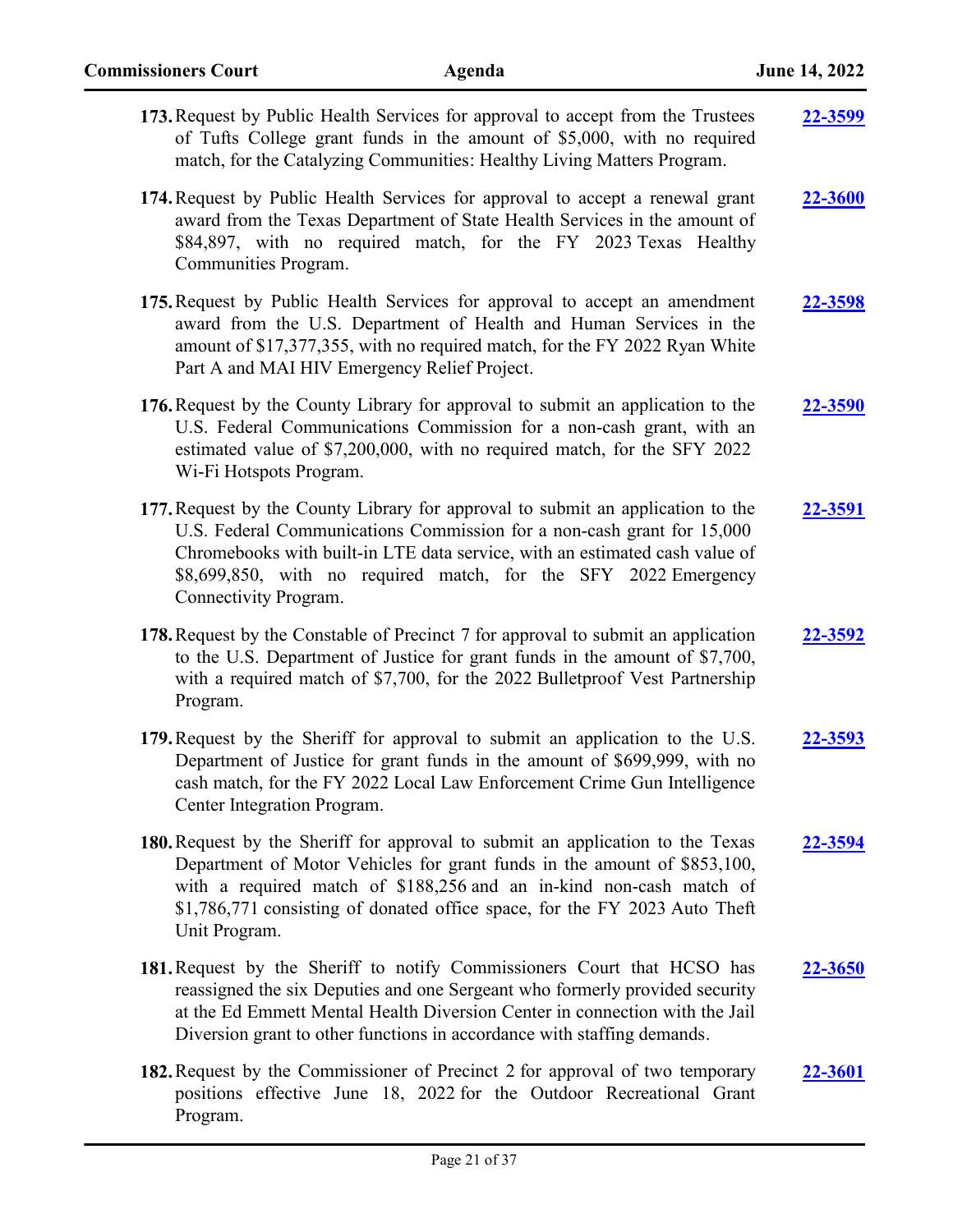| 173. Request by Public Health Services for approval to accept from the Trustees<br>of Tufts College grant funds in the amount of \$5,000, with no required<br>match, for the Catalyzing Communities: Healthy Living Matters Program.                                                                                                 | <u>22-3599</u> |
|--------------------------------------------------------------------------------------------------------------------------------------------------------------------------------------------------------------------------------------------------------------------------------------------------------------------------------------|----------------|
| 174. Request by Public Health Services for approval to accept a renewal grant<br>award from the Texas Department of State Health Services in the amount of<br>\$84,897, with no required match, for the FY 2023 Texas Healthy<br>Communities Program.                                                                                | 22-3600        |
| 175. Request by Public Health Services for approval to accept an amendment<br>award from the U.S. Department of Health and Human Services in the<br>amount of \$17,377,355, with no required match, for the FY 2022 Ryan White<br>Part A and MAI HIV Emergency Relief Project.                                                       | 22-3598        |
| 176. Request by the County Library for approval to submit an application to the<br>U.S. Federal Communications Commission for a non-cash grant, with an<br>estimated value of \$7,200,000, with no required match, for the SFY 2022<br>Wi-Fi Hotspots Program.                                                                       | <u>22-3590</u> |
| 177. Request by the County Library for approval to submit an application to the<br>U.S. Federal Communications Commission for a non-cash grant for 15,000<br>Chromebooks with built-in LTE data service, with an estimated cash value of<br>\$8,699,850, with no required match, for the SFY 2022 Emergency<br>Connectivity Program. | <b>22-3591</b> |
| 178. Request by the Constable of Precinct 7 for approval to submit an application<br>to the U.S. Department of Justice for grant funds in the amount of \$7,700,<br>with a required match of \$7,700, for the 2022 Bulletproof Vest Partnership<br>Program.                                                                          | 22-3592        |
| 179. Request by the Sheriff for approval to submit an application to the U.S.<br>Department of Justice for grant funds in the amount of \$699,999, with no<br>cash match, for the FY 2022 Local Law Enforcement Crime Gun Intelligence<br>Center Integration Program.                                                                | 22-3593        |
| 180. Request by the Sheriff for approval to submit an application to the Texas<br>Department of Motor Vehicles for grant funds in the amount of \$853,100,<br>with a required match of \$188,256 and an in-kind non-cash match of<br>\$1,786,771 consisting of donated office space, for the FY 2023 Auto Theft<br>Unit Program.     | 22-3594        |
| 181. Request by the Sheriff to notify Commissioners Court that HCSO has<br>reassigned the six Deputies and one Sergeant who formerly provided security<br>at the Ed Emmett Mental Health Diversion Center in connection with the Jail<br>Diversion grant to other functions in accordance with staffing demands.                     | <b>22-3650</b> |
| 182. Request by the Commissioner of Precinct 2 for approval of two temporary<br>positions effective June 18, 2022 for the Outdoor Recreational Grant<br>Program.                                                                                                                                                                     | 22-3601        |

Page 21 of 37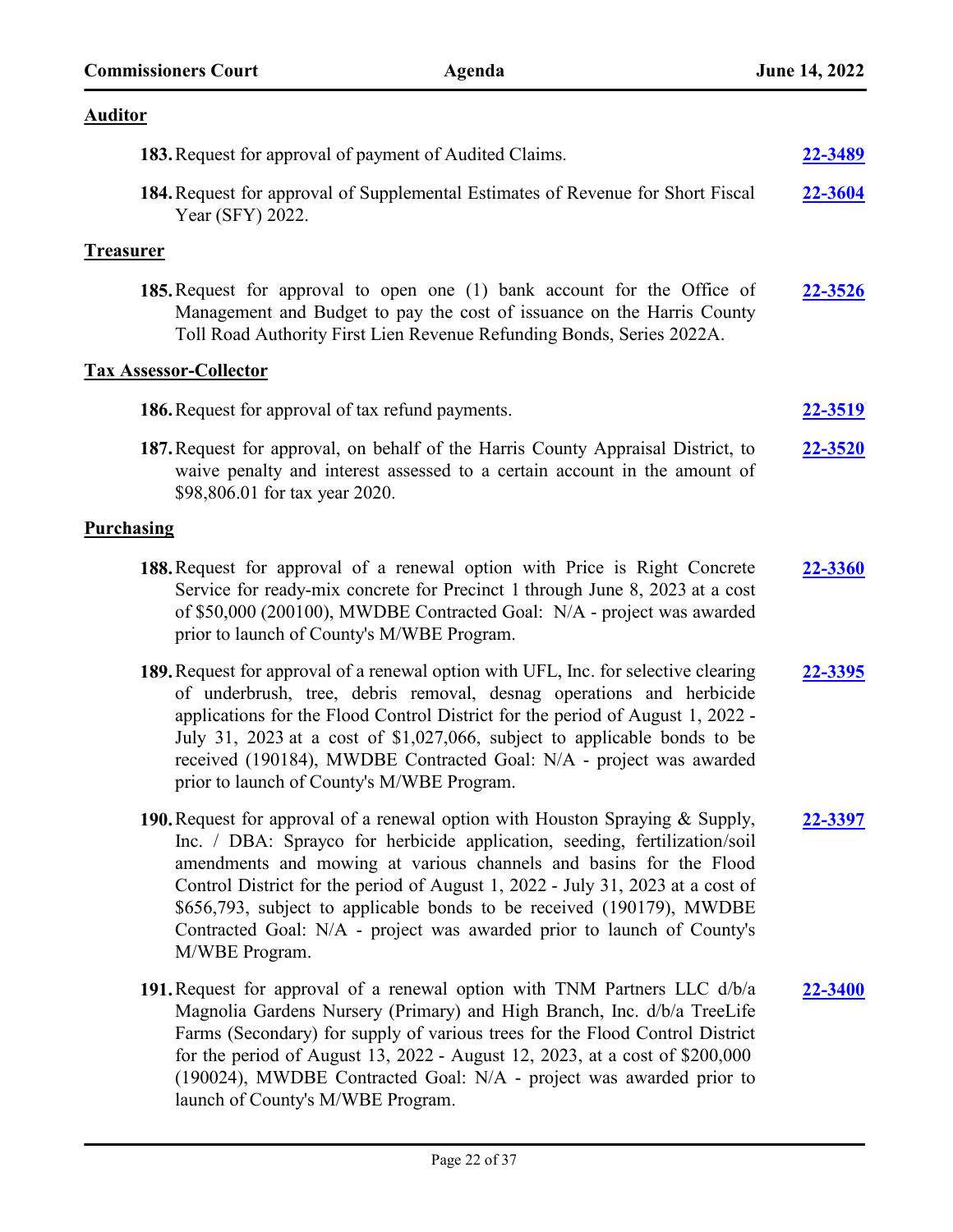# **Auditor**

|                   | 183. Request for approval of payment of Audited Claims.                                                                                                                                                                                                                                                                                                                                                                                                                                  | 22-3489        |
|-------------------|------------------------------------------------------------------------------------------------------------------------------------------------------------------------------------------------------------------------------------------------------------------------------------------------------------------------------------------------------------------------------------------------------------------------------------------------------------------------------------------|----------------|
|                   | 184. Request for approval of Supplemental Estimates of Revenue for Short Fiscal<br>Year (SFY) 2022.                                                                                                                                                                                                                                                                                                                                                                                      | 22-3604        |
| <u>Treasurer</u>  |                                                                                                                                                                                                                                                                                                                                                                                                                                                                                          |                |
|                   | 185. Request for approval to open one (1) bank account for the Office of<br>Management and Budget to pay the cost of issuance on the Harris County<br>Toll Road Authority First Lien Revenue Refunding Bonds, Series 2022A.                                                                                                                                                                                                                                                              | 22-3526        |
|                   | <b>Tax Assessor-Collector</b>                                                                                                                                                                                                                                                                                                                                                                                                                                                            |                |
|                   | 186. Request for approval of tax refund payments.                                                                                                                                                                                                                                                                                                                                                                                                                                        | <u>22-3519</u> |
|                   | 187. Request for approval, on behalf of the Harris County Appraisal District, to<br>waive penalty and interest assessed to a certain account in the amount of<br>\$98,806.01 for tax year 2020.                                                                                                                                                                                                                                                                                          | 22-3520        |
| <b>Purchasing</b> |                                                                                                                                                                                                                                                                                                                                                                                                                                                                                          |                |
|                   | 188. Request for approval of a renewal option with Price is Right Concrete<br>Service for ready-mix concrete for Precinct 1 through June 8, 2023 at a cost<br>of \$50,000 (200100), MWDBE Contracted Goal: N/A - project was awarded<br>prior to launch of County's M/WBE Program.                                                                                                                                                                                                       | 22-3360        |
|                   | 189. Request for approval of a renewal option with UFL, Inc. for selective clearing<br>of underbrush, tree, debris removal, desnag operations and herbicide<br>applications for the Flood Control District for the period of August 1, 2022 -<br>July 31, 2023 at a cost of \$1,027,066, subject to applicable bonds to be<br>received (190184), MWDBE Contracted Goal: N/A - project was awarded<br>prior to launch of County's M/WBE Program.                                          | 22-3395        |
|                   | 190. Request for approval of a renewal option with Houston Spraying & Supply,<br>Inc. / DBA: Sprayco for herbicide application, seeding, fertilization/soil<br>amendments and mowing at various channels and basins for the Flood<br>Control District for the period of August 1, 2022 - July 31, 2023 at a cost of<br>\$656,793, subject to applicable bonds to be received (190179), MWDBE<br>Contracted Goal: N/A - project was awarded prior to launch of County's<br>M/WBE Program. | 22-3397        |
|                   | 191. Request for approval of a renewal option with TNM Partners LLC d/b/a<br>Magnolia Gardens Nursery (Primary) and High Branch, Inc. d/b/a TreeLife<br>Farms (Secondary) for supply of various trees for the Flood Control District<br>for the period of August 13, 2022 - August 12, 2023, at a cost of \$200,000<br>(190024), MWDBE Contracted Goal: N/A - project was awarded prior to<br>launch of County's M/WBE Program.                                                          | 22-3400        |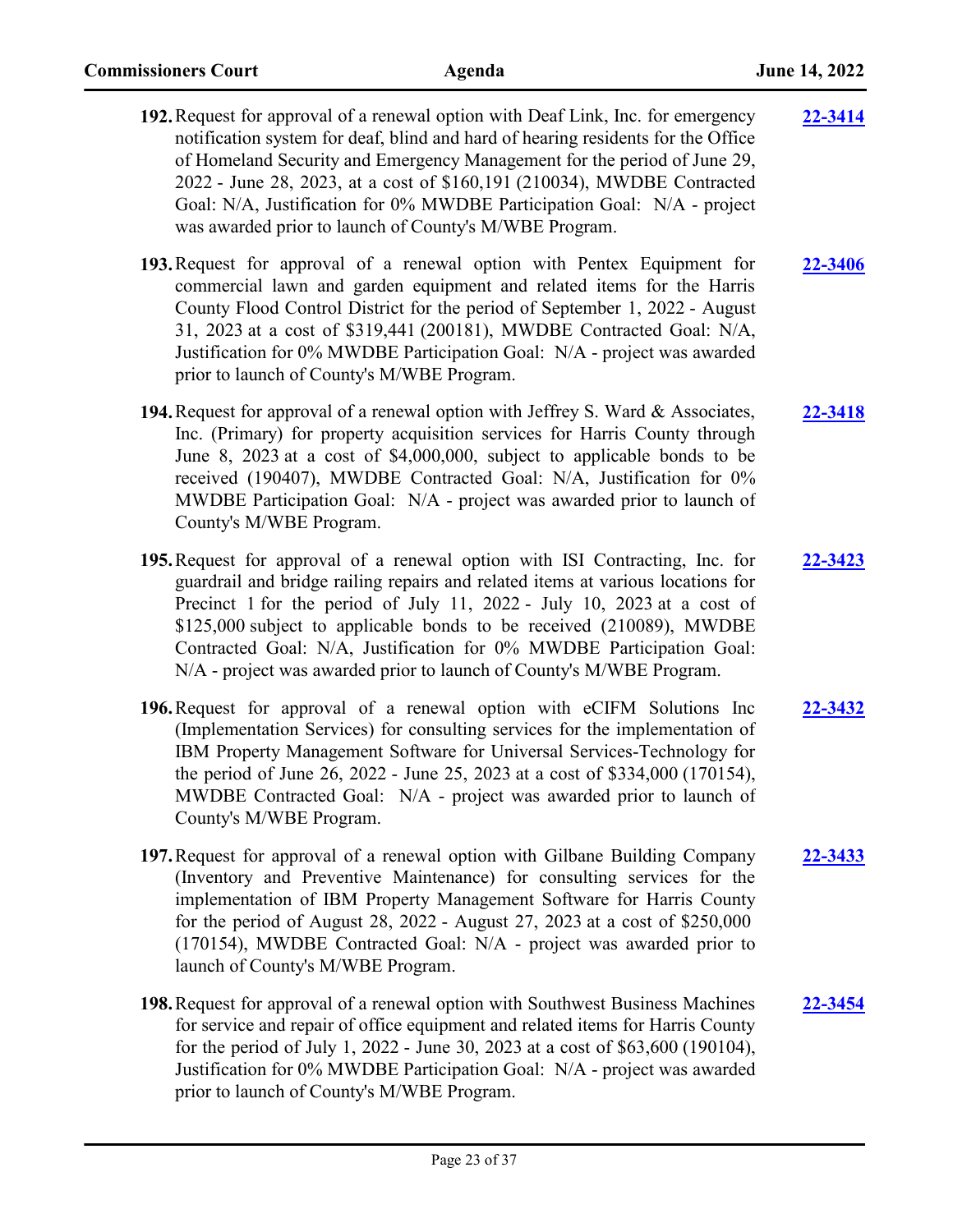| 192. Request for approval of a renewal option with Deaf Link, Inc. for emergency<br>notification system for deaf, blind and hard of hearing residents for the Office<br>of Homeland Security and Emergency Management for the period of June 29,<br>2022 - June 28, 2023, at a cost of \$160,191 (210034), MWDBE Contracted<br>Goal: N/A, Justification for 0% MWDBE Participation Goal: N/A - project<br>was awarded prior to launch of County's M/WBE Program.   | 22-3414 |
|--------------------------------------------------------------------------------------------------------------------------------------------------------------------------------------------------------------------------------------------------------------------------------------------------------------------------------------------------------------------------------------------------------------------------------------------------------------------|---------|
| 193. Request for approval of a renewal option with Pentex Equipment for<br>commercial lawn and garden equipment and related items for the Harris<br>County Flood Control District for the period of September 1, 2022 - August<br>31, 2023 at a cost of \$319,441 (200181), MWDBE Contracted Goal: N/A,<br>Justification for 0% MWDBE Participation Goal: N/A - project was awarded<br>prior to launch of County's M/WBE Program.                                  | 22-3406 |
| 194. Request for approval of a renewal option with Jeffrey S. Ward & Associates,<br>Inc. (Primary) for property acquisition services for Harris County through<br>June 8, 2023 at a cost of \$4,000,000, subject to applicable bonds to be<br>received (190407), MWDBE Contracted Goal: N/A, Justification for 0%<br>MWDBE Participation Goal: N/A - project was awarded prior to launch of<br>County's M/WBE Program.                                             | 22-3418 |
| 195. Request for approval of a renewal option with ISI Contracting, Inc. for<br>guardrail and bridge railing repairs and related items at various locations for<br>Precinct 1 for the period of July 11, 2022 - July 10, 2023 at a cost of<br>\$125,000 subject to applicable bonds to be received (210089), MWDBE<br>Contracted Goal: N/A, Justification for 0% MWDBE Participation Goal:<br>N/A - project was awarded prior to launch of County's M/WBE Program. | 22-3423 |
| 196. Request for approval of a renewal option with eCIFM Solutions Inc<br>(Implementation Services) for consulting services for the implementation of<br>IBM Property Management Software for Universal Services-Technology for<br>the period of June 26, 2022 - June 25, 2023 at a cost of \$334,000 (170154),<br>MWDBE Contracted Goal: N/A - project was awarded prior to launch of<br>County's M/WBE Program.                                                  | 22-3432 |
| 197. Request for approval of a renewal option with Gilbane Building Company<br>(Inventory and Preventive Maintenance) for consulting services for the<br>implementation of IBM Property Management Software for Harris County<br>for the period of August 28, 2022 - August 27, 2023 at a cost of \$250,000<br>(170154), MWDBE Contracted Goal: N/A - project was awarded prior to<br>launch of County's M/WBE Program.                                            | 22-3433 |
| 198. Request for approval of a renewal option with Southwest Business Machines<br>for service and repair of office equipment and related items for Harris County<br>for the period of July 1, 2022 - June 30, 2023 at a cost of \$63,600 (190104),<br>Justification for 0% MWDBE Participation Goal: N/A - project was awarded                                                                                                                                     | 22-3454 |

prior to launch of County's M/WBE Program.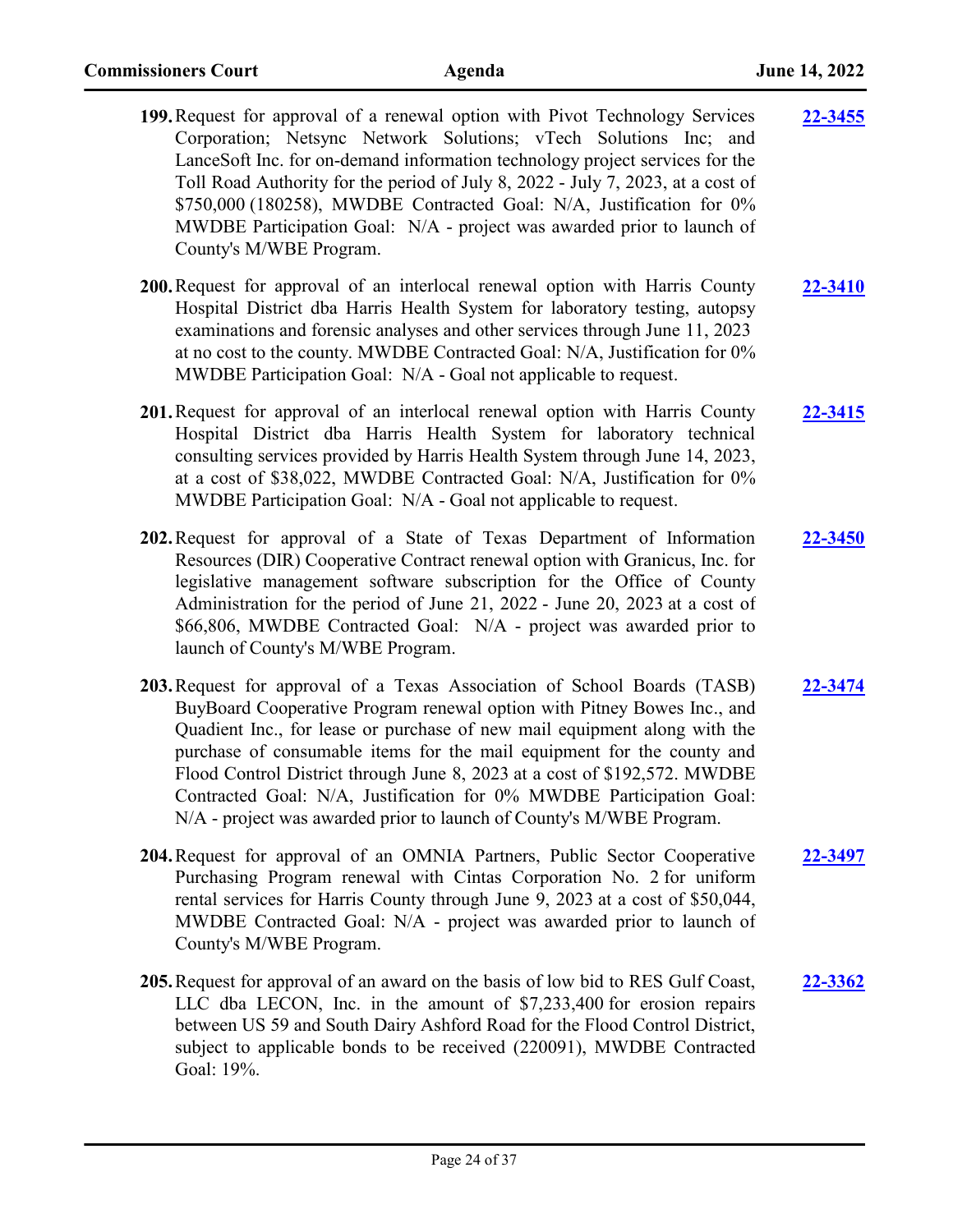| 199. Request for approval of a renewal option with Pivot Technology Services<br>Corporation; Netsync Network Solutions; vTech Solutions Inc; and<br>LanceSoft Inc. for on-demand information technology project services for the<br>Toll Road Authority for the period of July 8, 2022 - July 7, 2023, at a cost of<br>\$750,000 (180258), MWDBE Contracted Goal: N/A, Justification for 0%<br>MWDBE Participation Goal: N/A - project was awarded prior to launch of<br>County's M/WBE Program.                                        | $22 - 3455$    |
|-----------------------------------------------------------------------------------------------------------------------------------------------------------------------------------------------------------------------------------------------------------------------------------------------------------------------------------------------------------------------------------------------------------------------------------------------------------------------------------------------------------------------------------------|----------------|
| <b>200.</b> Request for approval of an interlocal renewal option with Harris County<br>Hospital District dba Harris Health System for laboratory testing, autopsy<br>examinations and forensic analyses and other services through June 11, 2023<br>at no cost to the county. MWDBE Contracted Goal: N/A, Justification for 0%<br>MWDBE Participation Goal: N/A - Goal not applicable to request.                                                                                                                                       | 22-3410        |
| 201. Request for approval of an interlocal renewal option with Harris County<br>Hospital District dba Harris Health System for laboratory technical<br>consulting services provided by Harris Health System through June 14, 2023,<br>at a cost of \$38,022, MWDBE Contracted Goal: N/A, Justification for 0%<br>MWDBE Participation Goal: N/A - Goal not applicable to request.                                                                                                                                                        | 22-3415        |
| 202. Request for approval of a State of Texas Department of Information<br>Resources (DIR) Cooperative Contract renewal option with Granicus, Inc. for<br>legislative management software subscription for the Office of County<br>Administration for the period of June 21, 2022 - June 20, 2023 at a cost of<br>\$66,806, MWDBE Contracted Goal: N/A - project was awarded prior to<br>launch of County's M/WBE Program.                                                                                                              | $22 - 3450$    |
| 203. Request for approval of a Texas Association of School Boards (TASB)<br>BuyBoard Cooperative Program renewal option with Pitney Bowes Inc., and<br>Quadient Inc., for lease or purchase of new mail equipment along with the<br>purchase of consumable items for the mail equipment for the county and<br>Flood Control District through June 8, 2023 at a cost of \$192,572. MWDBE<br>Contracted Goal: N/A, Justification for 0% MWDBE Participation Goal:<br>N/A - project was awarded prior to launch of County's M/WBE Program. | 22-3474        |
| 204. Request for approval of an OMNIA Partners, Public Sector Cooperative<br>Purchasing Program renewal with Cintas Corporation No. 2 for uniform<br>rental services for Harris County through June 9, 2023 at a cost of \$50,044,<br>MWDBE Contracted Goal: N/A - project was awarded prior to launch of<br>County's M/WBE Program.                                                                                                                                                                                                    | <u>22-3497</u> |
| 205. Request for approval of an award on the basis of low bid to RES Gulf Coast,<br>LLC dba LECON, Inc. in the amount of \$7,233,400 for erosion repairs<br>between US 59 and South Dairy Ashford Road for the Flood Control District,<br>subject to applicable bonds to be received (220091), MWDBE Contracted<br>Goal: 19%.                                                                                                                                                                                                           | 22-3362        |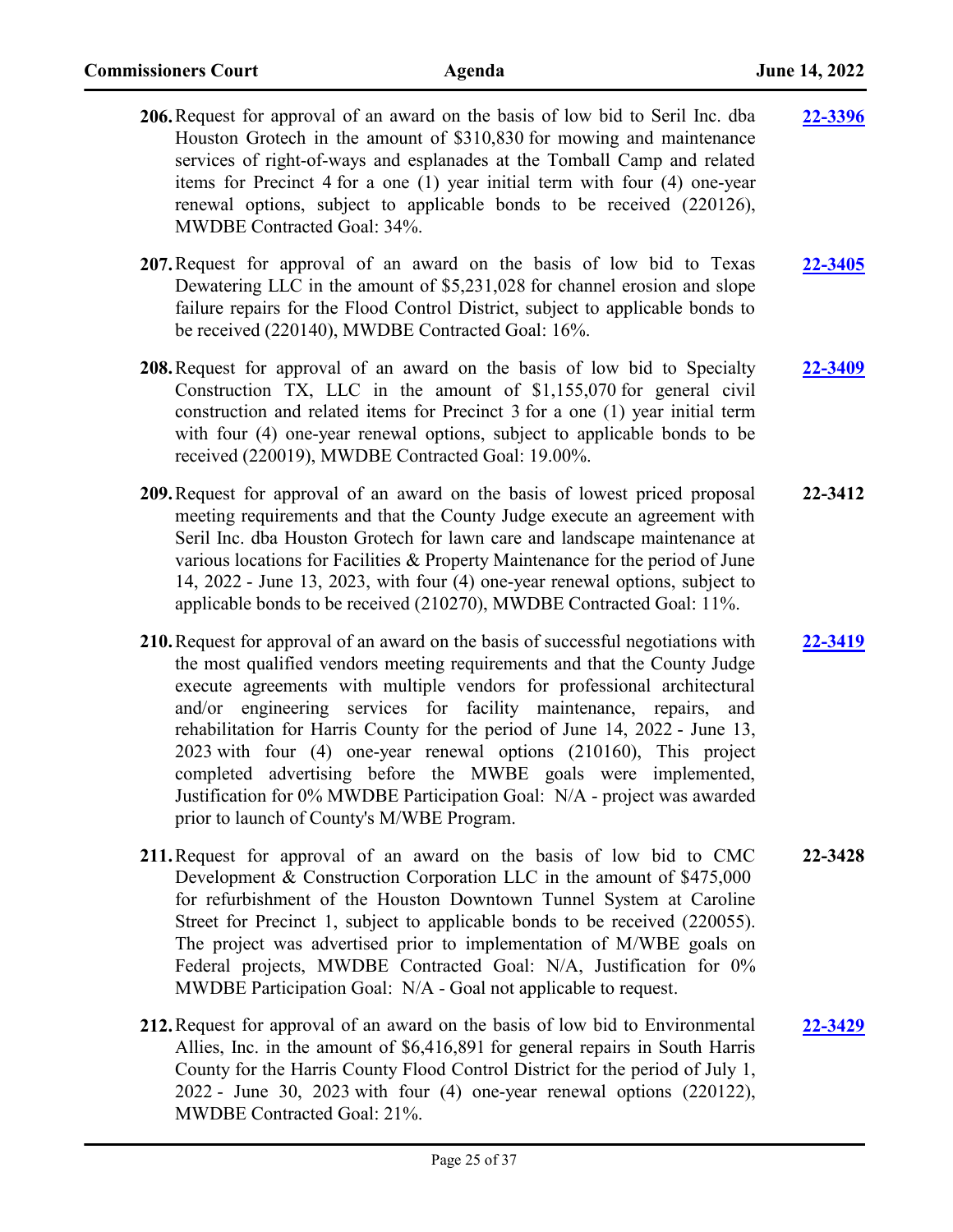| 206. Request for approval of an award on the basis of low bid to Seril Inc. dba<br>Houston Grotech in the amount of \$310,830 for mowing and maintenance<br>services of right-of-ways and esplanades at the Tomball Camp and related<br>items for Precinct 4 for a one (1) year initial term with four (4) one-year<br>renewal options, subject to applicable bonds to be received (220126),<br>MWDBE Contracted Goal: 34%.                                                                                                                                                                                                                                      | 22-3396        |
|------------------------------------------------------------------------------------------------------------------------------------------------------------------------------------------------------------------------------------------------------------------------------------------------------------------------------------------------------------------------------------------------------------------------------------------------------------------------------------------------------------------------------------------------------------------------------------------------------------------------------------------------------------------|----------------|
| 207. Request for approval of an award on the basis of low bid to Texas<br>Dewatering LLC in the amount of \$5,231,028 for channel erosion and slope<br>failure repairs for the Flood Control District, subject to applicable bonds to<br>be received (220140), MWDBE Contracted Goal: 16%.                                                                                                                                                                                                                                                                                                                                                                       | 22-3405        |
| 208. Request for approval of an award on the basis of low bid to Specialty<br>Construction TX, LLC in the amount of \$1,155,070 for general civil<br>construction and related items for Precinct 3 for a one (1) year initial term<br>with four (4) one-year renewal options, subject to applicable bonds to be<br>received (220019), MWDBE Contracted Goal: 19.00%.                                                                                                                                                                                                                                                                                             | <b>22-3409</b> |
| 209. Request for approval of an award on the basis of lowest priced proposal<br>meeting requirements and that the County Judge execute an agreement with<br>Seril Inc. dba Houston Grotech for lawn care and landscape maintenance at<br>various locations for Facilities & Property Maintenance for the period of June<br>14, 2022 - June 13, 2023, with four (4) one-year renewal options, subject to<br>applicable bonds to be received (210270), MWDBE Contracted Goal: 11%.                                                                                                                                                                                 | 22-3412        |
| 210. Request for approval of an award on the basis of successful negotiations with<br>the most qualified vendors meeting requirements and that the County Judge<br>execute agreements with multiple vendors for professional architectural<br>and/or engineering services for facility maintenance, repairs, and<br>rehabilitation for Harris County for the period of June 14, 2022 - June 13,<br>2023 with four (4) one-year renewal options (210160), This project<br>completed advertising before the MWBE goals were implemented,<br>Justification for 0% MWDBE Participation Goal: N/A - project was awarded<br>prior to launch of County's M/WBE Program. | 22-3419        |
| 211. Request for approval of an award on the basis of low bid to CMC<br>Development & Construction Corporation LLC in the amount of \$475,000<br>for refurbishment of the Houston Downtown Tunnel System at Caroline<br>Street for Precinct 1, subject to applicable bonds to be received (220055).<br>The project was advertised prior to implementation of M/WBE goals on<br>Federal projects, MWDBE Contracted Goal: N/A, Justification for 0%<br>MWDBE Participation Goal: N/A - Goal not applicable to request.                                                                                                                                             | 22-3428        |
| 212. Request for approval of an award on the basis of low bid to Environmental<br>Allies, Inc. in the amount of \$6,416,891 for general repairs in South Harris<br>County for the Harris County Flood Control District for the period of July 1,                                                                                                                                                                                                                                                                                                                                                                                                                 | 22-3429        |

2022 - June 30, 2023 with four (4) one-year renewal options (220122),

MWDBE Contracted Goal: 21%.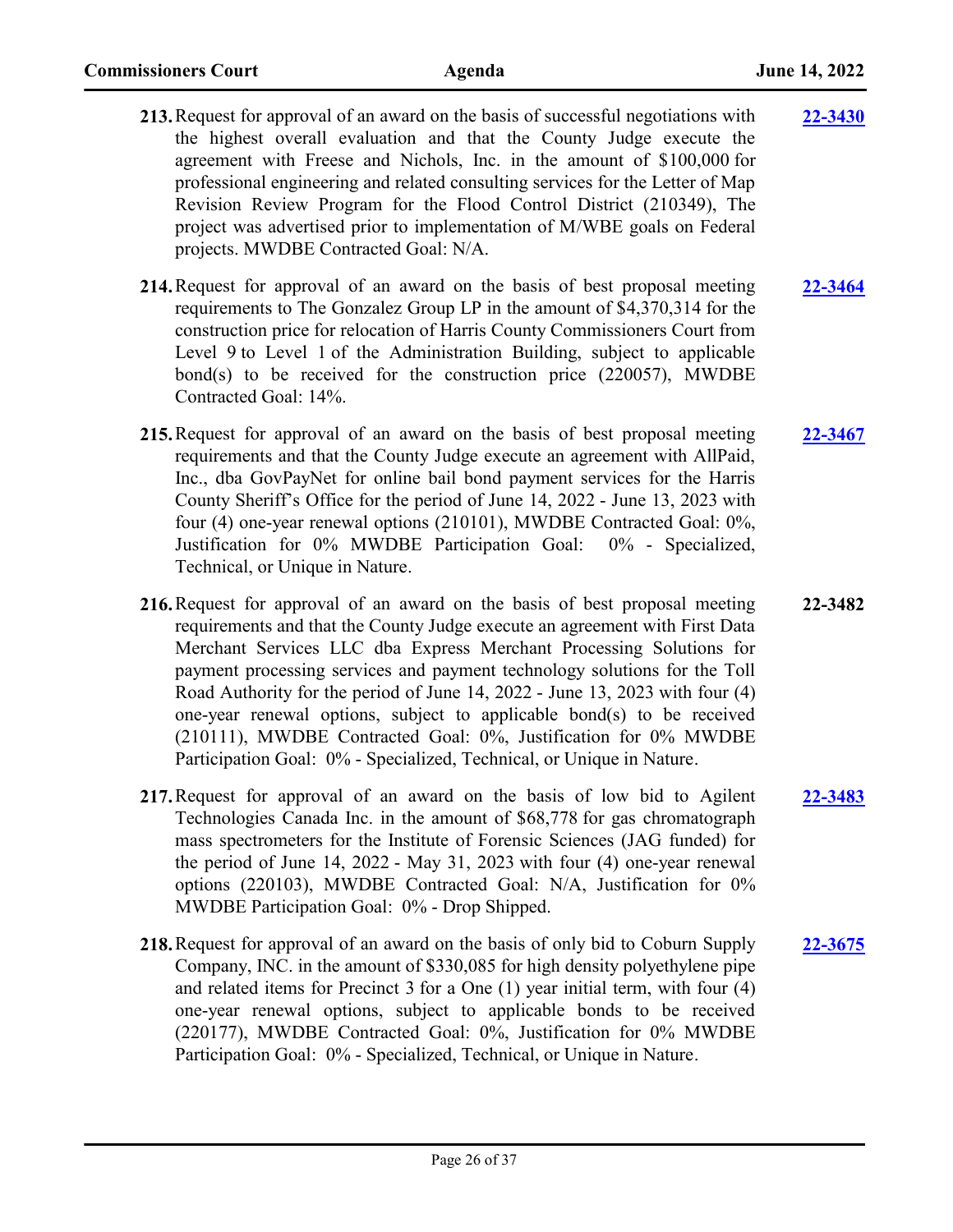- **213.**Request for approval of an award on the basis of successful negotiations with the highest overall evaluation and that the County Judge execute the agreement with Freese and Nichols, Inc. in the amount of \$100,000 for professional engineering and related consulting services for the Letter of Map Revision Review Program for the Flood Control District (210349), The project was advertised prior to implementation of M/WBE goals on Federal projects. MWDBE Contracted Goal: N/A. **[22-3430](http://harriscountytx.legistar.com/gateway.aspx?m=l&id=/matter.aspx?key=13970)**
- **214.**Request for approval of an award on the basis of best proposal meeting requirements to The Gonzalez Group LP in the amount of \$4,370,314 for the construction price for relocation of Harris County Commissioners Court from Level 9 to Level 1 of the Administration Building, subject to applicable bond(s) to be received for the construction price (220057), MWDBE Contracted Goal: 14%. **[22-3464](http://harriscountytx.legistar.com/gateway.aspx?m=l&id=/matter.aspx?key=14004)**
- **215.**Request for approval of an award on the basis of best proposal meeting requirements and that the County Judge execute an agreement with AllPaid, Inc., dba GovPayNet for online bail bond payment services for the Harris County Sheriff's Office for the period of June 14, 2022 - June 13, 2023 with four (4) one-year renewal options (210101), MWDBE Contracted Goal: 0%, Justification for 0% MWDBE Participation Goal: 0% - Specialized, Technical, or Unique in Nature. **[22-3467](http://harriscountytx.legistar.com/gateway.aspx?m=l&id=/matter.aspx?key=14007)**
- **216.**Request for approval of an award on the basis of best proposal meeting requirements and that the County Judge execute an agreement with First Data Merchant Services LLC dba Express Merchant Processing Solutions for payment processing services and payment technology solutions for the Toll Road Authority for the period of June 14, 2022 - June 13, 2023 with four (4) one-year renewal options, subject to applicable bond(s) to be received (210111), MWDBE Contracted Goal: 0%, Justification for 0% MWDBE Participation Goal: 0% - Specialized, Technical, or Unique in Nature. **22-3482**
- **217.**Request for approval of an award on the basis of low bid to Agilent Technologies Canada Inc. in the amount of \$68,778 for gas chromatograph mass spectrometers for the Institute of Forensic Sciences (JAG funded) for the period of June 14, 2022 - May 31, 2023 with four (4) one-year renewal options (220103), MWDBE Contracted Goal: N/A, Justification for 0% MWDBE Participation Goal: 0% - Drop Shipped. **[22-3483](http://harriscountytx.legistar.com/gateway.aspx?m=l&id=/matter.aspx?key=14023)**
- **218.**Request for approval of an award on the basis of only bid to Coburn Supply Company, INC. in the amount of \$330,085 for high density polyethylene pipe and related items for Precinct 3 for a One (1) year initial term, with four (4) one-year renewal options, subject to applicable bonds to be received (220177), MWDBE Contracted Goal: 0%, Justification for 0% MWDBE Participation Goal: 0% - Specialized, Technical, or Unique in Nature. **[22-3675](http://harriscountytx.legistar.com/gateway.aspx?m=l&id=/matter.aspx?key=14215)**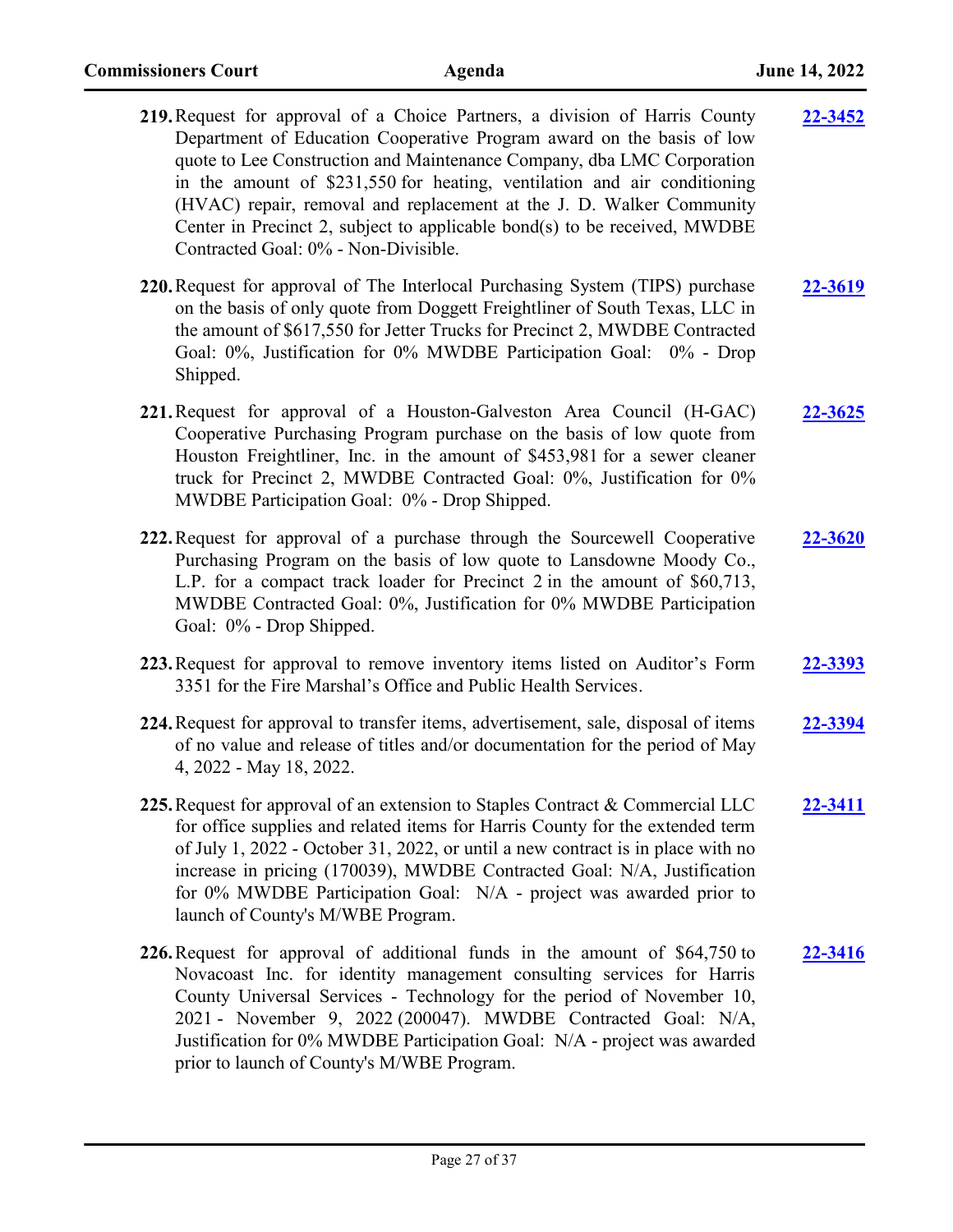| 219. Request for approval of a Choice Partners, a division of Harris County<br>Department of Education Cooperative Program award on the basis of low<br>quote to Lee Construction and Maintenance Company, dba LMC Corporation<br>in the amount of \$231,550 for heating, ventilation and air conditioning<br>(HVAC) repair, removal and replacement at the J. D. Walker Community<br>Center in Precinct 2, subject to applicable bond(s) to be received, MWDBE<br>Contracted Goal: 0% - Non-Divisible. | 22-3452        |
|---------------------------------------------------------------------------------------------------------------------------------------------------------------------------------------------------------------------------------------------------------------------------------------------------------------------------------------------------------------------------------------------------------------------------------------------------------------------------------------------------------|----------------|
| 220. Request for approval of The Interlocal Purchasing System (TIPS) purchase<br>on the basis of only quote from Doggett Freightliner of South Texas, LLC in<br>the amount of \$617,550 for Jetter Trucks for Precinct 2, MWDBE Contracted<br>Goal: 0%, Justification for 0% MWDBE Participation Goal: 0% - Drop<br>Shipped.                                                                                                                                                                            | 22-3619        |
| 221. Request for approval of a Houston-Galveston Area Council (H-GAC)<br>Cooperative Purchasing Program purchase on the basis of low quote from<br>Houston Freightliner, Inc. in the amount of \$453,981 for a sewer cleaner<br>truck for Precinct 2, MWDBE Contracted Goal: 0%, Justification for 0%<br>MWDBE Participation Goal: 0% - Drop Shipped.                                                                                                                                                   | <u>22-3625</u> |
| 222. Request for approval of a purchase through the Sourcewell Cooperative<br>Purchasing Program on the basis of low quote to Lansdowne Moody Co.,<br>L.P. for a compact track loader for Precinct 2 in the amount of \$60,713,<br>MWDBE Contracted Goal: 0%, Justification for 0% MWDBE Participation<br>Goal: 0% - Drop Shipped.                                                                                                                                                                      | 22-3620        |
| 223. Request for approval to remove inventory items listed on Auditor's Form<br>3351 for the Fire Marshal's Office and Public Health Services.                                                                                                                                                                                                                                                                                                                                                          | 22-3393        |
| 224. Request for approval to transfer items, advertisement, sale, disposal of items<br>of no value and release of titles and/or documentation for the period of May<br>4, 2022 - May 18, 2022.                                                                                                                                                                                                                                                                                                          | 22-3394        |
| 225. Request for approval of an extension to Staples Contract & Commercial LLC<br>for office supplies and related items for Harris County for the extended term<br>of July 1, 2022 - October 31, 2022, or until a new contract is in place with no<br>increase in pricing (170039), MWDBE Contracted Goal: N/A, Justification<br>for 0% MWDBE Participation Goal: N/A - project was awarded prior to<br>launch of County's M/WBE Program.                                                               | 22-3411        |
| 226. Request for approval of additional funds in the amount of \$64,750 to<br>Novacoast Inc. for identity management consulting services for Harris<br>County Universal Services - Technology for the period of November 10,<br>2021 - November 9, 2022 (200047). MWDBE Contracted Goal: N/A,<br>Justification for 0% MWDBE Participation Goal: N/A - project was awarded                                                                                                                               | 22-3416        |

prior to launch of County's M/WBE Program.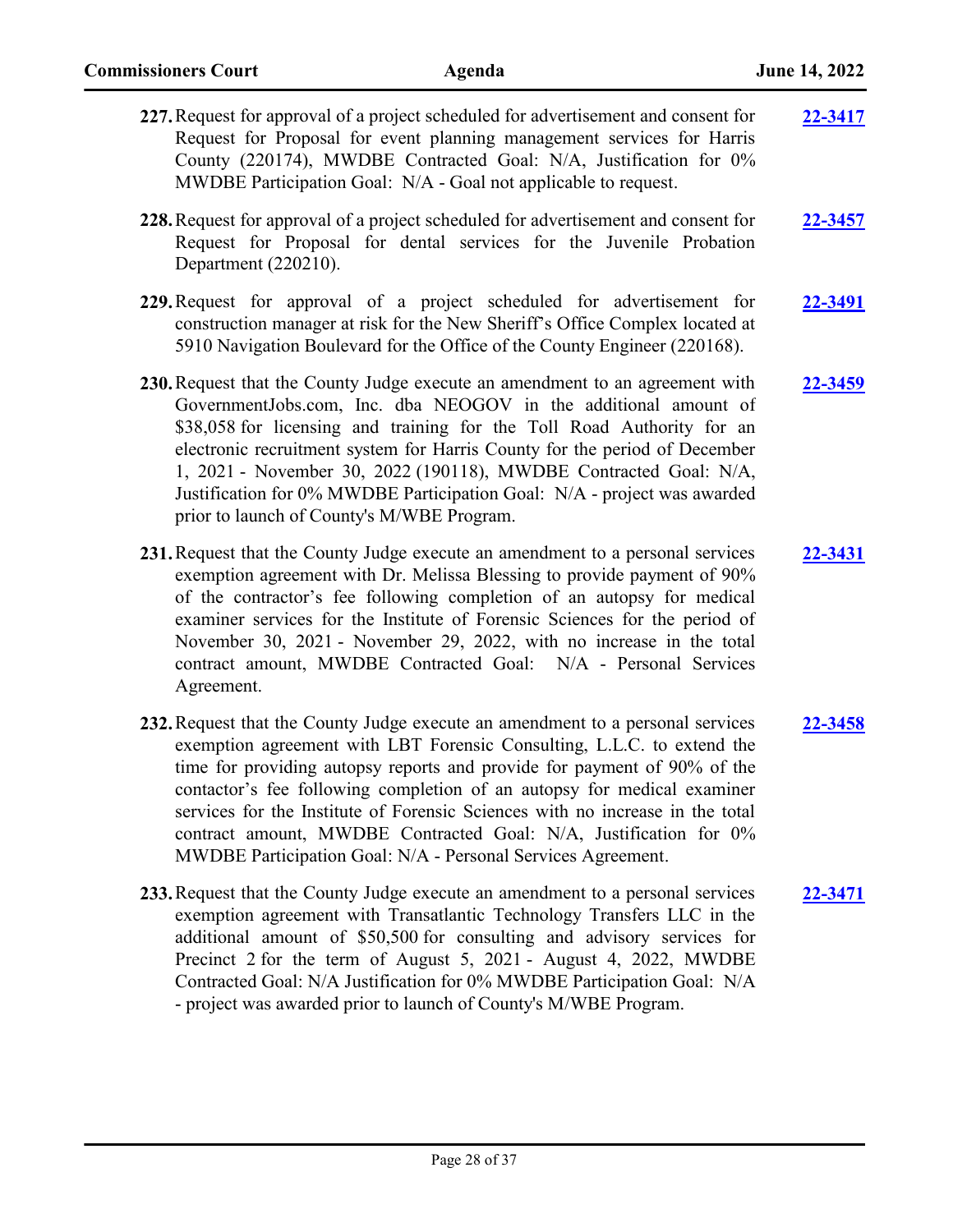| 227. Request for approval of a project scheduled for advertisement and consent for<br>Request for Proposal for event planning management services for Harris<br>County (220174), MWDBE Contracted Goal: N/A, Justification for 0%<br>MWDBE Participation Goal: N/A - Goal not applicable to request.                                                                                                                                                                                                                                  | 22-3417        |
|---------------------------------------------------------------------------------------------------------------------------------------------------------------------------------------------------------------------------------------------------------------------------------------------------------------------------------------------------------------------------------------------------------------------------------------------------------------------------------------------------------------------------------------|----------------|
| 228. Request for approval of a project scheduled for advertisement and consent for<br>Request for Proposal for dental services for the Juvenile Probation<br>Department (220210).                                                                                                                                                                                                                                                                                                                                                     | <b>22-3457</b> |
| 229. Request for approval of a project scheduled for advertisement for<br>construction manager at risk for the New Sheriff's Office Complex located at<br>5910 Navigation Boulevard for the Office of the County Engineer (220168).                                                                                                                                                                                                                                                                                                   | 22-3491        |
| 230. Request that the County Judge execute an amendment to an agreement with<br>GovernmentJobs.com, Inc. dba NEOGOV in the additional amount of<br>\$38,058 for licensing and training for the Toll Road Authority for an<br>electronic recruitment system for Harris County for the period of December<br>1, 2021 - November 30, 2022 (190118), MWDBE Contracted Goal: N/A,<br>Justification for 0% MWDBE Participation Goal: N/A - project was awarded<br>prior to launch of County's M/WBE Program.                                | 22-3459        |
| 231. Request that the County Judge execute an amendment to a personal services<br>exemption agreement with Dr. Melissa Blessing to provide payment of 90%<br>of the contractor's fee following completion of an autopsy for medical<br>examiner services for the Institute of Forensic Sciences for the period of<br>November 30, 2021 - November 29, 2022, with no increase in the total<br>contract amount, MWDBE Contracted Goal: N/A - Personal Services<br>Agreement.                                                            | 22-3431        |
| 232. Request that the County Judge execute an amendment to a personal services<br>exemption agreement with LBT Forensic Consulting, L.L.C. to extend the<br>time for providing autopsy reports and provide for payment of 90% of the<br>contactor's fee following completion of an autopsy for medical examiner<br>services for the Institute of Forensic Sciences with no increase in the total<br>contract amount, MWDBE Contracted Goal: N/A, Justification for 0%<br>MWDBE Participation Goal: N/A - Personal Services Agreement. | 22-3458        |
| 233. Request that the County Judge execute an amendment to a personal services<br>exemption agreement with Transatlantic Technology Transfers LLC in the<br>additional amount of \$50,500 for consulting and advisory services for<br>Precinct 2 for the term of August 5, 2021 - August 4, 2022, MWDBE<br>Contracted Goal: N/A Justification for 0% MWDBE Participation Goal: N/A<br>- project was awarded prior to launch of County's M/WBE Program.                                                                                | 22-3471        |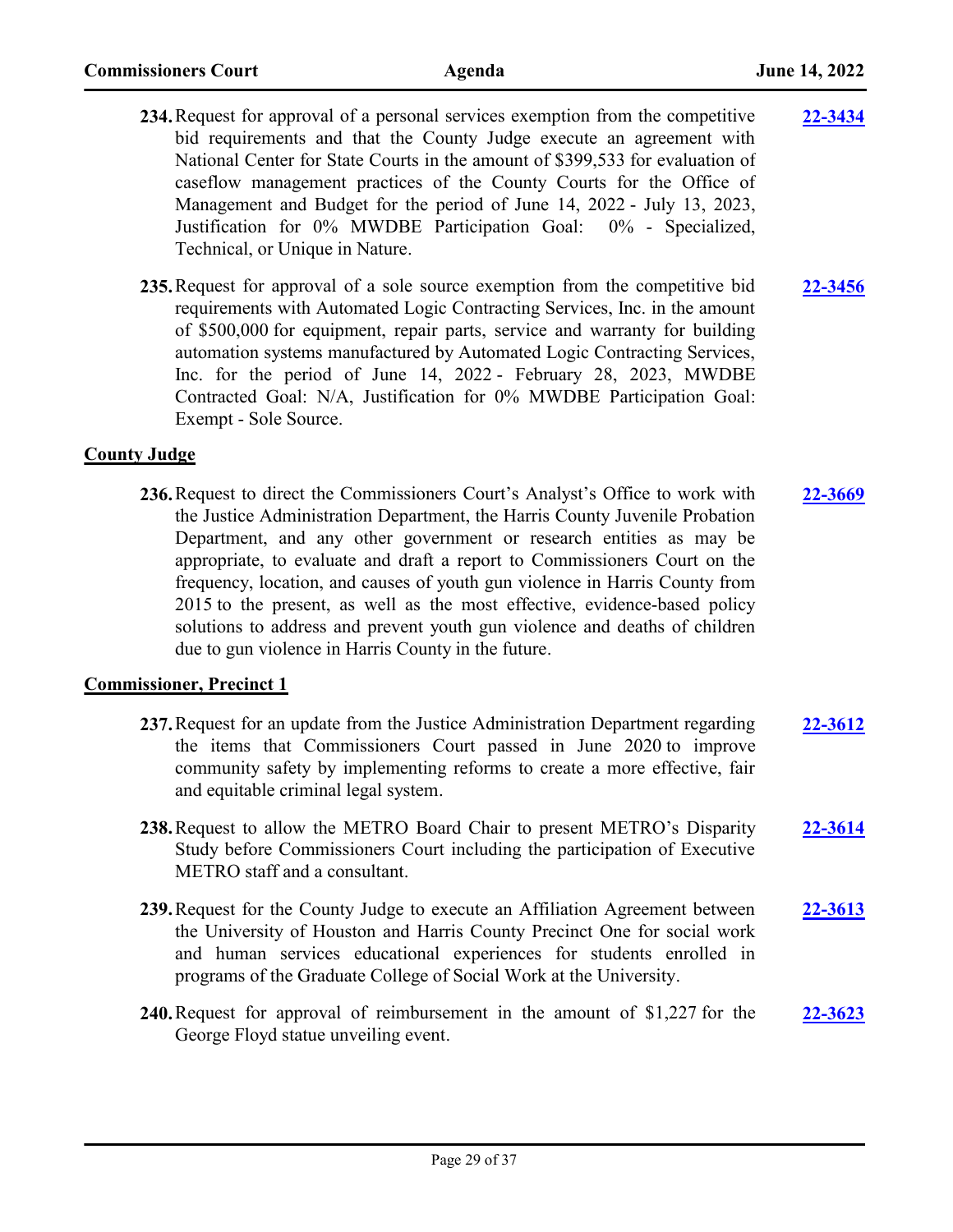- **234.**Request for approval of a personal services exemption from the competitive bid requirements and that the County Judge execute an agreement with National Center for State Courts in the amount of \$399,533 for evaluation of caseflow management practices of the County Courts for the Office of Management and Budget for the period of June 14, 2022 - July 13, 2023, Justification for 0% MWDBE Participation Goal: 0% - Specialized, Technical, or Unique in Nature. **[22-3434](http://harriscountytx.legistar.com/gateway.aspx?m=l&id=/matter.aspx?key=13974)**
- **235.**Request for approval of a sole source exemption from the competitive bid requirements with Automated Logic Contracting Services, Inc. in the amount of \$500,000 for equipment, repair parts, service and warranty for building automation systems manufactured by Automated Logic Contracting Services, Inc. for the period of June 14, 2022 - February 28, 2023, MWDBE Contracted Goal: N/A, Justification for 0% MWDBE Participation Goal: Exempt - Sole Source. **[22-3456](http://harriscountytx.legistar.com/gateway.aspx?m=l&id=/matter.aspx?key=13996)**

### **County Judge**

**236.**Request to direct the Commissioners Court's Analyst's Office to work with the Justice Administration Department, the Harris County Juvenile Probation Department, and any other government or research entities as may be appropriate, to evaluate and draft a report to Commissioners Court on the frequency, location, and causes of youth gun violence in Harris County from 2015 to the present, as well as the most effective, evidence-based policy solutions to address and prevent youth gun violence and deaths of children due to gun violence in Harris County in the future. **[22-3669](http://harriscountytx.legistar.com/gateway.aspx?m=l&id=/matter.aspx?key=14209)**

### **Commissioner, Precinct 1**

- **237.**Request for an update from the Justice Administration Department regarding the items that Commissioners Court passed in June 2020 to improve community safety by implementing reforms to create a more effective, fair and equitable criminal legal system. **[22-3612](http://harriscountytx.legistar.com/gateway.aspx?m=l&id=/matter.aspx?key=14152)**
- **238.**Request to allow the METRO Board Chair to present METRO's Disparity Study before Commissioners Court including the participation of Executive METRO staff and a consultant. **[22-3614](http://harriscountytx.legistar.com/gateway.aspx?m=l&id=/matter.aspx?key=14154)**
- **239.**Request for the County Judge to execute an Affiliation Agreement between the University of Houston and Harris County Precinct One for social work and human services educational experiences for students enrolled in programs of the Graduate College of Social Work at the University. **[22-3613](http://harriscountytx.legistar.com/gateway.aspx?m=l&id=/matter.aspx?key=14153)**
- **240.**Request for approval of reimbursement in the amount of \$1,227 for the George Floyd statue unveiling event. **[22-3623](http://harriscountytx.legistar.com/gateway.aspx?m=l&id=/matter.aspx?key=14163)**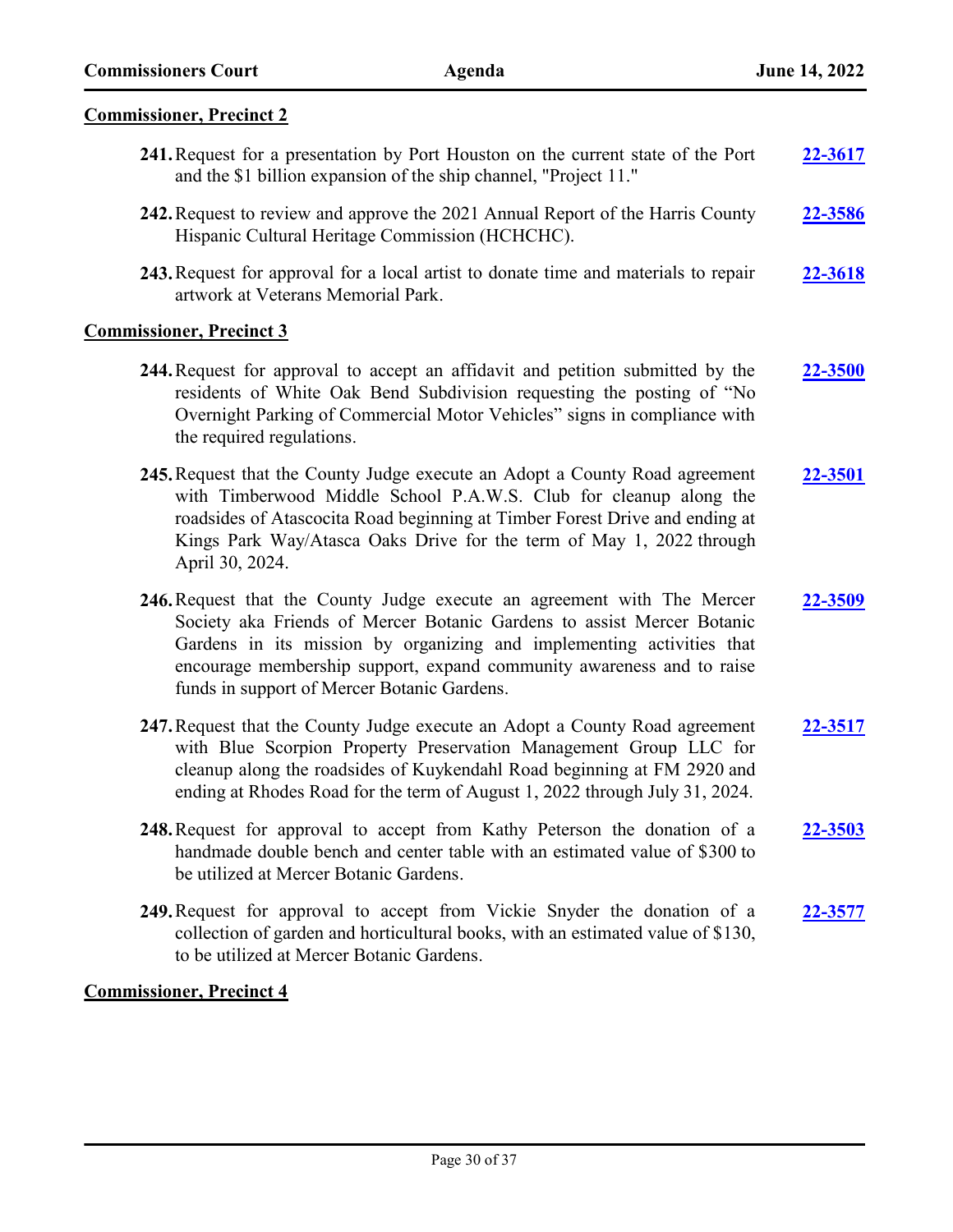### **Commissioner, Precinct 2**

**241.**Request for a presentation by Port Houston on the current state of the Port and the \$1 billion expansion of the ship channel, "Project 11." **[22-3617](http://harriscountytx.legistar.com/gateway.aspx?m=l&id=/matter.aspx?key=14157) 242.**Request to review and approve the 2021 Annual Report of the Harris County Hispanic Cultural Heritage Commission (HCHCHC). **[22-3586](http://harriscountytx.legistar.com/gateway.aspx?m=l&id=/matter.aspx?key=14126) 243.**Request for approval for a local artist to donate time and materials to repair artwork at Veterans Memorial Park. **[22-3618](http://harriscountytx.legistar.com/gateway.aspx?m=l&id=/matter.aspx?key=14158)**

### **Commissioner, Precinct 3**

- **244.**Request for approval to accept an affidavit and petition submitted by the residents of White Oak Bend Subdivision requesting the posting of "No Overnight Parking of Commercial Motor Vehicles" signs in compliance with the required regulations. **[22-3500](http://harriscountytx.legistar.com/gateway.aspx?m=l&id=/matter.aspx?key=14040)**
- **245.**Request that the County Judge execute an Adopt a County Road agreement with Timberwood Middle School P.A.W.S. Club for cleanup along the roadsides of Atascocita Road beginning at Timber Forest Drive and ending at Kings Park Way/Atasca Oaks Drive for the term of May 1, 2022 through April 30, 2024. **[22-3501](http://harriscountytx.legistar.com/gateway.aspx?m=l&id=/matter.aspx?key=14041)**
- **246.**Request that the County Judge execute an agreement with The Mercer Society aka Friends of Mercer Botanic Gardens to assist Mercer Botanic Gardens in its mission by organizing and implementing activities that encourage membership support, expand community awareness and to raise funds in support of Mercer Botanic Gardens. **[22-3509](http://harriscountytx.legistar.com/gateway.aspx?m=l&id=/matter.aspx?key=14049)**
- **247.**Request that the County Judge execute an Adopt a County Road agreement with Blue Scorpion Property Preservation Management Group LLC for cleanup along the roadsides of Kuykendahl Road beginning at FM 2920 and ending at Rhodes Road for the term of August 1, 2022 through July 31, 2024. **[22-3517](http://harriscountytx.legistar.com/gateway.aspx?m=l&id=/matter.aspx?key=14057)**
- **248.**Request for approval to accept from Kathy Peterson the donation of a handmade double bench and center table with an estimated value of \$300 to be utilized at Mercer Botanic Gardens. **[22-3503](http://harriscountytx.legistar.com/gateway.aspx?m=l&id=/matter.aspx?key=14043)**
- **249.**Request for approval to accept from Vickie Snyder the donation of a collection of garden and horticultural books, with an estimated value of \$130, to be utilized at Mercer Botanic Gardens. **[22-3577](http://harriscountytx.legistar.com/gateway.aspx?m=l&id=/matter.aspx?key=14117)**

# **Commissioner, Precinct 4**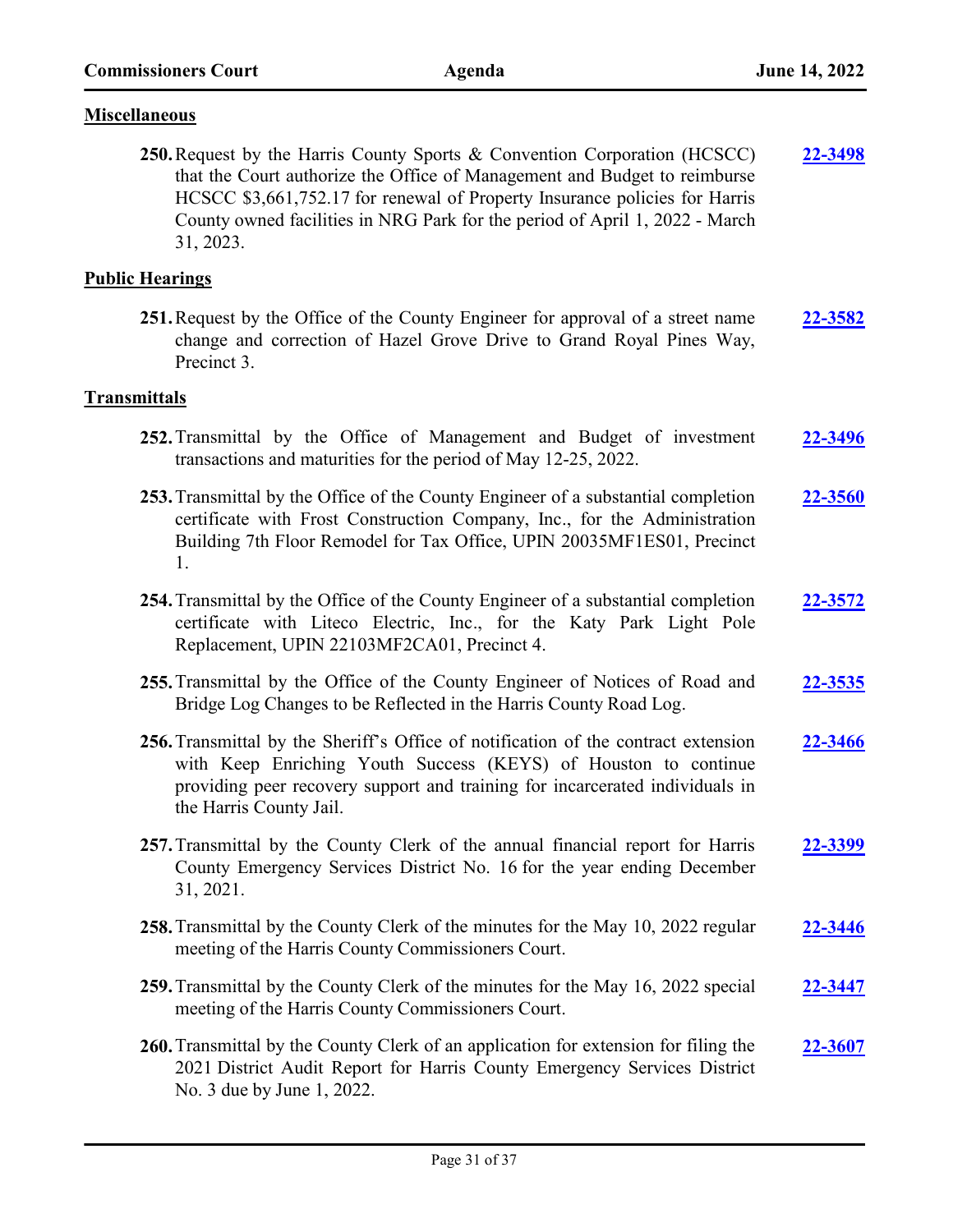### **Miscellaneous**

**250.**Request by the Harris County Sports & Convention Corporation (HCSCC) that the Court authorize the Office of Management and Budget to reimburse HCSCC \$3,661,752.17 for renewal of Property Insurance policies for Harris County owned facilities in NRG Park for the period of April 1, 2022 - March 31, 2023. **[22-3498](http://harriscountytx.legistar.com/gateway.aspx?m=l&id=/matter.aspx?key=14038)**

# **Public Hearings**

**251.**Request by the Office of the County Engineer for approval of a street name change and correction of Hazel Grove Drive to Grand Royal Pines Way, Precinct 3. **[22-3582](http://harriscountytx.legistar.com/gateway.aspx?m=l&id=/matter.aspx?key=14122)**

### **Transmittals**

| 252. Transmittal by the Office of Management and Budget of investment<br>transactions and maturities for the period of May 12-25, 2022.                                                                                                                          | 22-3496        |
|------------------------------------------------------------------------------------------------------------------------------------------------------------------------------------------------------------------------------------------------------------------|----------------|
| 253. Transmittal by the Office of the County Engineer of a substantial completion<br>certificate with Frost Construction Company, Inc., for the Administration<br>Building 7th Floor Remodel for Tax Office, UPIN 20035MF1ES01, Precinct<br>1.                   | 22-3560        |
| 254. Transmittal by the Office of the County Engineer of a substantial completion<br>certificate with Liteco Electric, Inc., for the Katy Park Light Pole<br>Replacement, UPIN 22103MF2CA01, Precinct 4.                                                         | <u>22-3572</u> |
| 255. Transmittal by the Office of the County Engineer of Notices of Road and<br>Bridge Log Changes to be Reflected in the Harris County Road Log.                                                                                                                | 22-3535        |
| 256. Transmittal by the Sheriff's Office of notification of the contract extension<br>with Keep Enriching Youth Success (KEYS) of Houston to continue<br>providing peer recovery support and training for incarcerated individuals in<br>the Harris County Jail. | 22-3466        |
| 257. Transmittal by the County Clerk of the annual financial report for Harris<br>County Emergency Services District No. 16 for the year ending December<br>31, 2021.                                                                                            | <u>22-3399</u> |
| 258. Transmittal by the County Clerk of the minutes for the May 10, 2022 regular<br>meeting of the Harris County Commissioners Court.                                                                                                                            | 22-3446        |
| 259. Transmittal by the County Clerk of the minutes for the May 16, 2022 special<br>meeting of the Harris County Commissioners Court.                                                                                                                            | 22-3447        |
| 260. Transmittal by the County Clerk of an application for extension for filing the<br>2021 District Audit Report for Harris County Emergency Services District<br>No. 3 due by June 1, 2022.                                                                    | 22-3607        |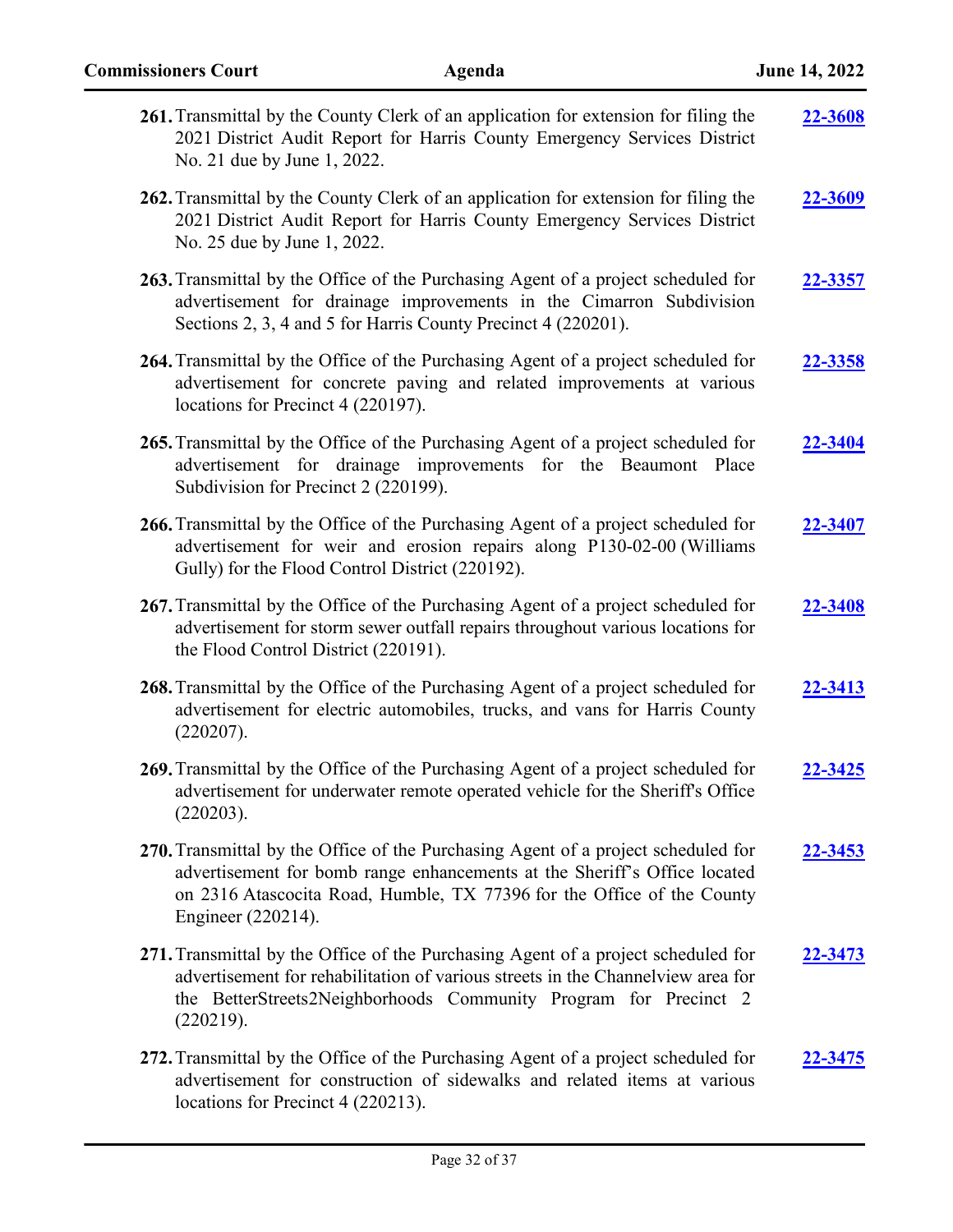| <b>Commissioners Court</b><br>Agenda                                                                                                                                                                                                                           | June 14, 2022 |
|----------------------------------------------------------------------------------------------------------------------------------------------------------------------------------------------------------------------------------------------------------------|---------------|
| 261. Transmittal by the County Clerk of an application for extension for filing the<br>2021 District Audit Report for Harris County Emergency Services District<br>No. 21 due by June 1, 2022.                                                                 | 22-3608       |
| 262. Transmittal by the County Clerk of an application for extension for filing the<br>2021 District Audit Report for Harris County Emergency Services District<br>No. 25 due by June 1, 2022.                                                                 | 22-3609       |
| 263. Transmittal by the Office of the Purchasing Agent of a project scheduled for<br>advertisement for drainage improvements in the Cimarron Subdivision<br>Sections 2, 3, 4 and 5 for Harris County Precinct 4 (220201).                                      | 22-3357       |
| 264. Transmittal by the Office of the Purchasing Agent of a project scheduled for<br>advertisement for concrete paving and related improvements at various<br>locations for Precinct 4 (220197).                                                               | 22-3358       |
| 265. Transmittal by the Office of the Purchasing Agent of a project scheduled for<br>advertisement for drainage improvements for the Beaumont Place<br>Subdivision for Precinct 2 (220199).                                                                    | 22-3404       |
| 266. Transmittal by the Office of the Purchasing Agent of a project scheduled for<br>advertisement for weir and erosion repairs along P130-02-00 (Williams<br>Gully) for the Flood Control District (220192).                                                  | 22-3407       |
| 267. Transmittal by the Office of the Purchasing Agent of a project scheduled for<br>advertisement for storm sewer outfall repairs throughout various locations for<br>the Flood Control District (220191).                                                    | 22-3408       |
| 268. Transmittal by the Office of the Purchasing Agent of a project scheduled for<br>advertisement for electric automobiles, trucks, and vans for Harris County<br>(220207).                                                                                   | 22-3413       |
| 269. Transmittal by the Office of the Purchasing Agent of a project scheduled for<br>advertisement for underwater remote operated vehicle for the Sheriff's Office<br>(220203).                                                                                | 22-3425       |
| 270. Transmittal by the Office of the Purchasing Agent of a project scheduled for<br>advertisement for bomb range enhancements at the Sheriff's Office located<br>on 2316 Atascocita Road, Humble, TX 77396 for the Office of the County<br>Engineer (220214). | 22-3453       |
| 271. Transmittal by the Office of the Purchasing Agent of a project scheduled for<br>advertisement for rehabilitation of various streets in the Channelview area for<br>the BetterStreets2Neighborhoods Community Program for Precinct 2<br>(220219).          | 22-3473       |
| 272. Transmittal by the Office of the Purchasing Agent of a project scheduled for<br>advertisement for construction of sidewalks and related items at various<br>locations for Precinct 4 (220213).                                                            | 22-3475       |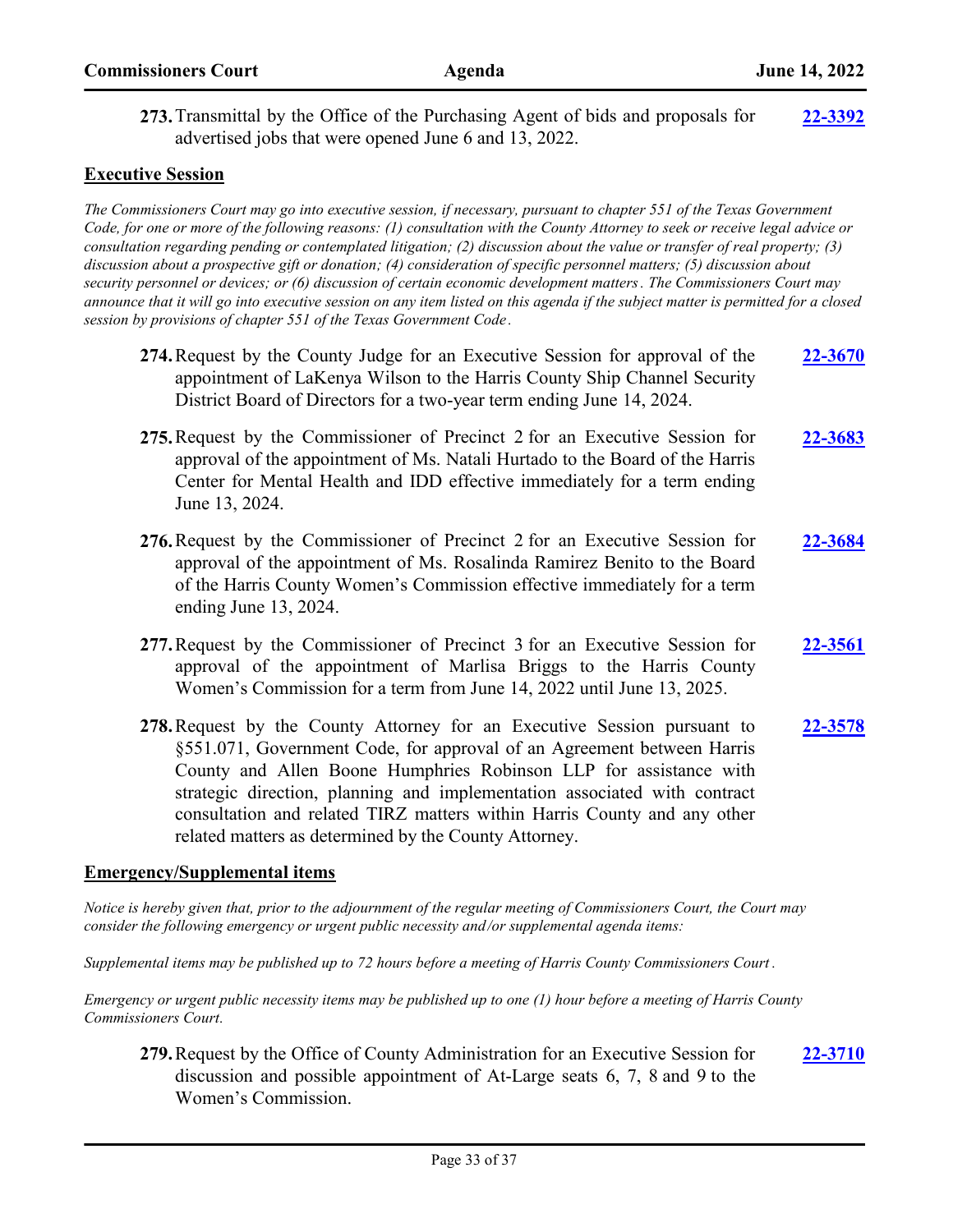**273.**Transmittal by the Office of the Purchasing Agent of bids and proposals for advertised jobs that were opened June 6 and 13, 2022. **[22-3392](http://harriscountytx.legistar.com/gateway.aspx?m=l&id=/matter.aspx?key=13932)**

# **Executive Session**

*The Commissioners Court may go into executive session, if necessary, pursuant to chapter 551 of the Texas Government Code, for one or more of the following reasons: (1) consultation with the County Attorney to seek or receive legal advice or consultation regarding pending or contemplated litigation; (2) discussion about the value or transfer of real property; (3) discussion about a prospective gift or donation; (4) consideration of specific personnel matters; (5) discussion about security personnel or devices; or (6) discussion of certain economic development matters. The Commissioners Court may announce that it will go into executive session on any item listed on this agenda if the subject matter is permitted for a closed session by provisions of chapter 551 of the Texas Government Code .*

- **274.**Request by the County Judge for an Executive Session for approval of the appointment of LaKenya Wilson to the Harris County Ship Channel Security District Board of Directors for a two-year term ending June 14, 2024. **[22-3670](http://harriscountytx.legistar.com/gateway.aspx?m=l&id=/matter.aspx?key=14210)**
- **275.**Request by the Commissioner of Precinct 2 for an Executive Session for approval of the appointment of Ms. Natali Hurtado to the Board of the Harris Center for Mental Health and IDD effective immediately for a term ending June 13, 2024. **[22-3683](http://harriscountytx.legistar.com/gateway.aspx?m=l&id=/matter.aspx?key=14223)**
- **276.**Request by the Commissioner of Precinct 2 for an Executive Session for approval of the appointment of Ms. Rosalinda Ramirez Benito to the Board of the Harris County Women's Commission effective immediately for a term ending June 13, 2024. **[22-3684](http://harriscountytx.legistar.com/gateway.aspx?m=l&id=/matter.aspx?key=14224)**
- **277.**Request by the Commissioner of Precinct 3 for an Executive Session for approval of the appointment of Marlisa Briggs to the Harris County Women's Commission for a term from June 14, 2022 until June 13, 2025. **[22-3561](http://harriscountytx.legistar.com/gateway.aspx?m=l&id=/matter.aspx?key=14101)**
- **278.**Request by the County Attorney for an Executive Session pursuant to §551.071, Government Code, for approval of an Agreement between Harris County and Allen Boone Humphries Robinson LLP for assistance with strategic direction, planning and implementation associated with contract consultation and related TIRZ matters within Harris County and any other related matters as determined by the County Attorney. **[22-3578](http://harriscountytx.legistar.com/gateway.aspx?m=l&id=/matter.aspx?key=14118)**

# **Emergency/Supplemental items**

*Notice is hereby given that, prior to the adjournment of the regular meeting of Commissioners Court, the Court may consider the following emergency or urgent public necessity and/or supplemental agenda items:* 

*Supplemental items may be published up to 72 hours before a meeting of Harris County Commissioners Court .* 

*Emergency or urgent public necessity items may be published up to one (1) hour before a meeting of Harris County Commissioners Court.*

**279.**Request by the Office of County Administration for an Executive Session for discussion and possible appointment of At-Large seats 6, 7, 8 and 9 to the Women's Commission. **[22-3710](http://harriscountytx.legistar.com/gateway.aspx?m=l&id=/matter.aspx?key=14250)**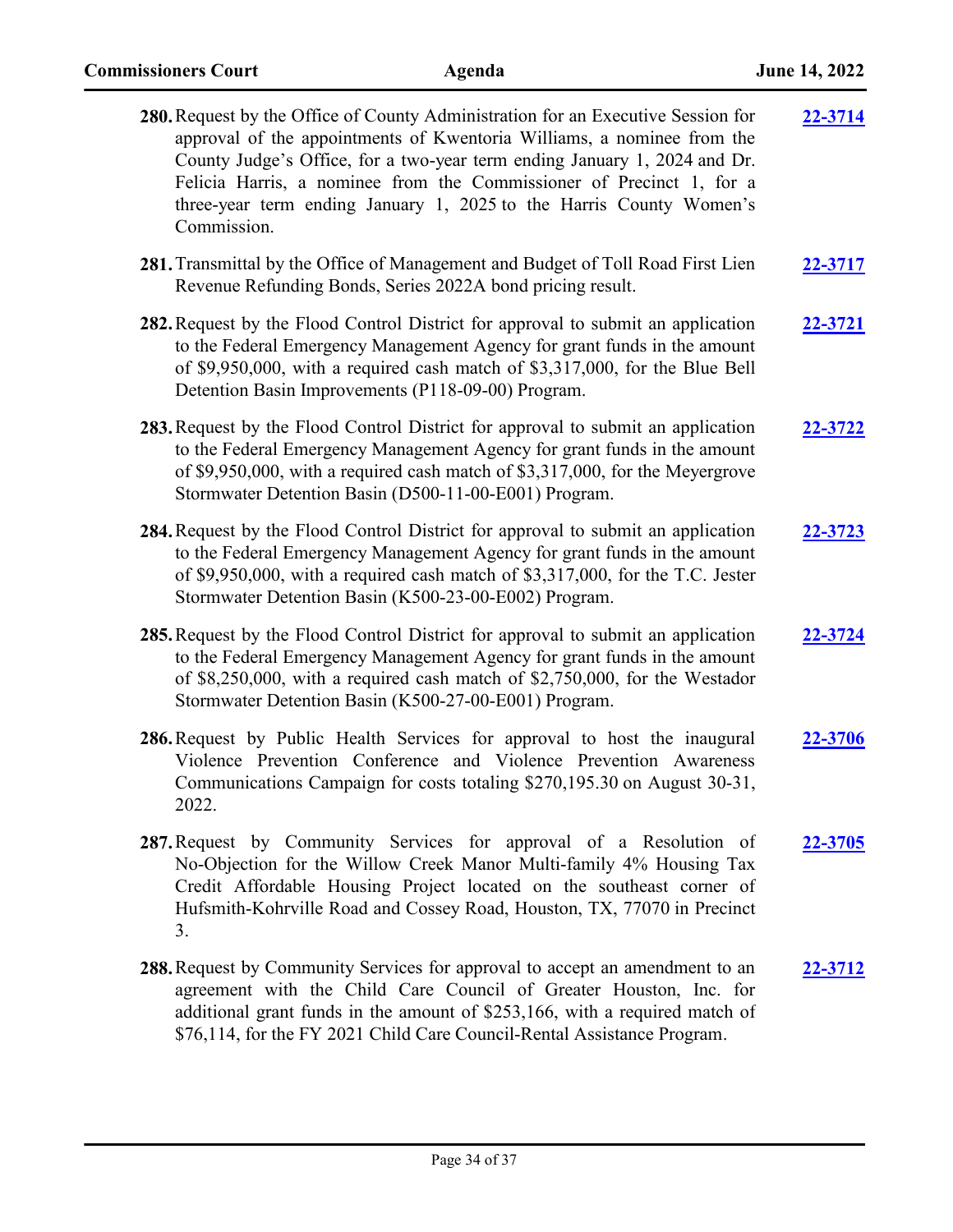| 280. Request by the Office of County Administration for an Executive Session for<br>approval of the appointments of Kwentoria Williams, a nominee from the<br>County Judge's Office, for a two-year term ending January 1, 2024 and Dr.<br>Felicia Harris, a nominee from the Commissioner of Precinct 1, for a<br>three-year term ending January 1, 2025 to the Harris County Women's<br>Commission. | 22-3714        |
|-------------------------------------------------------------------------------------------------------------------------------------------------------------------------------------------------------------------------------------------------------------------------------------------------------------------------------------------------------------------------------------------------------|----------------|
| 281. Transmittal by the Office of Management and Budget of Toll Road First Lien<br>Revenue Refunding Bonds, Series 2022A bond pricing result.                                                                                                                                                                                                                                                         | <u>22-3717</u> |
| 282. Request by the Flood Control District for approval to submit an application<br>to the Federal Emergency Management Agency for grant funds in the amount<br>of \$9,950,000, with a required cash match of \$3,317,000, for the Blue Bell<br>Detention Basin Improvements (P118-09-00) Program.                                                                                                    | 22-3721        |
| 283. Request by the Flood Control District for approval to submit an application<br>to the Federal Emergency Management Agency for grant funds in the amount<br>of \$9,950,000, with a required cash match of \$3,317,000, for the Meyergrove<br>Stormwater Detention Basin (D500-11-00-E001) Program.                                                                                                | 22-3722        |
| 284. Request by the Flood Control District for approval to submit an application<br>to the Federal Emergency Management Agency for grant funds in the amount<br>of \$9,950,000, with a required cash match of \$3,317,000, for the T.C. Jester<br>Stormwater Detention Basin (K500-23-00-E002) Program.                                                                                               | 22-3723        |
| 285. Request by the Flood Control District for approval to submit an application<br>to the Federal Emergency Management Agency for grant funds in the amount<br>of \$8,250,000, with a required cash match of \$2,750,000, for the Westador<br>Stormwater Detention Basin (K500-27-00-E001) Program.                                                                                                  | 22-3724        |
| 286. Request by Public Health Services for approval to host the inaugural<br>Violence Prevention Conference and Violence Prevention Awareness<br>Communications Campaign for costs totaling \$270,195.30 on August 30-31,<br>2022.                                                                                                                                                                    | 22-3706        |
| 287. Request by Community Services for approval of a Resolution of<br>No-Objection for the Willow Creek Manor Multi-family 4% Housing Tax<br>Credit Affordable Housing Project located on the southeast corner of<br>Hufsmith-Kohrville Road and Cossey Road, Houston, TX, 77070 in Precinct<br>3.                                                                                                    | 22-3705        |
| 288. Request by Community Services for approval to accept an amendment to an<br>agreement with the Child Care Council of Greater Houston, Inc. for<br>additional grant funds in the amount of \$253,166, with a required match of<br>\$76,114, for the FY 2021 Child Care Council-Rental Assistance Program.                                                                                          | 22-3712        |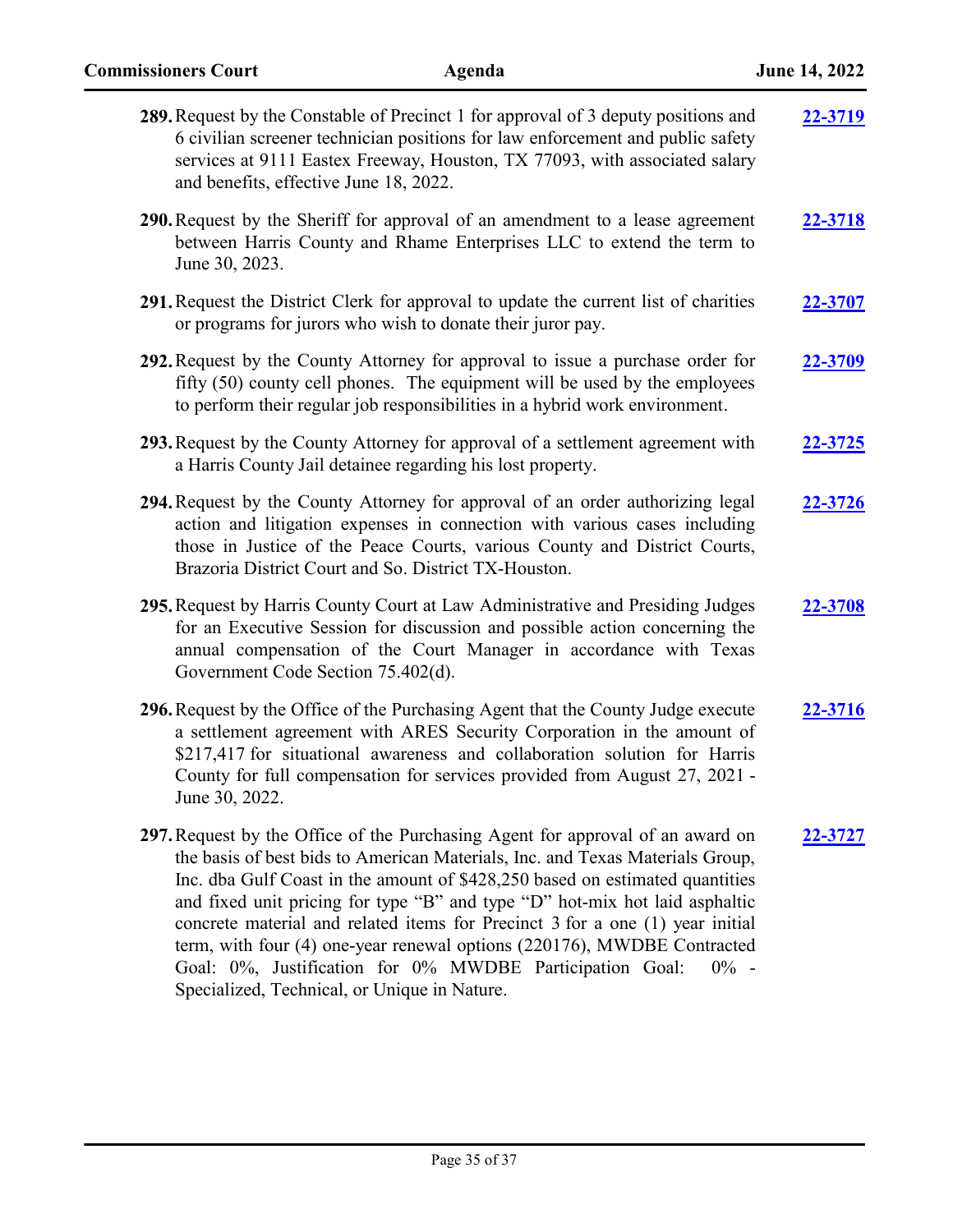| 289. Request by the Constable of Precinct 1 for approval of 3 deputy positions and<br>6 civilian screener technician positions for law enforcement and public safety<br>services at 9111 Eastex Freeway, Houston, TX 77093, with associated salary<br>and benefits, effective June 18, 2022.                                                                                                                                                                                                                                                                                                                      | 22-3719        |
|-------------------------------------------------------------------------------------------------------------------------------------------------------------------------------------------------------------------------------------------------------------------------------------------------------------------------------------------------------------------------------------------------------------------------------------------------------------------------------------------------------------------------------------------------------------------------------------------------------------------|----------------|
| 290. Request by the Sheriff for approval of an amendment to a lease agreement<br>between Harris County and Rhame Enterprises LLC to extend the term to<br>June 30, 2023.                                                                                                                                                                                                                                                                                                                                                                                                                                          | <b>22-3718</b> |
| 291. Request the District Clerk for approval to update the current list of charities<br>or programs for jurors who wish to donate their juror pay.                                                                                                                                                                                                                                                                                                                                                                                                                                                                | 22-3707        |
| 292. Request by the County Attorney for approval to issue a purchase order for<br>fifty (50) county cell phones. The equipment will be used by the employees<br>to perform their regular job responsibilities in a hybrid work environment.                                                                                                                                                                                                                                                                                                                                                                       | 22-3709        |
| 293. Request by the County Attorney for approval of a settlement agreement with<br>a Harris County Jail detainee regarding his lost property.                                                                                                                                                                                                                                                                                                                                                                                                                                                                     | 22-3725        |
| 294. Request by the County Attorney for approval of an order authorizing legal<br>action and litigation expenses in connection with various cases including<br>those in Justice of the Peace Courts, various County and District Courts,<br>Brazoria District Court and So. District TX-Houston.                                                                                                                                                                                                                                                                                                                  | 22-3726        |
| 295. Request by Harris County Court at Law Administrative and Presiding Judges<br>for an Executive Session for discussion and possible action concerning the<br>annual compensation of the Court Manager in accordance with Texas<br>Government Code Section 75.402(d).                                                                                                                                                                                                                                                                                                                                           | 22-3708        |
| 296. Request by the Office of the Purchasing Agent that the County Judge execute<br>a settlement agreement with ARES Security Corporation in the amount of<br>\$217,417 for situational awareness and collaboration solution for Harris<br>County for full compensation for services provided from August 27, 2021 -<br>June 30, 2022.                                                                                                                                                                                                                                                                            | 22-3716        |
| 297. Request by the Office of the Purchasing Agent for approval of an award on<br>the basis of best bids to American Materials, Inc. and Texas Materials Group,<br>Inc. dba Gulf Coast in the amount of \$428,250 based on estimated quantities<br>and fixed unit pricing for type "B" and type "D" hot-mix hot laid asphaltic<br>concrete material and related items for Precinct 3 for a one (1) year initial<br>term, with four (4) one-year renewal options (220176), MWDBE Contracted<br>Goal: 0%, Justification for 0% MWDBE Participation Goal:<br>$0\%$ -<br>Specialized, Technical, or Unique in Nature. | 22-3727        |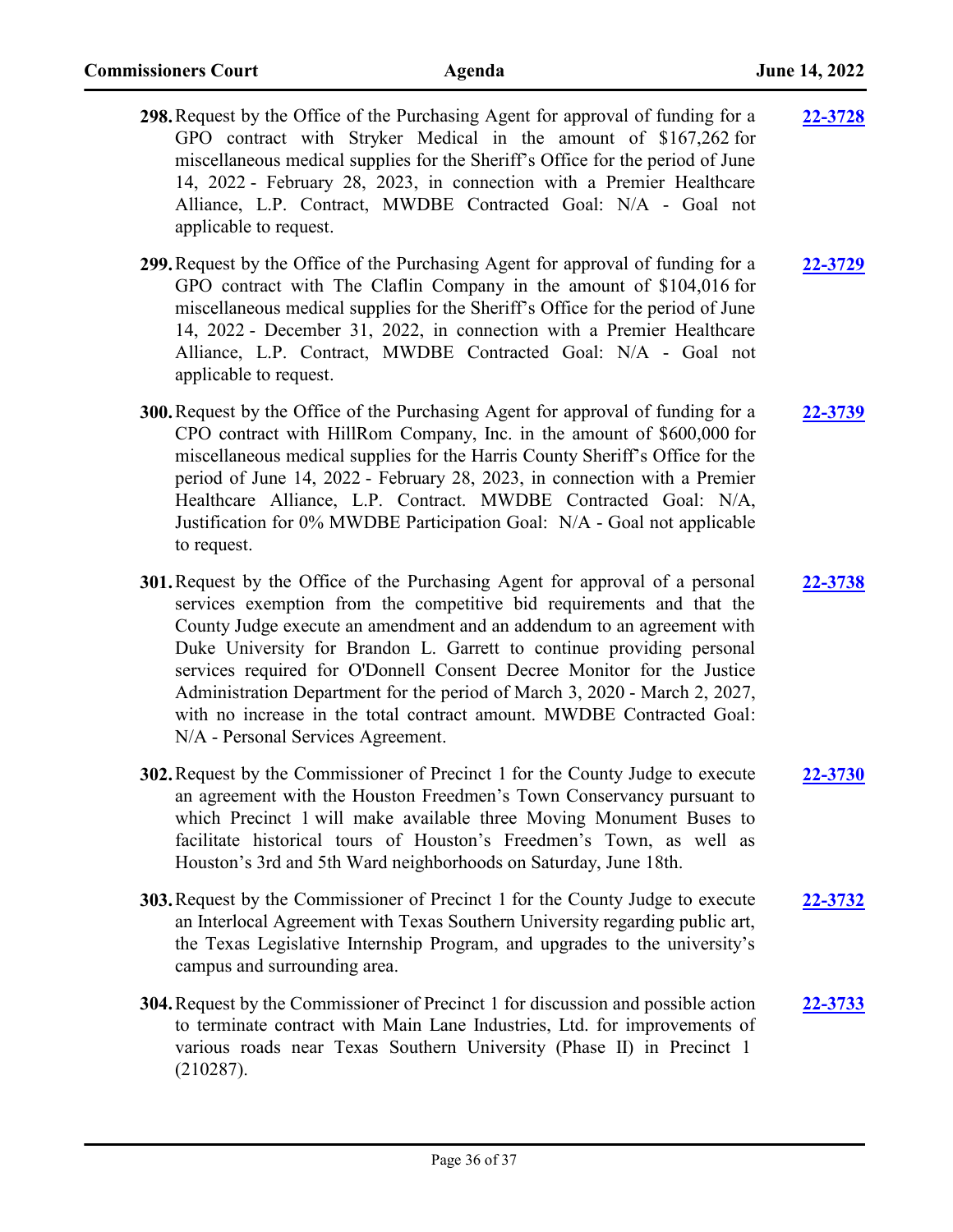| 298. Request by the Office of the Purchasing Agent for approval of funding for a | 22-3728 |
|----------------------------------------------------------------------------------|---------|
| GPO contract with Stryker Medical in the amount of \$167,262 for                 |         |
| miscellaneous medical supplies for the Sheriff's Office for the period of June   |         |
| 14, 2022 - February 28, 2023, in connection with a Premier Healthcare            |         |
| Alliance, L.P. Contract, MWDBE Contracted Goal: N/A - Goal not                   |         |
| applicable to request.                                                           |         |

**299.**Request by the Office of the Purchasing Agent for approval of funding for a GPO contract with The Claflin Company in the amount of \$104,016 for miscellaneous medical supplies for the Sheriff's Office for the period of June 14, 2022 - December 31, 2022, in connection with a Premier Healthcare Alliance, L.P. Contract, MWDBE Contracted Goal: N/A - Goal not applicable to request. **[22-3729](http://harriscountytx.legistar.com/gateway.aspx?m=l&id=/matter.aspx?key=14269)**

**300.**Request by the Office of the Purchasing Agent for approval of funding for a CPO contract with HillRom Company, Inc. in the amount of \$600,000 for miscellaneous medical supplies for the Harris County Sheriff's Office for the period of June 14, 2022 - February 28, 2023, in connection with a Premier Healthcare Alliance, L.P. Contract. MWDBE Contracted Goal: N/A, Justification for 0% MWDBE Participation Goal: N/A - Goal not applicable to request. **[22-3739](http://harriscountytx.legistar.com/gateway.aspx?m=l&id=/matter.aspx?key=14279)**

**301.**Request by the Office of the Purchasing Agent for approval of a personal services exemption from the competitive bid requirements and that the County Judge execute an amendment and an addendum to an agreement with Duke University for Brandon L. Garrett to continue providing personal services required for O'Donnell Consent Decree Monitor for the Justice Administration Department for the period of March 3, 2020 - March 2, 2027, with no increase in the total contract amount. MWDBE Contracted Goal: N/A - Personal Services Agreement. **[22-3738](http://harriscountytx.legistar.com/gateway.aspx?m=l&id=/matter.aspx?key=14278)**

- **302.**Request by the Commissioner of Precinct 1 for the County Judge to execute an agreement with the Houston Freedmen's Town Conservancy pursuant to which Precinct 1 will make available three Moving Monument Buses to facilitate historical tours of Houston's Freedmen's Town, as well as Houston's 3rd and 5th Ward neighborhoods on Saturday, June 18th. **[22-3730](http://harriscountytx.legistar.com/gateway.aspx?m=l&id=/matter.aspx?key=14270)**
- **303.**Request by the Commissioner of Precinct 1 for the County Judge to execute an Interlocal Agreement with Texas Southern University regarding public art, the Texas Legislative Internship Program, and upgrades to the university's campus and surrounding area. **[22-3732](http://harriscountytx.legistar.com/gateway.aspx?m=l&id=/matter.aspx?key=14272)**
- **304.**Request by the Commissioner of Precinct 1 for discussion and possible action to terminate contract with Main Lane Industries, Ltd. for improvements of various roads near Texas Southern University (Phase II) in Precinct 1 (210287). **[22-3733](http://harriscountytx.legistar.com/gateway.aspx?m=l&id=/matter.aspx?key=14273)**